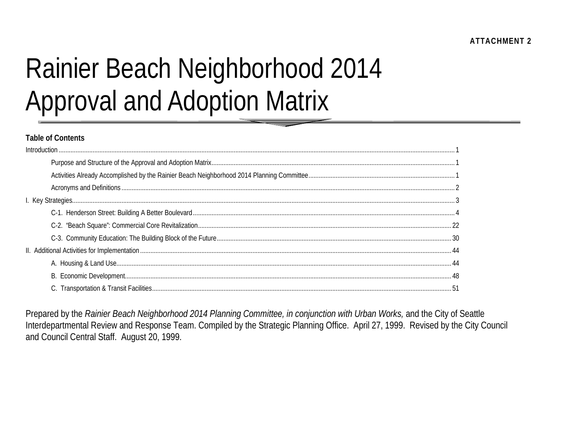# **Rainier Beach Neighborhood 2014 Approval and Adoption Matrix**

#### **Table of Contents**

Prepared by the Rainier Beach Neighborhood 2014 Planning Committee, in conjunction with Urban Works, and the City of Seattle Interdepartmental Review and Response Team. Compiled by the Strategic Planning Office. April 27, 1999. Revised by the City Council and Council Central Staff. August 20, 1999.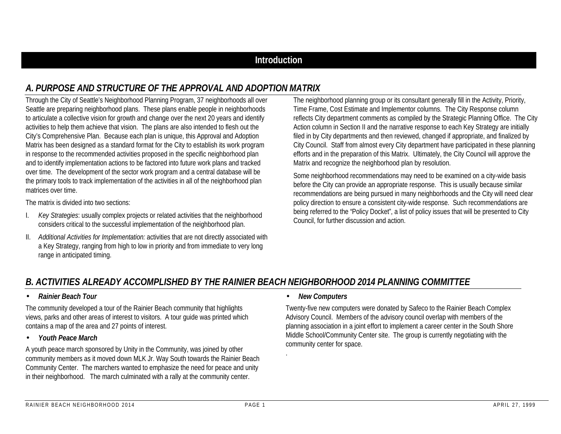## **Introduction**

## *A. PURPOSE AND STRUCTURE OF THE APPROVAL AND ADOPTION MATRIX*

Through the City of Seattle's Neighborhood Planning Program, 37 neighborhoods all over Seattle are preparing neighborhood plans. These plans enable people in neighborhoods to articulate a collective vision for growth and change over the next 20 years and identify activities to help them achieve that vision. The plans are also intended to flesh out the City's Comprehensive Plan. Because each plan is unique, this Approval and Adoption Matrix has been designed as a standard format for the City to establish its work program in response to the recommended activities proposed in the specific neighborhood plan and to identify implementation actions to be factored into future work plans and tracked over time. The development of the sector work program and a central database will be the primary tools to track implementation of the activities in all of the neighborhood plan matrices over time.

The matrix is divided into two sections:

- I. *Key Strategies*: usually complex projects or related activities that the neighborhood considers critical to the successful implementation of the neighborhood plan.
- II. *Additional Activities for Implementation:* activities that are not directly associated with a Key Strategy, ranging from high to low in priority and from immediate to very long range in anticipated timing.

The neighborhood planning group or its consultant generally fill in the Activity, Priority, Time Frame, Cost Estimate and Implementor columns. The City Response column reflects City department comments as compiled by the Strategic Planning Office. The City Action column in Section II and the narrative response to each Key Strategy are initially filed in by City departments and then reviewed, changed if appropriate, and finalized by City Council. Staff from almost every City department have participated in these planning efforts and in the preparation of this Matrix. Ultimately, the City Council will approve the Matrix and recognize the neighborhood plan by resolution.

Some neighborhood recommendations may need to be examined on a city-wide basis before the City can provide an appropriate response. This is usually because similar recommendations are being pursued in many neighborhoods and the City will need clear policy direction to ensure a consistent city-wide response. Such recommendations are being referred to the "Policy Docket", a list of policy issues that will be presented to City Council, for further discussion and action.

## *B. ACTIVITIES ALREADY ACCOMPLISHED BY THE RAINIER BEACH NEIGHBORHOOD 2014 PLANNING COMMITTEE*

#### • *Rainier Beach Tour*

The community developed a tour of the Rainier Beach community that highlights views, parks and other areas of interest to visitors. A tour guide was printed which contains a map of the area and 27 points of interest.

#### • *Youth Peace March*

A youth peace march sponsored by Unity in the Community, was joined by other community members as it moved down MLK Jr. Way South towards the Rainier Beach Community Center. The marchers wanted to emphasize the need for peace and unity in their neighborhood. The march culminated with a rally at the community center.

#### • *New Computers*

.

Twenty-five new computers were donated by Safeco to the Rainier Beach Complex Advisory Council. Members of the advisory council overlap with members of the planning association in a joint effort to implement a career center in the South Shore Middle School/Community Center site. The group is currently negotiating with the community center for space.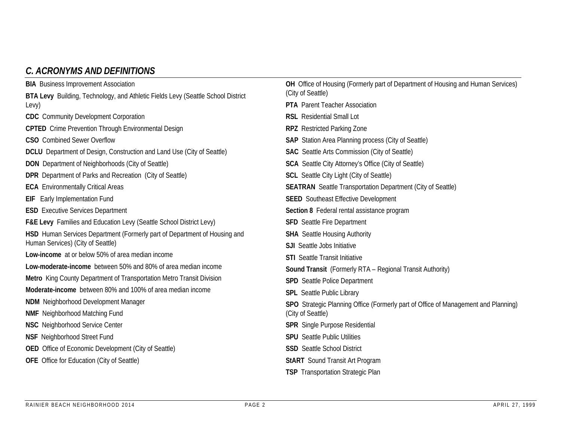## *C. ACRONYMS AND DEFINITIONS*

| <b>BIA</b> Business Improvement Association                                             | OH Office of Housing (Formerly part of Department of Housing and Human Services)   |
|-----------------------------------------------------------------------------------------|------------------------------------------------------------------------------------|
| <b>BTA Levy</b> Building, Technology, and Athletic Fields Levy (Seattle School District | (City of Seattle)                                                                  |
| Levy)                                                                                   | <b>PTA</b> Parent Teacher Association                                              |
| <b>CDC</b> Community Development Corporation                                            | <b>RSL</b> Residential Small Lot                                                   |
| <b>CPTED</b> Crime Prevention Through Environmental Design                              | <b>RPZ</b> Restricted Parking Zone                                                 |
| <b>CSO</b> Combined Sewer Overflow                                                      | <b>SAP</b> Station Area Planning process (City of Seattle)                         |
| <b>DCLU</b> Department of Design, Construction and Land Use (City of Seattle)           | <b>SAC</b> Seattle Arts Commission (City of Seattle)                               |
| <b>DON</b> Department of Neighborhoods (City of Seattle)                                | <b>SCA</b> Seattle City Attorney's Office (City of Seattle)                        |
| <b>DPR</b> Department of Parks and Recreation (City of Seattle)                         | <b>SCL</b> Seattle City Light (City of Seattle)                                    |
| <b>ECA</b> Environmentally Critical Areas                                               | <b>SEATRAN</b> Seattle Transportation Department (City of Seattle)                 |
| <b>EIF</b> Early Implementation Fund                                                    | <b>SEED</b> Southeast Effective Development                                        |
| <b>ESD</b> Executive Services Department                                                | Section 8 Federal rental assistance program                                        |
| <b>F&amp;E Levy</b> Families and Education Levy (Seattle School District Levy)          | <b>SFD</b> Seattle Fire Department                                                 |
| HSD Human Services Department (Formerly part of Department of Housing and               | <b>SHA</b> Seattle Housing Authority                                               |
| Human Services) (City of Seattle)                                                       | <b>SJI</b> Seattle Jobs Initiative                                                 |
| Low-income at or below 50% of area median income                                        | <b>STI</b> Seattle Transit Initiative                                              |
| Low-moderate-income between 50% and 80% of area median income                           | <b>Sound Transit</b> (Formerly RTA - Regional Transit Authority)                   |
| Metro King County Department of Transportation Metro Transit Division                   | <b>SPD</b> Seattle Police Department                                               |
| Moderate-income between 80% and 100% of area median income                              | <b>SPL</b> Seattle Public Library                                                  |
| <b>NDM</b> Neighborhood Development Manager                                             | SPO Strategic Planning Office (Formerly part of Office of Management and Planning) |
| <b>NMF</b> Neighborhood Matching Fund                                                   | (City of Seattle)                                                                  |
| <b>NSC</b> Neighborhood Service Center                                                  | <b>SPR</b> Single Purpose Residential                                              |
| <b>NSF</b> Neighborhood Street Fund                                                     | <b>SPU</b> Seattle Public Utilities                                                |
| <b>OED</b> Office of Economic Development (City of Seattle)                             | <b>SSD</b> Seattle School District                                                 |
| <b>OFE</b> Office for Education (City of Seattle)                                       | <b>StART</b> Sound Transit Art Program                                             |
|                                                                                         | <b>TSP</b> Transportation Strategic Plan                                           |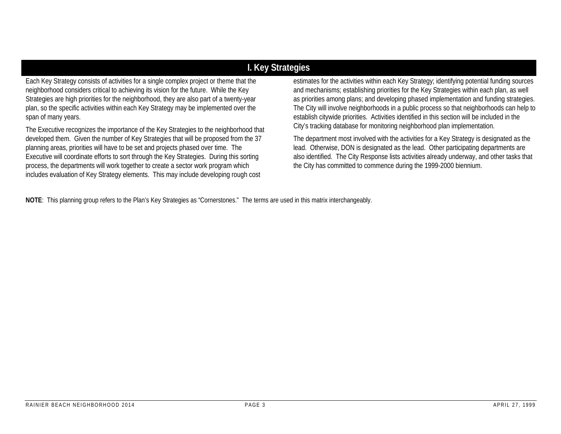## **I. Key Strategies**

Each Key Strategy consists of activities for a single complex project or theme that the neighborhood considers critical to achieving its vision for the future. While the Key Strategies are high priorities for the neighborhood, they are also part of a twenty-year plan, so the specific activities within each Key Strategy may be implemented over the span of many years.

The Executive recognizes the importance of the Key Strategies to the neighborhood that developed them. Given the number of Key Strategies that will be proposed from the 37 planning areas, priorities will have to be set and projects phased over time. The Executive will coordinate efforts to sort through the Key Strategies. During this sorting process, the departments will work together to create a sector work program which includes evaluation of Key Strategy elements. This may include developing rough cost

estimates for the activities within each Key Strategy; identifying potential funding sources and mechanisms; establishing priorities for the Key Strategies within each plan, as well as priorities among plans; and developing phased implementation and funding strategies. The City will involve neighborhoods in a public process so that neighborhoods can help to establish citywide priorities. Activities identified in this section will be included in the City's tracking database for monitoring neighborhood plan implementation.

The department most involved with the activities for a Key Strategy is designated as the lead. Otherwise, DON is designated as the lead. Other participating departments are also identified. The City Response lists activities already underway, and other tasks that the City has committed to commence during the 1999-2000 biennium.

**NOTE**: This planning group refers to the Plan's Key Strategies as "Cornerstones." The terms are used in this matrix interchangeably.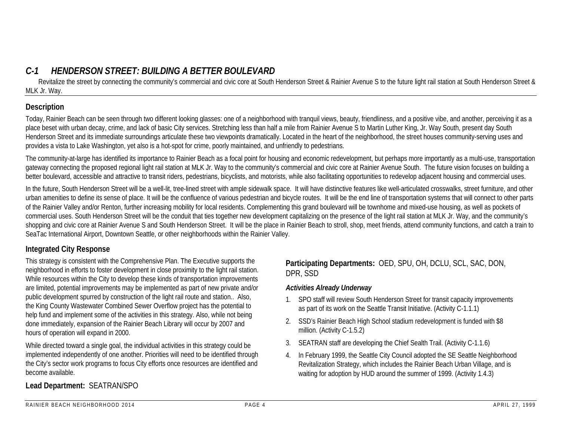# *C-1 HENDERSON STREET: BUILDING A BETTER BOULEVARD*

Revitalize the street by connecting the community's commercial and civic core at South Henderson Street & Rainier Avenue S to the future light rail station at South Henderson Street & MLK Jr. Way.

#### **Description**

Today, Rainier Beach can be seen through two different looking glasses: one of a neighborhood with tranguil views, beauty, friendliness, and a positive vibe, and another, perceiving it as a place beset with urban decay, crime, and lack of basic City services. Stretching less than half a mile from Rainier Avenue S to Martin Luther King, Jr. Way South, present day South Henderson Street and its immediate surroundings articulate these two viewpoints dramatically. Located in the heart of the neighborhood, the street houses community-serving uses and provides a vista to Lake Washington, yet also is a hot-spot for crime, poorly maintained, and unfriendly to pedestrians.

The community-at-large has identified its importance to Rainier Beach as a focal point for housing and economic redevelopment, but perhaps more importantly as a multi-use, transportation gateway connecting the proposed regional light rail station at MLK Jr. Way to the community's commercial and civic core at Rainier Avenue South. The future vision focuses on building a better boulevard, accessible and attractive to transit riders, pedestrians, bicyclists, and motorists, while also facilitating opportunities to redevelop adjacent housing and commercial uses.

In the future, South Henderson Street will be a well-lit, tree-lined street with ample sidewalk space. It will have distinctive features like well-articulated crosswalks, street furniture, and other urban amenities to define its sense of place. It will be the confluence of various pedestrian and bicycle routes. It will be the end line of transportation systems that will connect to other parts of the Rainier Valley and/or Renton, further increasing mobility for local residents. Complementing this grand boulevard will be townhome and mixed-use housing, as well as pockets of commercial uses. South Henderson Street will be the conduit that ties together new development capitalizing on the presence of the light rail station at MLK Jr. Way, and the community's shopping and civic core at Rainier Avenue S and South Henderson Street. It will be the place in Rainier Beach to stroll, shop, meet friends, attend community functions, and catch a train to SeaTac International Airport, Downtown Seattle, or other neighborhoods within the Rainier Valley.

## **Integrated City Response**

This strategy is consistent with the Comprehensive Plan. The Executive supports the neighborhood in efforts to foster development in close proximity to the light rail station. While resources within the City to develop these kinds of transportation improvements are limited, potential improvements may be implemented as part of new private and/or public development spurred by construction of the light rail route and station.. Also, the King County Wastewater Combined Sewer Overflow project has the potential to help fund and implement some of the activities in this strategy. Also, while not being done immediately, expansion of the Rainier Beach Library will occur by 2007 and hours of operation will expand in 2000.

While directed toward a single goal, the individual activities in this strategy could be implemented independently of one another. Priorities will need to be identified through the City's sector work programs to focus City efforts once resources are identified and become available.

## **Participating Departments:** OED, SPU, OH, DCLU, SCL, SAC, DON, DPR, SSD

## *Activities Already Underway*

- 1. SPO staff will review South Henderson Street for transit capacity improvements as part of its work on the Seattle Transit Initiative. (Activity C-1.1.1)
- 2. SSD's Rainier Beach High School stadium redevelopment is funded with \$8 million. (Activity C-1.5.2)
- 3. SEATRAN staff are developing the Chief Sealth Trail. (Activity C-1.1.6)
- 4. In February 1999, the Seattle City Council adopted the SE Seattle Neighborhood Revitalization Strategy, which includes the Rainier Beach Urban Village, and is waiting for adoption by HUD around the summer of 1999. (Activity 1.4.3)

## **Lead Department:** SEATRAN/SPO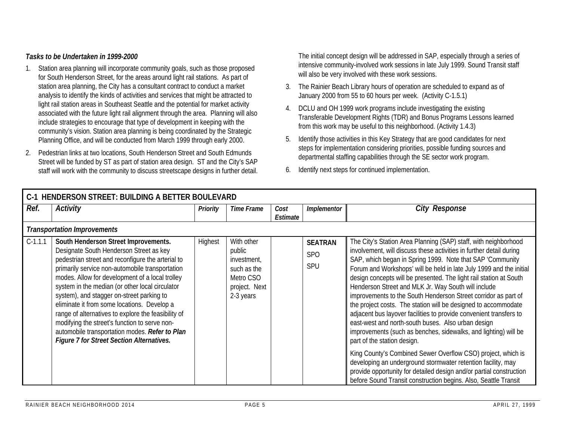#### *Tasks to be Undertaken in 1999-2000*

- 1. Station area planning will incorporate community goals, such as those proposed for South Henderson Street, for the areas around light rail stations. As part of station area planning, the City has a consultant contract to conduct a market analysis to identify the kinds of activities and services that might be attracted to light rail station areas in Southeast Seattle and the potential for market activity associated with the future light rail alignment through the area. Planning will also include strategies to encourage that type of development in keeping with the community's vision. Station area planning is being coordinated by the Strategic Planning Office, and will be conducted from March 1999 through early 2000.
- 2. Pedestrian links at two locations, South Henderson Street and South Edmunds Street will be funded by ST as part of station area design. ST and the City's SAP staff will work with the community to discuss streetscape designs in further detail.

The initial concept design will be addressed in SAP, especially through a series of intensive community-involved work sessions in late July 1999. Sound Transit staff will also be very involved with these work sessions.

- 3. The Rainier Beach Library hours of operation are scheduled to expand as of January 2000 from 55 to 60 hours per week. (Activity C-1.5.1)
- 4. DCLU and OH 1999 work programs include investigating the existing Transferable Development Rights (TDR) and Bonus Programs Lessons learned from this work may be useful to this neighborhood. (Activity 1.4.3)
- 5. Identify those activities in this Key Strategy that are good candidates for next steps for implementation considering priorities, possible funding sources and departmental staffing capabilities through the SE sector work program.
- 6. Identify next steps for continued implementation.

|           | C-1 HENDERSON STREET: BUILDING A BETTER BOULEVARD                                                                                                                                                                                                                                                                                                                                                                                                                                                                                                                                                |          |                                                                                               |                  |                                            |                                                                                                                                                                                                                                                                                                                                                                                                                                                                                                                                                                                                                                                                                                                                                                                                                                                                                                                                                                                                                                                     |  |  |  |  |  |
|-----------|--------------------------------------------------------------------------------------------------------------------------------------------------------------------------------------------------------------------------------------------------------------------------------------------------------------------------------------------------------------------------------------------------------------------------------------------------------------------------------------------------------------------------------------------------------------------------------------------------|----------|-----------------------------------------------------------------------------------------------|------------------|--------------------------------------------|-----------------------------------------------------------------------------------------------------------------------------------------------------------------------------------------------------------------------------------------------------------------------------------------------------------------------------------------------------------------------------------------------------------------------------------------------------------------------------------------------------------------------------------------------------------------------------------------------------------------------------------------------------------------------------------------------------------------------------------------------------------------------------------------------------------------------------------------------------------------------------------------------------------------------------------------------------------------------------------------------------------------------------------------------------|--|--|--|--|--|
| Ref.      | Activity                                                                                                                                                                                                                                                                                                                                                                                                                                                                                                                                                                                         | Priority | <b>Time Frame</b>                                                                             | Cost<br>Estimate | Implementor                                | <b>City Response</b>                                                                                                                                                                                                                                                                                                                                                                                                                                                                                                                                                                                                                                                                                                                                                                                                                                                                                                                                                                                                                                |  |  |  |  |  |
|           | <b>Transportation Improvements</b>                                                                                                                                                                                                                                                                                                                                                                                                                                                                                                                                                               |          |                                                                                               |                  |                                            |                                                                                                                                                                                                                                                                                                                                                                                                                                                                                                                                                                                                                                                                                                                                                                                                                                                                                                                                                                                                                                                     |  |  |  |  |  |
| $C-1.1.1$ | South Henderson Street Improvements.<br>Designate South Henderson Street as key<br>pedestrian street and reconfigure the arterial to<br>primarily service non-automobile transportation<br>modes. Allow for development of a local trolley<br>system in the median (or other local circulator<br>system), and stagger on-street parking to<br>eliminate it from some locations. Develop a<br>range of alternatives to explore the feasibility of<br>modifying the street's function to serve non-<br>automobile transportation modes. Refer to Plan<br>Figure 7 for Street Section Alternatives. | Highest  | With other<br>public<br>investment,<br>such as the<br>Metro CSO<br>project. Next<br>2-3 years |                  | <b>SEATRAN</b><br><b>SPO</b><br><b>SPU</b> | The City's Station Area Planning (SAP) staff, with neighborhood<br>involvement, will discuss these activities in further detail during<br>SAP, which began in Spring 1999. Note that SAP 'Community<br>Forum and Workshops' will be held in late July 1999 and the initial<br>design concepts will be presented. The light rail station at South<br>Henderson Street and MLK Jr. Way South will include<br>improvements to the South Henderson Street corridor as part of<br>the project costs. The station will be designed to accommodate<br>adjacent bus layover facilities to provide convenient transfers to<br>east-west and north-south buses. Also urban design<br>improvements (such as benches, sidewalks, and lighting) will be<br>part of the station design.<br>King County's Combined Sewer Overflow CSO) project, which is<br>developing an underground stormwater retention facility, may<br>provide opportunity for detailed design and/or partial construction<br>before Sound Transit construction begins. Also, Seattle Transit |  |  |  |  |  |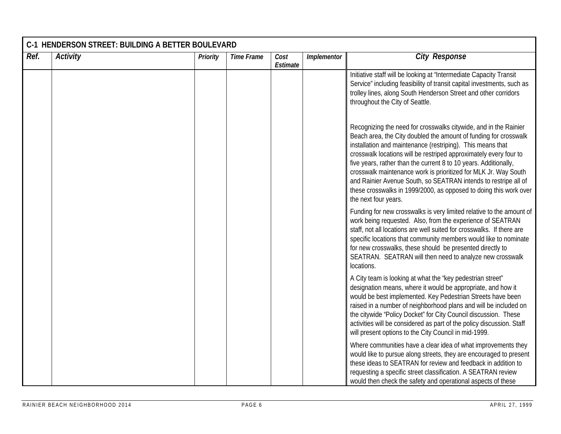| Ref. | <b>Activity</b> | Priority | <b>Time Frame</b> | Cost<br>Estimate | Implementor | <b>City Response</b>                                                                                                                                                                                                                                                                                                                                                                                                                                                                                                                                                           |
|------|-----------------|----------|-------------------|------------------|-------------|--------------------------------------------------------------------------------------------------------------------------------------------------------------------------------------------------------------------------------------------------------------------------------------------------------------------------------------------------------------------------------------------------------------------------------------------------------------------------------------------------------------------------------------------------------------------------------|
|      |                 |          |                   |                  |             | Initiative staff will be looking at "Intermediate Capacity Transit<br>Service" including feasibility of transit capital investments, such as<br>trolley lines, along South Henderson Street and other corridors<br>throughout the City of Seattle.                                                                                                                                                                                                                                                                                                                             |
|      |                 |          |                   |                  |             | Recognizing the need for crosswalks citywide, and in the Rainier<br>Beach area, the City doubled the amount of funding for crosswalk<br>installation and maintenance (restriping). This means that<br>crosswalk locations will be restriped approximately every four to<br>five years, rather than the current 8 to 10 years. Additionally,<br>crosswalk maintenance work is prioritized for MLK Jr. Way South<br>and Rainier Avenue South, so SEATRAN intends to restripe all of<br>these crosswalks in 1999/2000, as opposed to doing this work over<br>the next four years. |
|      |                 |          |                   |                  |             | Funding for new crosswalks is very limited relative to the amount of<br>work being requested. Also, from the experience of SEATRAN<br>staff, not all locations are well suited for crosswalks. If there are<br>specific locations that community members would like to nominate<br>for new crosswalks, these should be presented directly to<br>SEATRAN. SEATRAN will then need to analyze new crosswalk<br>locations.                                                                                                                                                         |
|      |                 |          |                   |                  |             | A City team is looking at what the 'key pedestrian street"<br>designation means, where it would be appropriate, and how it<br>would be best implemented. Key Pedestrian Streets have been<br>raised in a number of neighborhood plans and will be included on<br>the citywide 'Policy Docket" for City Council discussion. These<br>activities will be considered as part of the policy discussion. Staff<br>will present options to the City Council in mid-1999.                                                                                                             |
|      |                 |          |                   |                  |             | Where communities have a clear idea of what improvements they<br>would like to pursue along streets, they are encouraged to present<br>these ideas to SEATRAN for review and feedback in addition to<br>requesting a specific street classification. A SEATRAN review<br>would then check the safety and operational aspects of these                                                                                                                                                                                                                                          |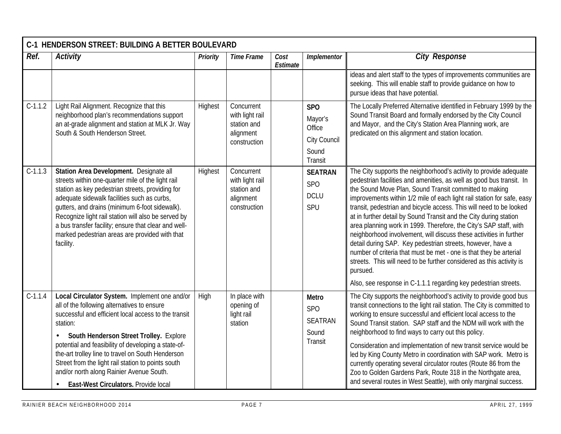|           | C-1 HENDERSON STREET: BUILDING A BETTER BOULEVARD                                                                                                                                                                                                                                                                                                                                                                                                                 |                 |                                                                           |                  |                                                                     |                                                                                                                                                                                                                                                                                                                                                                                                                                                                                                                                                                                                                                                                                                                                                                                                                                                                 |
|-----------|-------------------------------------------------------------------------------------------------------------------------------------------------------------------------------------------------------------------------------------------------------------------------------------------------------------------------------------------------------------------------------------------------------------------------------------------------------------------|-----------------|---------------------------------------------------------------------------|------------------|---------------------------------------------------------------------|-----------------------------------------------------------------------------------------------------------------------------------------------------------------------------------------------------------------------------------------------------------------------------------------------------------------------------------------------------------------------------------------------------------------------------------------------------------------------------------------------------------------------------------------------------------------------------------------------------------------------------------------------------------------------------------------------------------------------------------------------------------------------------------------------------------------------------------------------------------------|
| Ref.      | <b>Activity</b>                                                                                                                                                                                                                                                                                                                                                                                                                                                   | <b>Priority</b> | <b>Time Frame</b>                                                         | Cost<br>Estimate | Implementor                                                         | <b>City Response</b>                                                                                                                                                                                                                                                                                                                                                                                                                                                                                                                                                                                                                                                                                                                                                                                                                                            |
|           |                                                                                                                                                                                                                                                                                                                                                                                                                                                                   |                 |                                                                           |                  |                                                                     | ideas and alert staff to the types of improvements communities are<br>seeking. This will enable staff to provide guidance on how to<br>pursue ideas that have potential.                                                                                                                                                                                                                                                                                                                                                                                                                                                                                                                                                                                                                                                                                        |
| $C-1.1.2$ | Light Rail Alignment. Recognize that this<br>neighborhood plan's recommendations support<br>an at-grade alignment and station at MLK Jr. Way<br>South & South Henderson Street.                                                                                                                                                                                                                                                                                   | Highest         | Concurrent<br>with light rail<br>station and<br>alignment<br>construction |                  | <b>SPO</b><br>Mayor's<br>Office<br>City Council<br>Sound<br>Transit | The Locally Preferred Alternative identified in February 1999 by the<br>Sound Transit Board and formally endorsed by the City Council<br>and Mayor, and the City's Station Area Planning work, are<br>predicated on this alignment and station location.                                                                                                                                                                                                                                                                                                                                                                                                                                                                                                                                                                                                        |
| $C-1.1.3$ | Station Area Development. Designate all<br>streets within one-quarter mile of the light rail<br>station as key pedestrian streets, providing for<br>adequate sidewalk facilities such as curbs,<br>gutters, and drains (minimum 6-foot sidewalk).<br>Recognize light rail station will also be served by<br>a bus transfer facility; ensure that clear and well-<br>marked pedestrian areas are provided with that<br>facility.                                   | Highest         | Concurrent<br>with light rail<br>station and<br>alignment<br>construction |                  | <b>SEATRAN</b><br>SP <sub>O</sub><br><b>DCLU</b><br>SPU             | The City supports the neighborhood's activity to provide adequate<br>pedestrian facilities and amenities, as well as good bus transit. In<br>the Sound Move Plan, Sound Transit committed to making<br>improvements within 1/2 mile of each light rail station for safe, easy<br>transit, pedestrian and bicycle access. This will need to be looked<br>at in further detail by Sound Transit and the City during station<br>area planning work in 1999. Therefore, the City's SAP staff, with<br>neighborhood involvement, will discuss these activities in further<br>detail during SAP. Key pedestrian streets, however, have a<br>number of criteria that must be met - one is that they be arterial<br>streets. This will need to be further considered as this activity is<br>pursued.<br>Also, see response in C-1.1.1 regarding key pedestrian streets. |
| $C-1.1.4$ | Local Circulator System. Implement one and/or<br>all of the following alternatives to ensure<br>successful and efficient local access to the transit<br>station:<br>South Henderson Street Trolley. Explore<br>potential and feasibility of developing a state-of-<br>the-art trolley line to travel on South Henderson<br>Street from the light rail station to points south<br>and/or north along Rainier Avenue South.<br>East-West Circulators. Provide local | High            | In place with<br>opening of<br>light rail<br>station                      |                  | Metro<br>SP <sub>O</sub><br>SEATRAN<br>Sound<br>Transit             | The City supports the neighborhood's activity to provide good bus<br>transit connections to the light rail station. The City is committed to<br>working to ensure successful and efficient local access to the<br>Sound Transit station. SAP staff and the NDM will work with the<br>neighborhood to find ways to carry out this policy.<br>Consideration and implementation of new transit service would be<br>led by King County Metro in coordination with SAP work. Metro is<br>currently operating several circulator routes (Route 86 from the<br>Zoo to Golden Gardens Park, Route 318 in the Northgate area,<br>and several routes in West Seattle), with only marginal success.                                                                                                                                                                        |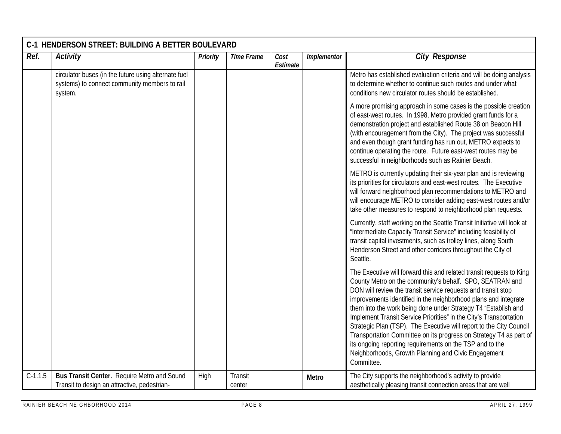| Ref.      | <b>Activity</b>                                                                                                  | Priority | <b>Time Frame</b> | Cost<br>Estimate | Implementor | <b>City Response</b>                                                                                                                                                                                                                                                                                                                                                                                                                                                                                                                                                                                                                                                                       |
|-----------|------------------------------------------------------------------------------------------------------------------|----------|-------------------|------------------|-------------|--------------------------------------------------------------------------------------------------------------------------------------------------------------------------------------------------------------------------------------------------------------------------------------------------------------------------------------------------------------------------------------------------------------------------------------------------------------------------------------------------------------------------------------------------------------------------------------------------------------------------------------------------------------------------------------------|
|           | circulator buses (in the future using alternate fuel<br>systems) to connect community members to rail<br>system. |          |                   |                  |             | Metro has established evaluation criteria and will be doing analysis<br>to determine whether to continue such routes and under what<br>conditions new circulator routes should be established.                                                                                                                                                                                                                                                                                                                                                                                                                                                                                             |
|           |                                                                                                                  |          |                   |                  |             | A more promising approach in some cases is the possible creation<br>of east-west routes. In 1998, Metro provided grant funds for a<br>demonstration project and established Route 38 on Beacon Hill<br>(with encouragement from the City). The project was successful<br>and even though grant funding has run out, METRO expects to<br>continue operating the route. Future east-west routes may be<br>successful in neighborhoods such as Rainier Beach.                                                                                                                                                                                                                                 |
|           |                                                                                                                  |          |                   |                  |             | METRO is currently updating their six-year plan and is reviewing<br>its priorities for circulators and east-west routes. The Executive<br>will forward neighborhood plan recommendations to METRO and<br>will encourage METRO to consider adding east-west routes and/or<br>take other measures to respond to neighborhood plan requests.                                                                                                                                                                                                                                                                                                                                                  |
|           |                                                                                                                  |          |                   |                  |             | Currently, staff working on the Seattle Transit Initiative will look at<br>"Intermediate Capacity Transit Service" including feasibility of<br>transit capital investments, such as trolley lines, along South<br>Henderson Street and other corridors throughout the City of<br>Seattle.                                                                                                                                                                                                                                                                                                                                                                                                  |
|           |                                                                                                                  |          |                   |                  |             | The Executive will forward this and related transit requests to King<br>County Metro on the community's behalf. SPO, SEATRAN and<br>DON will review the transit service requests and transit stop<br>improvements identified in the neighborhood plans and integrate<br>them into the work being done under Strategy T4 "Establish and<br>Implement Transit Service Priorities" in the City's Transportation<br>Strategic Plan (TSP). The Executive will report to the City Council<br>Transportation Committee on its progress on Strategy T4 as part of<br>its ongoing reporting requirements on the TSP and to the<br>Neighborhoods, Growth Planning and Civic Engagement<br>Committee. |
| $C-1.1.5$ | Bus Transit Center. Require Metro and Sound<br>Transit to design an attractive, pedestrian-                      | High     | Transit<br>center |                  | Metro       | The City supports the neighborhood's activity to provide<br>aesthetically pleasing transit connection areas that are well                                                                                                                                                                                                                                                                                                                                                                                                                                                                                                                                                                  |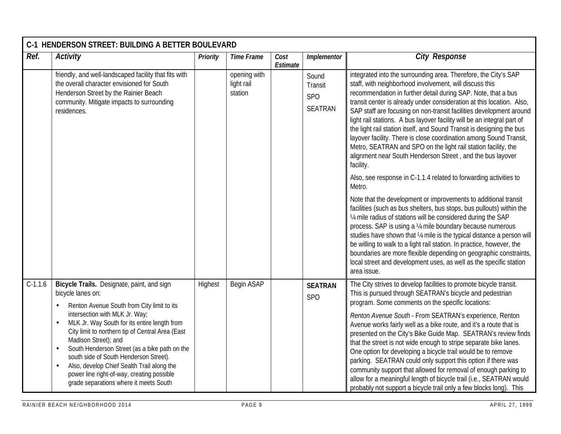|           | C-1 HENDERSON STREET: BUILDING A BETTER BOULEVARD                                                                                                                                                                                                                                                                                                                                                                                                                                                                                                                |          |                                       |                  |                                    |                                                                                                                                                                                                                                                                                                                                                                                                                                                                                                                                                                                                                                                                                                                                                                                                             |
|-----------|------------------------------------------------------------------------------------------------------------------------------------------------------------------------------------------------------------------------------------------------------------------------------------------------------------------------------------------------------------------------------------------------------------------------------------------------------------------------------------------------------------------------------------------------------------------|----------|---------------------------------------|------------------|------------------------------------|-------------------------------------------------------------------------------------------------------------------------------------------------------------------------------------------------------------------------------------------------------------------------------------------------------------------------------------------------------------------------------------------------------------------------------------------------------------------------------------------------------------------------------------------------------------------------------------------------------------------------------------------------------------------------------------------------------------------------------------------------------------------------------------------------------------|
| Ref.      | Activity                                                                                                                                                                                                                                                                                                                                                                                                                                                                                                                                                         | Priority | <b>Time Frame</b>                     | Cost<br>Estimate | Implementor                        | <b>City Response</b>                                                                                                                                                                                                                                                                                                                                                                                                                                                                                                                                                                                                                                                                                                                                                                                        |
|           | friendly, and well-landscaped facility that fits with<br>the overall character envisioned for South<br>Henderson Street by the Rainier Beach<br>community. Mitigate impacts to surrounding<br>residences.                                                                                                                                                                                                                                                                                                                                                        |          | opening with<br>light rail<br>station |                  | Sound<br>Transit<br>SPO<br>SEATRAN | integrated into the surrounding area. Therefore, the City's SAP<br>staff, with neighborhood involvement, will discuss this<br>recommendation in further detail during SAP. Note, that a bus<br>transit center is already under consideration at this location. Also,<br>SAP staff are focusing on non-transit facilities development around<br>light rail stations. A bus layover facility will be an integral part of<br>the light rail station itself, and Sound Transit is designing the bus<br>layover facility. There is close coordination among Sound Transit,<br>Metro, SEATRAN and SPO on the light rail station facility, the<br>alignment near South Henderson Street, and the bus layover<br>facility.                                                                                          |
|           |                                                                                                                                                                                                                                                                                                                                                                                                                                                                                                                                                                  |          |                                       |                  |                                    | Also, see response in C-1.1.4 related to forwarding activities to<br>Metro.                                                                                                                                                                                                                                                                                                                                                                                                                                                                                                                                                                                                                                                                                                                                 |
|           |                                                                                                                                                                                                                                                                                                                                                                                                                                                                                                                                                                  |          |                                       |                  |                                    | Note that the development or improvements to additional transit<br>facilities (such as bus shelters, bus stops, bus pullouts) within the<br>1/4 mile radius of stations will be considered during the SAP<br>process. SAP is using a 1/4 mile boundary because numerous<br>studies have shown that 1/4 mile is the typical distance a person will<br>be willing to walk to a light rail station. In practice, however, the<br>boundaries are more flexible depending on geographic constraints,<br>local street and development uses, as well as the specific station<br>area issue.                                                                                                                                                                                                                        |
| $C-1.1.6$ | Bicycle Trails. Designate, paint, and sign<br>bicycle lanes on:<br>Renton Avenue South from City limit to its<br>$\bullet$<br>intersection with MLK Jr. Way;<br>MLK Jr. Way South for its entire length from<br>$\bullet$<br>City limit to northern tip of Central Area (East<br>Madison Street); and<br>South Henderson Street (as a bike path on the<br>$\bullet$<br>south side of South Henderson Street).<br>Also, develop Chief Sealth Trail along the<br>$\bullet$<br>power line right-of-way, creating possible<br>grade separations where it meets South | Highest  | Begin ASAP                            |                  | <b>SEATRAN</b><br><b>SPO</b>       | The City strives to develop facilities to promote bicycle transit.<br>This is pursued through SEATRAN's bicycle and pedestrian<br>program. Some comments on the specific locations:<br>Renton Avenue South - From SEATRAN's experience, Renton<br>Avenue works fairly well as a bike route, and it's a route that is<br>presented on the City's Bike Guide Map. SEATRAN's review finds<br>that the street is not wide enough to stripe separate bike lanes.<br>One option for developing a bicycle trail would be to remove<br>parking. SEATRAN could only support this option if there was<br>community support that allowed for removal of enough parking to<br>allow for a meaningful length of bicycle trail (i.e., SEATRAN would<br>probably not support a bicycle trail only a few blocks long). This |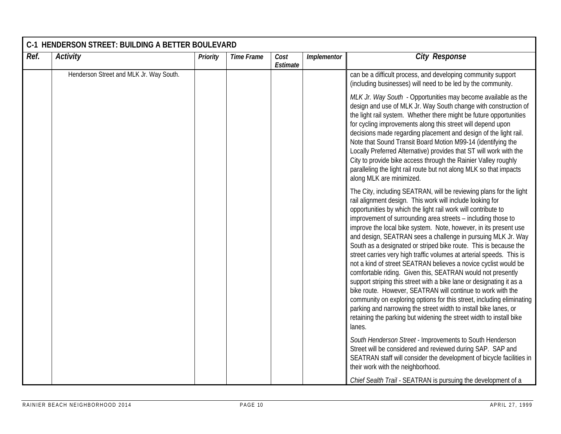| Ref. | <b>Activity</b>                         | Priority | <b>Time Frame</b> | Cost<br>Estimate | Implementor | <b>City Response</b>                                                                                                                                                                                                                                                                                                                                                                                                                                                                                                                                                                                                                                                                                                                                                                                                                                                                                                                                                                                                                                    |
|------|-----------------------------------------|----------|-------------------|------------------|-------------|---------------------------------------------------------------------------------------------------------------------------------------------------------------------------------------------------------------------------------------------------------------------------------------------------------------------------------------------------------------------------------------------------------------------------------------------------------------------------------------------------------------------------------------------------------------------------------------------------------------------------------------------------------------------------------------------------------------------------------------------------------------------------------------------------------------------------------------------------------------------------------------------------------------------------------------------------------------------------------------------------------------------------------------------------------|
|      | Henderson Street and MLK Jr. Way South. |          |                   |                  |             | can be a difficult process, and developing community support<br>(including businesses) will need to be led by the community.                                                                                                                                                                                                                                                                                                                                                                                                                                                                                                                                                                                                                                                                                                                                                                                                                                                                                                                            |
|      |                                         |          |                   |                  |             | MLK Jr. Way South - Opportunities may become available as the<br>design and use of MLK Jr. Way South change with construction of<br>the light rail system. Whether there might be future opportunities<br>for cycling improvements along this street will depend upon<br>decisions made regarding placement and design of the light rail.<br>Note that Sound Transit Board Motion M99-14 (identifying the<br>Locally Preferred Alternative) provides that ST will work with the<br>City to provide bike access through the Rainier Valley roughly<br>paralleling the light rail route but not along MLK so that impacts<br>along MLK are minimized.                                                                                                                                                                                                                                                                                                                                                                                                     |
|      |                                         |          |                   |                  |             | The City, including SEATRAN, will be reviewing plans for the light<br>rail alignment design. This work will include looking for<br>opportunities by which the light rail work will contribute to<br>improvement of surrounding area streets - including those to<br>improve the local bike system. Note, however, in its present use<br>and design, SEATRAN sees a challenge in pursuing MLK Jr. Way<br>South as a designated or striped bike route. This is because the<br>street carries very high traffic volumes at arterial speeds. This is<br>not a kind of street SEATRAN believes a novice cyclist would be<br>comfortable riding. Given this, SEATRAN would not presently<br>support striping this street with a bike lane or designating it as a<br>bike route. However, SEATRAN will continue to work with the<br>community on exploring options for this street, including eliminating<br>parking and narrowing the street width to install bike lanes, or<br>retaining the parking but widening the street width to install bike<br>lanes. |
|      |                                         |          |                   |                  |             | South Henderson Street - Improvements to South Henderson<br>Street will be considered and reviewed during SAP. SAP and<br>SEATRAN staff will consider the development of bicycle facilities in<br>their work with the neighborhood.                                                                                                                                                                                                                                                                                                                                                                                                                                                                                                                                                                                                                                                                                                                                                                                                                     |
|      |                                         |          |                   |                  |             | Chief Sealth Trail - SEATRAN is pursuing the development of a                                                                                                                                                                                                                                                                                                                                                                                                                                                                                                                                                                                                                                                                                                                                                                                                                                                                                                                                                                                           |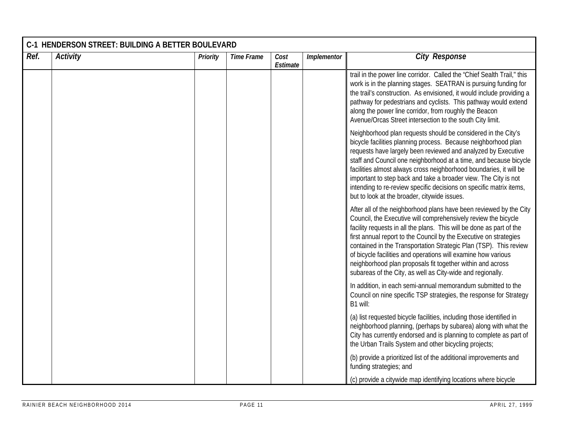| Ref. | <b>Activity</b> | Priority | <b>Time Frame</b> | Cost<br>Estimate | Implementor | <b>City Response</b>                                                                                                                                                                                                                                                                                                                                                                                                                                                                                                                                |
|------|-----------------|----------|-------------------|------------------|-------------|-----------------------------------------------------------------------------------------------------------------------------------------------------------------------------------------------------------------------------------------------------------------------------------------------------------------------------------------------------------------------------------------------------------------------------------------------------------------------------------------------------------------------------------------------------|
|      |                 |          |                   |                  |             | trail in the power line corridor. Called the "Chief Sealth Trail," this<br>work is in the planning stages. SEATRAN is pursuing funding for<br>the trail's construction. As envisioned, it would include providing a<br>pathway for pedestrians and cyclists. This pathway would extend<br>along the power line corridor, from roughly the Beacon<br>Avenue/Orcas Street intersection to the south City limit.                                                                                                                                       |
|      |                 |          |                   |                  |             | Neighborhood plan requests should be considered in the City's<br>bicycle facilities planning process. Because neighborhood plan<br>requests have largely been reviewed and analyzed by Executive<br>staff and Council one neighborhood at a time, and because bicycle<br>facilities almost always cross neighborhood boundaries, it will be<br>important to step back and take a broader view. The City is not<br>intending to re-review specific decisions on specific matrix items,<br>but to look at the broader, citywide issues.               |
|      |                 |          |                   |                  |             | After all of the neighborhood plans have been reviewed by the City<br>Council, the Executive will comprehensively review the bicycle<br>facility requests in all the plans. This will be done as part of the<br>first annual report to the Council by the Executive on strategies<br>contained in the Transportation Strategic Plan (TSP). This review<br>of bicycle facilities and operations will examine how various<br>neighborhood plan proposals fit together within and across<br>subareas of the City, as well as City-wide and regionally. |
|      |                 |          |                   |                  |             | In addition, in each semi-annual memorandum submitted to the<br>Council on nine specific TSP strategies, the response for Strategy<br>B1 will:                                                                                                                                                                                                                                                                                                                                                                                                      |
|      |                 |          |                   |                  |             | (a) list requested bicycle facilities, including those identified in<br>neighborhood planning, (perhaps by subarea) along with what the<br>City has currently endorsed and is planning to complete as part of<br>the Urban Trails System and other bicycling projects;                                                                                                                                                                                                                                                                              |
|      |                 |          |                   |                  |             | (b) provide a prioritized list of the additional improvements and<br>funding strategies; and                                                                                                                                                                                                                                                                                                                                                                                                                                                        |
|      |                 |          |                   |                  |             | (c) provide a citywide map identifying locations where bicycle                                                                                                                                                                                                                                                                                                                                                                                                                                                                                      |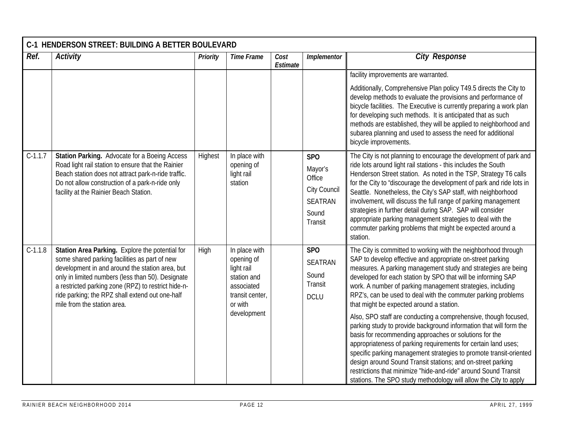| Ref.      | <b>Activity</b>                                                                                                                                                                                                                                                                                                                                   | <b>Priority</b> | <b>Time Frame</b>                                                                                                   | Cost     | Implementor                                                                           | <b>City Response</b>                                                                                                                                                                                                                                                                                                                                                                                                                                                                                                                                                                                                    |
|-----------|---------------------------------------------------------------------------------------------------------------------------------------------------------------------------------------------------------------------------------------------------------------------------------------------------------------------------------------------------|-----------------|---------------------------------------------------------------------------------------------------------------------|----------|---------------------------------------------------------------------------------------|-------------------------------------------------------------------------------------------------------------------------------------------------------------------------------------------------------------------------------------------------------------------------------------------------------------------------------------------------------------------------------------------------------------------------------------------------------------------------------------------------------------------------------------------------------------------------------------------------------------------------|
|           |                                                                                                                                                                                                                                                                                                                                                   |                 |                                                                                                                     | Estimate |                                                                                       |                                                                                                                                                                                                                                                                                                                                                                                                                                                                                                                                                                                                                         |
|           |                                                                                                                                                                                                                                                                                                                                                   |                 |                                                                                                                     |          |                                                                                       | facility improvements are warranted.                                                                                                                                                                                                                                                                                                                                                                                                                                                                                                                                                                                    |
|           |                                                                                                                                                                                                                                                                                                                                                   |                 |                                                                                                                     |          |                                                                                       | Additionally, Comprehensive Plan policy T49.5 directs the City to<br>develop methods to evaluate the provisions and performance of<br>bicycle facilities. The Executive is currently preparing a work plan<br>for developing such methods. It is anticipated that as such<br>methods are established, they will be applied to neighborhood and<br>subarea planning and used to assess the need for additional<br>bicycle improvements.                                                                                                                                                                                  |
| $C-1.1.7$ | Station Parking. Advocate for a Boeing Access<br>Road light rail station to ensure that the Rainier<br>Beach station does not attract park-n-ride traffic.<br>Do not allow construction of a park-n-ride only<br>facility at the Rainier Beach Station.                                                                                           | Highest         | In place with<br>opening of<br>light rail<br>station                                                                |          | <b>SPO</b><br>Mayor's<br>Office<br>City Council<br><b>SEATRAN</b><br>Sound<br>Transit | The City is not planning to encourage the development of park and<br>ride lots around light rail stations - this includes the South<br>Henderson Street station. As noted in the TSP, Strategy T6 calls<br>for the City to "discourage the development of park and ride lots in<br>Seattle. Nonetheless, the City's SAP staff, with neighborhood<br>involvement, will discuss the full range of parking management<br>strategies in further detail during SAP. SAP will consider<br>appropriate parking management strategies to deal with the<br>commuter parking problems that might be expected around a<br>station. |
| $C-1.1.8$ | Station Area Parking. Explore the potential for<br>some shared parking facilities as part of new<br>development in and around the station area, but<br>only in limited numbers (less than 50). Designate<br>a restricted parking zone (RPZ) to restrict hide-n-<br>ride parking; the RPZ shall extend out one-half<br>mile from the station area. | High            | In place with<br>opening of<br>light rail<br>station and<br>associated<br>transit center,<br>or with<br>development |          | <b>SPO</b><br><b>SEATRAN</b><br>Sound<br>Transit<br><b>DCLU</b>                       | The City is committed to working with the neighborhood through<br>SAP to develop effective and appropriate on-street parking<br>measures. A parking management study and strategies are being<br>developed for each station by SPO that will be informing SAP<br>work. A number of parking management strategies, including<br>RPZ's, can be used to deal with the commuter parking problems<br>that might be expected around a station.                                                                                                                                                                                |
|           |                                                                                                                                                                                                                                                                                                                                                   |                 |                                                                                                                     |          |                                                                                       | Also, SPO staff are conducting a comprehensive, though focused,<br>parking study to provide background information that will form the<br>basis for recommending approaches or solutions for the<br>appropriateness of parking requirements for certain land uses;<br>specific parking management strategies to promote transit-oriented<br>design around Sound Transit stations; and on-street parking<br>restrictions that minimize "hide-and-ride" around Sound Transit<br>stations. The SPO study methodology will allow the City to apply                                                                           |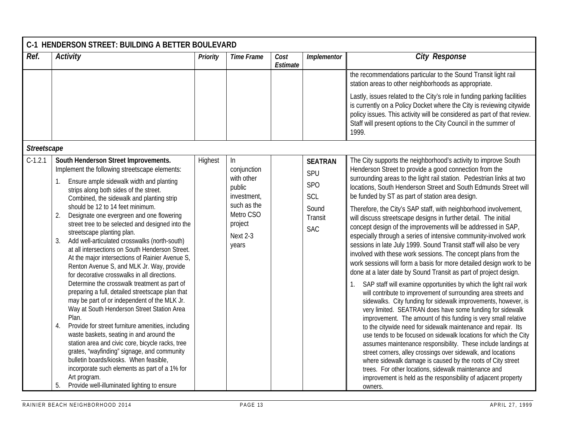|             | C-1 HENDERSON STREET: BUILDING A BETTER BOULEVARD                                                                                                                                                                                                                                                                                                                                                                                                                                                                                                                                                                                                                                                                                                                                                                                                                                                                                                                                                                                                                                                                                                                                                                                                      |                 |                                                                                                                         |                  |                                                                              |                                                                                                                                                                                                                                                                                                                                                                                                                                                                                                                                                                                                                                                                                                                                                                                                                                                                                                                                                                                                                                                                                                                                                                                                                                                                                                                                                                                                                                                                                                                                                                                                                                                                                                           |
|-------------|--------------------------------------------------------------------------------------------------------------------------------------------------------------------------------------------------------------------------------------------------------------------------------------------------------------------------------------------------------------------------------------------------------------------------------------------------------------------------------------------------------------------------------------------------------------------------------------------------------------------------------------------------------------------------------------------------------------------------------------------------------------------------------------------------------------------------------------------------------------------------------------------------------------------------------------------------------------------------------------------------------------------------------------------------------------------------------------------------------------------------------------------------------------------------------------------------------------------------------------------------------|-----------------|-------------------------------------------------------------------------------------------------------------------------|------------------|------------------------------------------------------------------------------|-----------------------------------------------------------------------------------------------------------------------------------------------------------------------------------------------------------------------------------------------------------------------------------------------------------------------------------------------------------------------------------------------------------------------------------------------------------------------------------------------------------------------------------------------------------------------------------------------------------------------------------------------------------------------------------------------------------------------------------------------------------------------------------------------------------------------------------------------------------------------------------------------------------------------------------------------------------------------------------------------------------------------------------------------------------------------------------------------------------------------------------------------------------------------------------------------------------------------------------------------------------------------------------------------------------------------------------------------------------------------------------------------------------------------------------------------------------------------------------------------------------------------------------------------------------------------------------------------------------------------------------------------------------------------------------------------------------|
| Ref.        | <b>Activity</b>                                                                                                                                                                                                                                                                                                                                                                                                                                                                                                                                                                                                                                                                                                                                                                                                                                                                                                                                                                                                                                                                                                                                                                                                                                        | <b>Priority</b> | <b>Time Frame</b>                                                                                                       | Cost<br>Estimate | Implementor                                                                  | <b>City Response</b>                                                                                                                                                                                                                                                                                                                                                                                                                                                                                                                                                                                                                                                                                                                                                                                                                                                                                                                                                                                                                                                                                                                                                                                                                                                                                                                                                                                                                                                                                                                                                                                                                                                                                      |
|             |                                                                                                                                                                                                                                                                                                                                                                                                                                                                                                                                                                                                                                                                                                                                                                                                                                                                                                                                                                                                                                                                                                                                                                                                                                                        |                 |                                                                                                                         |                  |                                                                              | the recommendations particular to the Sound Transit light rail<br>station areas to other neighborhoods as appropriate.                                                                                                                                                                                                                                                                                                                                                                                                                                                                                                                                                                                                                                                                                                                                                                                                                                                                                                                                                                                                                                                                                                                                                                                                                                                                                                                                                                                                                                                                                                                                                                                    |
|             |                                                                                                                                                                                                                                                                                                                                                                                                                                                                                                                                                                                                                                                                                                                                                                                                                                                                                                                                                                                                                                                                                                                                                                                                                                                        |                 |                                                                                                                         |                  |                                                                              | Lastly, issues related to the City's role in funding parking facilities<br>is currently on a Policy Docket where the City is reviewing citywide<br>policy issues. This activity will be considered as part of that review.<br>Staff will present options to the City Council in the summer of<br>1999.                                                                                                                                                                                                                                                                                                                                                                                                                                                                                                                                                                                                                                                                                                                                                                                                                                                                                                                                                                                                                                                                                                                                                                                                                                                                                                                                                                                                    |
| Streetscape |                                                                                                                                                                                                                                                                                                                                                                                                                                                                                                                                                                                                                                                                                                                                                                                                                                                                                                                                                                                                                                                                                                                                                                                                                                                        |                 |                                                                                                                         |                  |                                                                              |                                                                                                                                                                                                                                                                                                                                                                                                                                                                                                                                                                                                                                                                                                                                                                                                                                                                                                                                                                                                                                                                                                                                                                                                                                                                                                                                                                                                                                                                                                                                                                                                                                                                                                           |
| $C-1.2.1$   | South Henderson Street Improvements.<br>Implement the following streetscape elements:<br>Ensure ample sidewalk width and planting<br>1.<br>strips along both sides of the street.<br>Combined, the sidewalk and planting strip<br>should be 12 to 14 feet minimum.<br>2.<br>Designate one evergreen and one flowering<br>street tree to be selected and designed into the<br>streetscape planting plan.<br>Add well-articulated crosswalks (north-south)<br>3.<br>at all intersections on South Henderson Street.<br>At the major intersections of Rainier Avenue S,<br>Renton Avenue S, and MLK Jr. Way, provide<br>for decorative crosswalks in all directions.<br>Determine the crosswalk treatment as part of<br>preparing a full, detailed streetscape plan that<br>may be part of or independent of the MLK Jr.<br>Way at South Henderson Street Station Area<br>Plan.<br>4.<br>Provide for street furniture amenities, including<br>waste baskets, seating in and around the<br>station area and civic core, bicycle racks, tree<br>grates, "wayfinding" signage, and community<br>bulletin boards/kiosks. When feasible,<br>incorporate such elements as part of a 1% for<br>Art program.<br>Provide well-illuminated lighting to ensure<br>5. | Highest         | $\ln$<br>conjunction<br>with other<br>public<br>investment,<br>such as the<br>Metro CSO<br>project<br>Next 2-3<br>years |                  | <b>SEATRAN</b><br>SPU<br><b>SPO</b><br>SCL<br>Sound<br>Transit<br><b>SAC</b> | The City supports the neighborhood's activity to improve South<br>Henderson Street to provide a good connection from the<br>surrounding areas to the light rail station. Pedestrian links at two<br>locations, South Henderson Street and South Edmunds Street will<br>be funded by ST as part of station area design.<br>Therefore, the City's SAP staff, with neighborhood involvement,<br>will discuss streetscape designs in further detail. The initial<br>concept design of the improvements will be addressed in SAP,<br>especially through a series of intensive community-involved work<br>sessions in late July 1999. Sound Transit staff will also be very<br>involved with these work sessions. The concept plans from the<br>work sessions will form a basis for more detailed design work to be<br>done at a later date by Sound Transit as part of project design.<br>SAP staff will examine opportunities by which the light rail work<br>1.<br>will contribute to improvement of surrounding area streets and<br>sidewalks. City funding for sidewalk improvements, however, is<br>very limited. SEATRAN does have some funding for sidewalk<br>improvement. The amount of this funding is very small relative<br>to the citywide need for sidewalk maintenance and repair. Its<br>use tends to be focused on sidewalk locations for which the City<br>assumes maintenance responsibility. These include landings at<br>street corners, alley crossings over sidewalk, and locations<br>where sidewalk damage is caused by the roots of City street<br>trees. For other locations, sidewalk maintenance and<br>improvement is held as the responsibility of adjacent property<br>owners. |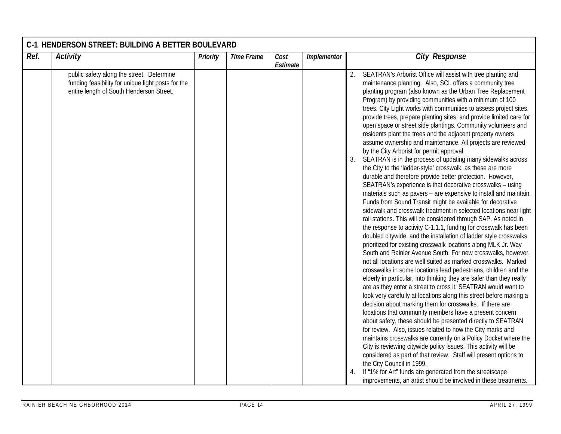| Ref.<br><b>Activity</b>                                                                                                                     | Priority | <b>Time Frame</b> | Cost<br>Estimate | Implementor | <b>City Response</b>                                                                                                                                                                                                                                                                                                                                                                                                                                                                                                                                                                                                                                                                                                                                                                                                                                                                                                                                                                                                                                                                                                                                                                                                                                                                                                                                                                                                                                                                                                                                                                                                                                                                                                                                                                                                                                                                                                                                                                                                                                                                                                                                                                                                                                                                                                                                                                                                                       |
|---------------------------------------------------------------------------------------------------------------------------------------------|----------|-------------------|------------------|-------------|--------------------------------------------------------------------------------------------------------------------------------------------------------------------------------------------------------------------------------------------------------------------------------------------------------------------------------------------------------------------------------------------------------------------------------------------------------------------------------------------------------------------------------------------------------------------------------------------------------------------------------------------------------------------------------------------------------------------------------------------------------------------------------------------------------------------------------------------------------------------------------------------------------------------------------------------------------------------------------------------------------------------------------------------------------------------------------------------------------------------------------------------------------------------------------------------------------------------------------------------------------------------------------------------------------------------------------------------------------------------------------------------------------------------------------------------------------------------------------------------------------------------------------------------------------------------------------------------------------------------------------------------------------------------------------------------------------------------------------------------------------------------------------------------------------------------------------------------------------------------------------------------------------------------------------------------------------------------------------------------------------------------------------------------------------------------------------------------------------------------------------------------------------------------------------------------------------------------------------------------------------------------------------------------------------------------------------------------------------------------------------------------------------------------------------------------|
| public safety along the street. Determine<br>funding feasibility for unique light posts for the<br>entire length of South Henderson Street. |          |                   |                  |             | SEATRAN's Arborist Office will assist with tree planting and<br>2.<br>maintenance planning. Also, SCL offers a community tree<br>planting program (also known as the Urban Tree Replacement<br>Program) by providing communities with a minimum of 100<br>trees. City Light works with communities to assess project sites,<br>provide trees, prepare planting sites, and provide limited care for<br>open space or street side plantings. Community volunteers and<br>residents plant the trees and the adjacent property owners<br>assume ownership and maintenance. All projects are reviewed<br>by the City Arborist for permit approval.<br>SEATRAN is in the process of updating many sidewalks across<br>the City to the 'ladder-style' crosswalk, as these are more<br>durable and therefore provide better protection. However,<br>SEATRAN's experience is that decorative crosswalks - using<br>materials such as pavers - are expensive to install and maintain.<br>Funds from Sound Transit might be available for decorative<br>sidewalk and crosswalk treatment in selected locations near light<br>rail stations. This will be considered through SAP. As noted in<br>the response to activity C-1.1.1, funding for crosswalk has been<br>doubled citywide, and the installation of ladder style crosswalks<br>prioritized for existing crosswalk locations along MLK Jr. Way<br>South and Rainier Avenue South. For new crosswalks, however,<br>not all locations are well suited as marked crosswalks. Marked<br>crosswalks in some locations lead pedestrians, children and the<br>elderly in particular, into thinking they are safer than they really<br>are as they enter a street to cross it. SEATRAN would want to<br>look very carefully at locations along this street before making a<br>decision about marking them for crosswalks. If there are<br>locations that community members have a present concern<br>about safety, these should be presented directly to SEATRAN<br>for review. Also, issues related to how the City marks and<br>maintains crosswalks are currently on a Policy Docket where the<br>City is reviewing citywide policy issues. This activity will be<br>considered as part of that review. Staff will present options to<br>the City Council in 1999.<br>If "1% for Art" funds are generated from the streetscape<br>improvements, an artist should be involved in these treatments. |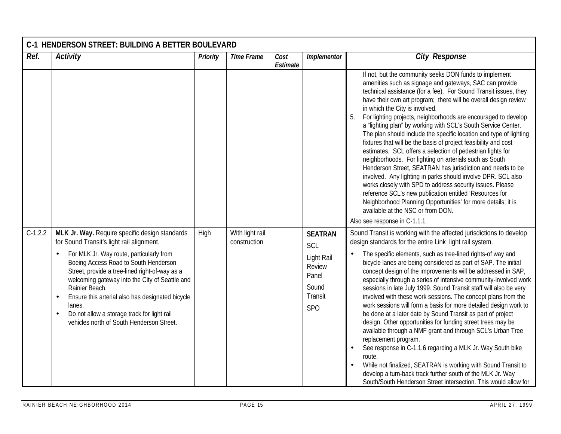| Ref.      | <b>Activity</b>                                                                                                                                                                                                                                                                                                                                                                             | Priority | <b>Time Frame</b> | Cost<br>Estimate | Implementor                                                          | <b>City Response</b>                                                                                                                                                                                                                                                                                                                                                                                                                                                                                                                                                                                                                                                                                                                                                                                                                                                                                                                                                                                                                                            |
|-----------|---------------------------------------------------------------------------------------------------------------------------------------------------------------------------------------------------------------------------------------------------------------------------------------------------------------------------------------------------------------------------------------------|----------|-------------------|------------------|----------------------------------------------------------------------|-----------------------------------------------------------------------------------------------------------------------------------------------------------------------------------------------------------------------------------------------------------------------------------------------------------------------------------------------------------------------------------------------------------------------------------------------------------------------------------------------------------------------------------------------------------------------------------------------------------------------------------------------------------------------------------------------------------------------------------------------------------------------------------------------------------------------------------------------------------------------------------------------------------------------------------------------------------------------------------------------------------------------------------------------------------------|
|           |                                                                                                                                                                                                                                                                                                                                                                                             |          |                   |                  |                                                                      | If not, but the community seeks DON funds to implement<br>amenities such as signage and gateways, SAC can provide<br>technical assistance (for a fee). For Sound Transit issues, they<br>have their own art program; there will be overall design review<br>in which the City is involved.<br>5.<br>For lighting projects, neighborhoods are encouraged to develop<br>a "lighting plan" by working with SCL's South Service Center.<br>The plan should include the specific location and type of lighting<br>fixtures that will be the basis of project feasibility and cost<br>estimates. SCL offers a selection of pedestrian lights for<br>neighborhoods. For lighting on arterials such as South<br>Henderson Street, SEATRAN has jurisdiction and needs to be<br>involved. Any lighting in parks should involve DPR. SCL also<br>works closely with SPD to address security issues. Please<br>reference SCL's new publication entitled 'Resources for<br>Neighborhood Planning Opportunities' for more details; it is<br>available at the NSC or from DON. |
| $C-1.2.2$ | MLK Jr. Way. Require specific design standards                                                                                                                                                                                                                                                                                                                                              | High     | With light rail   |                  | <b>SEATRAN</b>                                                       | Also see response in C-1.1.1.<br>Sound Transit is working with the affected jurisdictions to develop                                                                                                                                                                                                                                                                                                                                                                                                                                                                                                                                                                                                                                                                                                                                                                                                                                                                                                                                                            |
|           | for Sound Transit's light rail alignment.                                                                                                                                                                                                                                                                                                                                                   |          | construction      |                  | SCL                                                                  | design standards for the entire Link light rail system.                                                                                                                                                                                                                                                                                                                                                                                                                                                                                                                                                                                                                                                                                                                                                                                                                                                                                                                                                                                                         |
|           | For MLK Jr. Way route, particularly from<br>Boeing Access Road to South Henderson<br>Street, provide a tree-lined right-of-way as a<br>welcoming gateway into the City of Seattle and<br>Rainier Beach.<br>Ensure this arterial also has designated bicycle<br>$\bullet$<br>lanes.<br>Do not allow a storage track for light rail<br>$\bullet$<br>vehicles north of South Henderson Street. |          |                   |                  | Light Rail<br>Review<br>Panel<br>Sound<br>Transit<br>SP <sub>O</sub> | The specific elements, such as tree-lined rights-of way and<br>$\bullet$<br>bicycle lanes are being considered as part of SAP. The initial<br>concept design of the improvements will be addressed in SAP,<br>especially through a series of intensive community-involved work<br>sessions in late July 1999. Sound Transit staff will also be very<br>involved with these work sessions. The concept plans from the<br>work sessions will form a basis for more detailed design work to<br>be done at a later date by Sound Transit as part of project<br>design. Other opportunities for funding street trees may be<br>available through a NMF grant and through SCL's Urban Tree<br>replacement program.<br>See response in C-1.1.6 regarding a MLK Jr. Way South bike<br>route.<br>While not finalized, SEATRAN is working with Sound Transit to<br>develop a turn-back track further south of the MLK Jr. Way<br>South/South Henderson Street intersection. This would allow for                                                                          |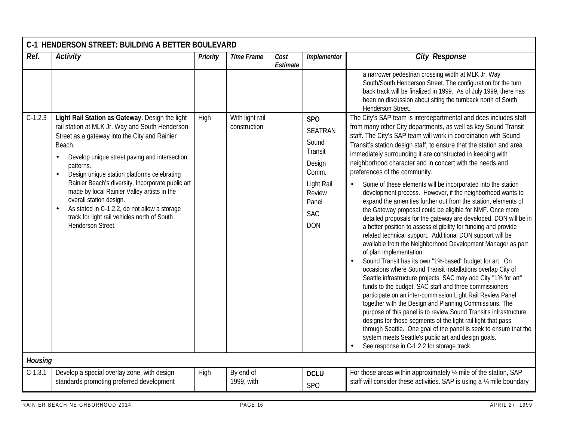|                | C-1 HENDERSON STREET: BUILDING A BETTER BOULEVARD                                                                                                                                                                                                                                                                                                                                                                                                                                                                              |                 |                                 |                  |                                                                                                                                         |                                                                                                                                                                                                                                                                                                                                                                                                                                                                                                                                                                                                                                                                                                                                                                                                                                                                                                                                                                                                                                                                                                                                                                                                                                                                                                |  |  |  |  |
|----------------|--------------------------------------------------------------------------------------------------------------------------------------------------------------------------------------------------------------------------------------------------------------------------------------------------------------------------------------------------------------------------------------------------------------------------------------------------------------------------------------------------------------------------------|-----------------|---------------------------------|------------------|-----------------------------------------------------------------------------------------------------------------------------------------|------------------------------------------------------------------------------------------------------------------------------------------------------------------------------------------------------------------------------------------------------------------------------------------------------------------------------------------------------------------------------------------------------------------------------------------------------------------------------------------------------------------------------------------------------------------------------------------------------------------------------------------------------------------------------------------------------------------------------------------------------------------------------------------------------------------------------------------------------------------------------------------------------------------------------------------------------------------------------------------------------------------------------------------------------------------------------------------------------------------------------------------------------------------------------------------------------------------------------------------------------------------------------------------------|--|--|--|--|
| Ref.           | <b>Activity</b>                                                                                                                                                                                                                                                                                                                                                                                                                                                                                                                | <b>Priority</b> | <b>Time Frame</b>               | Cost<br>Estimate | Implementor                                                                                                                             | <b>City Response</b>                                                                                                                                                                                                                                                                                                                                                                                                                                                                                                                                                                                                                                                                                                                                                                                                                                                                                                                                                                                                                                                                                                                                                                                                                                                                           |  |  |  |  |
| $C-1.2.3$      | Light Rail Station as Gateway. Design the light<br>rail station at MLK Jr. Way and South Henderson<br>Street as a gateway into the City and Rainier<br>Beach.<br>Develop unique street paving and intersection<br>patterns.<br>Design unique station platforms celebrating<br>Rainier Beach's diversity. Incorporate public art<br>made by local Rainier Valley artists in the<br>overall station design.<br>As stated in C-1.2.2, do not allow a storage<br>track for light rail vehicles north of South<br>Henderson Street. | High            | With light rail<br>construction |                  | <b>SPO</b><br><b>SEATRAN</b><br>Sound<br>Transit<br>Design<br>Comm.<br>Light Rail<br><b>Review</b><br>Panel<br><b>SAC</b><br><b>DON</b> | a narrower pedestrian crossing width at MLK Jr. Way<br>South/South Henderson Street. The configuration for the turn<br>back track will be finalized in 1999. As of July 1999, there has<br>been no discussion about siting the turnback north of South<br>Henderson Street.<br>The City's SAP team is interdepartmental and does includes staff<br>from many other City departments, as well as key Sound Transit<br>staff. The City's SAP team will work in coordination with Sound<br>Transit's station design staff, to ensure that the station and area<br>immediately surrounding it are constructed in keeping with<br>neighborhood character and in concert with the needs and<br>preferences of the community.<br>Some of these elements will be incorporated into the station<br>$\bullet$<br>development process. However, if the neighborhood wants to<br>expand the amenities further out from the station, elements of<br>the Gateway proposal could be eligible for NMF. Once more<br>detailed proposals for the gateway are developed, DON will be in<br>a better position to assess eligibility for funding and provide<br>related technical support. Additional DON support will be<br>available from the Neighborhood Development Manager as part<br>of plan implementation. |  |  |  |  |
| <b>Housing</b> |                                                                                                                                                                                                                                                                                                                                                                                                                                                                                                                                |                 |                                 |                  |                                                                                                                                         | Sound Transit has its own "1%-based" budget for art. On<br>occasions where Sound Transit installations overlap City of<br>Seattle infrastructure projects, SAC may add City "1% for art"<br>funds to the budget. SAC staff and three commissioners<br>participate on an inter-commission Light Rail Review Panel<br>together with the Design and Planning Commissions. The<br>purpose of this panel is to review Sound Transit's infrastructure<br>designs for those segments of the light rail light that pass<br>through Seattle. One goal of the panel is seek to ensure that the<br>system meets Seattle's public art and design goals.<br>See response in C-1.2.2 for storage track.                                                                                                                                                                                                                                                                                                                                                                                                                                                                                                                                                                                                      |  |  |  |  |
| $C-1.3.1$      | Develop a special overlay zone, with design                                                                                                                                                                                                                                                                                                                                                                                                                                                                                    | High            | By end of                       |                  | <b>DCLU</b>                                                                                                                             | For those areas within approximately 1/4 mile of the station, SAP                                                                                                                                                                                                                                                                                                                                                                                                                                                                                                                                                                                                                                                                                                                                                                                                                                                                                                                                                                                                                                                                                                                                                                                                                              |  |  |  |  |
|                | standards promoting preferred development                                                                                                                                                                                                                                                                                                                                                                                                                                                                                      |                 | 1999, with                      |                  | <b>SPO</b>                                                                                                                              | staff will consider these activities. SAP is using a 1/4 mile boundary                                                                                                                                                                                                                                                                                                                                                                                                                                                                                                                                                                                                                                                                                                                                                                                                                                                                                                                                                                                                                                                                                                                                                                                                                         |  |  |  |  |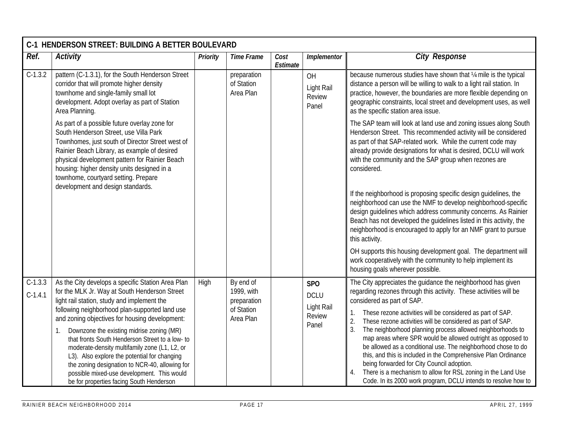|                        | C-1 HENDERSON STREET: BUILDING A BETTER BOULEVARD                                                                                                                                                                                                                                                                                                                                                                                                                                                                                                                                                        |          |                                                                   |                  |                                                            |                                                                                                                                                                                                                                                                                                                                                                                                                                                                                                                                                                                                                                                                                                                                                               |  |  |  |  |  |
|------------------------|----------------------------------------------------------------------------------------------------------------------------------------------------------------------------------------------------------------------------------------------------------------------------------------------------------------------------------------------------------------------------------------------------------------------------------------------------------------------------------------------------------------------------------------------------------------------------------------------------------|----------|-------------------------------------------------------------------|------------------|------------------------------------------------------------|---------------------------------------------------------------------------------------------------------------------------------------------------------------------------------------------------------------------------------------------------------------------------------------------------------------------------------------------------------------------------------------------------------------------------------------------------------------------------------------------------------------------------------------------------------------------------------------------------------------------------------------------------------------------------------------------------------------------------------------------------------------|--|--|--|--|--|
| Ref.                   | <b>Activity</b>                                                                                                                                                                                                                                                                                                                                                                                                                                                                                                                                                                                          | Priority | <b>Time Frame</b>                                                 | Cost<br>Estimate | Implementor                                                | <b>City Response</b>                                                                                                                                                                                                                                                                                                                                                                                                                                                                                                                                                                                                                                                                                                                                          |  |  |  |  |  |
| $C-1.3.2$              | pattern (C-1.3.1), for the South Henderson Street<br>corridor that will promote higher density<br>townhome and single-family small lot<br>development. Adopt overlay as part of Station<br>Area Planning.                                                                                                                                                                                                                                                                                                                                                                                                |          | preparation<br>of Station<br>Area Plan                            |                  | OH<br>Light Rail<br>Review<br>Panel                        | because numerous studies have shown that 1/4 mile is the typical<br>distance a person will be willing to walk to a light rail station. In<br>practice, however, the boundaries are more flexible depending on<br>geographic constraints, local street and development uses, as well<br>as the specific station area issue.                                                                                                                                                                                                                                                                                                                                                                                                                                    |  |  |  |  |  |
|                        | As part of a possible future overlay zone for<br>South Henderson Street, use Villa Park<br>Townhomes, just south of Director Street west of<br>Rainier Beach Library, as example of desired<br>physical development pattern for Rainier Beach<br>housing: higher density units designed in a<br>townhome, courtyard setting. Prepare<br>development and design standards.                                                                                                                                                                                                                                |          |                                                                   |                  |                                                            | The SAP team will look at land use and zoning issues along South<br>Henderson Street. This recommended activity will be considered<br>as part of that SAP-related work. While the current code may<br>already provide designations for what is desired, DCLU will work<br>with the community and the SAP group when rezones are<br>considered.<br>If the neighborhood is proposing specific design guidelines, the                                                                                                                                                                                                                                                                                                                                            |  |  |  |  |  |
|                        |                                                                                                                                                                                                                                                                                                                                                                                                                                                                                                                                                                                                          |          |                                                                   |                  |                                                            | neighborhood can use the NMF to develop neighborhood-specific<br>design guidelines which address community concerns. As Rainier<br>Beach has not developed the quidelines listed in this activity, the<br>neighborhood is encouraged to apply for an NMF grant to pursue<br>this activity.                                                                                                                                                                                                                                                                                                                                                                                                                                                                    |  |  |  |  |  |
|                        |                                                                                                                                                                                                                                                                                                                                                                                                                                                                                                                                                                                                          |          |                                                                   |                  |                                                            | OH supports this housing development goal. The department will<br>work cooperatively with the community to help implement its<br>housing goals wherever possible.                                                                                                                                                                                                                                                                                                                                                                                                                                                                                                                                                                                             |  |  |  |  |  |
| $C-1.3.3$<br>$C-1.4.1$ | As the City develops a specific Station Area Plan<br>for the MLK Jr. Way at South Henderson Street<br>light rail station, study and implement the<br>following neighborhood plan-supported land use<br>and zoning objectives for housing development:<br>Downzone the existing midrise zoning (MR)<br>1.<br>that fronts South Henderson Street to a low- to<br>moderate-density multifamily zone (L1, L2, or<br>L3). Also explore the potential for changing<br>the zoning designation to NCR-40, allowing for<br>possible mixed-use development. This would<br>be for properties facing South Henderson | High     | By end of<br>1999, with<br>preparation<br>of Station<br>Area Plan |                  | <b>SPO</b><br><b>DCLU</b><br>Light Rail<br>Review<br>Panel | The City appreciates the guidance the neighborhood has given<br>regarding rezones through this activity. These activities will be<br>considered as part of SAP.<br>These rezone activities will be considered as part of SAP.<br>1.<br>These rezone activities will be considered as part of SAP.<br>2.<br>The neighborhood planning process allowed neighborhoods to<br>3.<br>map areas where SPR would be allowed outright as opposed to<br>be allowed as a conditional use. The neighborhood chose to do<br>this, and this is included in the Comprehensive Plan Ordinance<br>being forwarded for City Council adoption.<br>There is a mechanism to allow for RSL zoning in the Land Use<br>Code. In its 2000 work program, DCLU intends to resolve how to |  |  |  |  |  |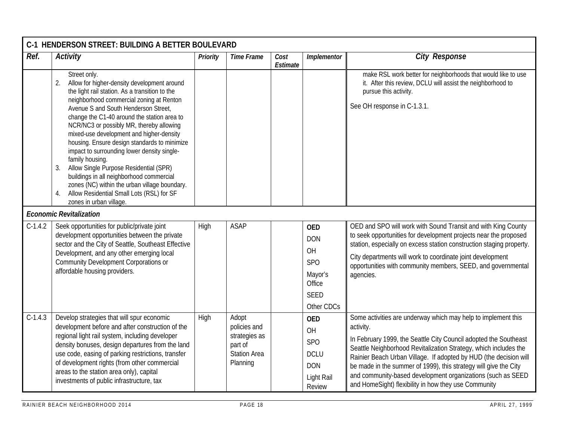|           | C-1 HENDERSON STREET: BUILDING A BETTER BOULEVARD                                                                                                                                                                                                                                                                                                                                                                                                                                                                                                                                                                                                                                           |          |                                                                                      |                  |                                                                                                |                                                                                                                                                                                                                                                                                                                                                                                                                                                                                    |  |  |  |  |
|-----------|---------------------------------------------------------------------------------------------------------------------------------------------------------------------------------------------------------------------------------------------------------------------------------------------------------------------------------------------------------------------------------------------------------------------------------------------------------------------------------------------------------------------------------------------------------------------------------------------------------------------------------------------------------------------------------------------|----------|--------------------------------------------------------------------------------------|------------------|------------------------------------------------------------------------------------------------|------------------------------------------------------------------------------------------------------------------------------------------------------------------------------------------------------------------------------------------------------------------------------------------------------------------------------------------------------------------------------------------------------------------------------------------------------------------------------------|--|--|--|--|
| Ref.      | <b>Activity</b>                                                                                                                                                                                                                                                                                                                                                                                                                                                                                                                                                                                                                                                                             | Priority | <b>Time Frame</b>                                                                    | Cost<br>Estimate | Implementor                                                                                    | <b>City Response</b>                                                                                                                                                                                                                                                                                                                                                                                                                                                               |  |  |  |  |
|           | Street only.<br>Allow for higher-density development around<br>2.<br>the light rail station. As a transition to the<br>neighborhood commercial zoning at Renton<br>Avenue S and South Henderson Street,<br>change the C1-40 around the station area to<br>NCR/NC3 or possibly MR, thereby allowing<br>mixed-use development and higher-density<br>housing. Ensure design standards to minimize<br>impact to surrounding lower density single-<br>family housing.<br>Allow Single Purpose Residential (SPR)<br>3.<br>buildings in all neighborhood commercial<br>zones (NC) within the urban village boundary.<br>Allow Residential Small Lots (RSL) for SF<br>4.<br>zones in urban village. |          |                                                                                      |                  |                                                                                                | make RSL work better for neighborhoods that would like to use<br>it. After this review, DCLU will assist the neighborhood to<br>pursue this activity.<br>See OH response in C-1.3.1.                                                                                                                                                                                                                                                                                               |  |  |  |  |
|           | <b>Economic Revitalization</b>                                                                                                                                                                                                                                                                                                                                                                                                                                                                                                                                                                                                                                                              |          |                                                                                      |                  |                                                                                                |                                                                                                                                                                                                                                                                                                                                                                                                                                                                                    |  |  |  |  |
| $C-1.4.2$ | Seek opportunities for public/private joint<br>development opportunities between the private<br>sector and the City of Seattle, Southeast Effective<br>Development, and any other emerging local<br>Community Development Corporations or<br>affordable housing providers.                                                                                                                                                                                                                                                                                                                                                                                                                  | High     | <b>ASAP</b>                                                                          |                  | <b>OED</b><br><b>DON</b><br>OH<br><b>SPO</b><br>Mayor's<br>Office<br><b>SEED</b><br>Other CDCs | OED and SPO will work with Sound Transit and with King County<br>to seek opportunities for development projects near the proposed<br>station, especially on excess station construction staging property.<br>City departments will work to coordinate joint development<br>opportunities with community members, SEED, and governmental<br>agencies.                                                                                                                               |  |  |  |  |
| $C-1.4.3$ | Develop strategies that will spur economic<br>development before and after construction of the<br>regional light rail system, including developer<br>density bonuses, design departures from the land<br>use code, easing of parking restrictions, transfer<br>of development rights (from other commercial<br>areas to the station area only), capital<br>investments of public infrastructure, tax                                                                                                                                                                                                                                                                                        | High     | Adopt<br>policies and<br>strategies as<br>part of<br><b>Station Area</b><br>Planning |                  | <b>OED</b><br>OH<br><b>SPO</b><br><b>DCLU</b><br><b>DON</b><br>Light Rail<br>Review            | Some activities are underway which may help to implement this<br>activity.<br>In February 1999, the Seattle City Council adopted the Southeast<br>Seattle Neighborhood Revitalization Strategy, which includes the<br>Rainier Beach Urban Village. If adopted by HUD (the decision will<br>be made in the summer of 1999), this strategy will give the City<br>and community-based development organizations (such as SEED<br>and HomeSight) flexibility in how they use Community |  |  |  |  |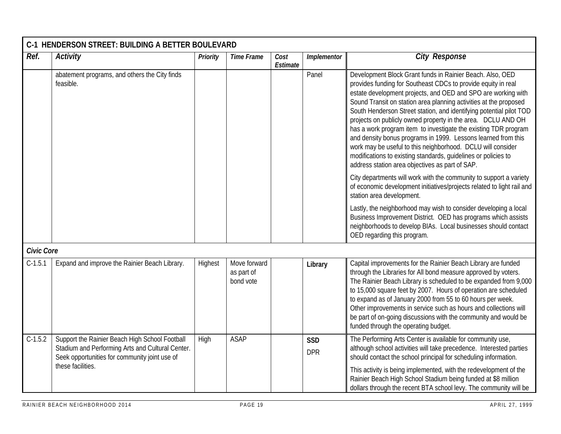|                   | C-1 HENDERSON STREET: BUILDING A BETTER BOULEVARD                                                                                                   |                 |                                         |                  |                          |                                                                                                                                                                                                                                                                                                                                                                                                                                                                                                                                                                                                                                                                                                                                 |  |  |  |  |
|-------------------|-----------------------------------------------------------------------------------------------------------------------------------------------------|-----------------|-----------------------------------------|------------------|--------------------------|---------------------------------------------------------------------------------------------------------------------------------------------------------------------------------------------------------------------------------------------------------------------------------------------------------------------------------------------------------------------------------------------------------------------------------------------------------------------------------------------------------------------------------------------------------------------------------------------------------------------------------------------------------------------------------------------------------------------------------|--|--|--|--|
| Ref.              | <b>Activity</b>                                                                                                                                     | <b>Priority</b> | <b>Time Frame</b>                       | Cost<br>Estimate | Implementor              | <b>City Response</b>                                                                                                                                                                                                                                                                                                                                                                                                                                                                                                                                                                                                                                                                                                            |  |  |  |  |
|                   | abatement programs, and others the City finds<br>feasible.                                                                                          |                 |                                         |                  | Panel                    | Development Block Grant funds in Rainier Beach. Also, OED<br>provides funding for Southeast CDCs to provide equity in real<br>estate development projects, and OED and SPO are working with<br>Sound Transit on station area planning activities at the proposed<br>South Henderson Street station, and identifying potential pilot TOD<br>projects on publicly owned property in the area. DCLU AND OH<br>has a work program item to investigate the existing TDR program<br>and density bonus programs in 1999. Lessons learned from this<br>work may be useful to this neighborhood. DCLU will consider<br>modifications to existing standards, guidelines or policies to<br>address station area objectives as part of SAP. |  |  |  |  |
|                   |                                                                                                                                                     |                 |                                         |                  |                          | City departments will work with the community to support a variety<br>of economic development initiatives/projects related to light rail and<br>station area development.                                                                                                                                                                                                                                                                                                                                                                                                                                                                                                                                                       |  |  |  |  |
|                   |                                                                                                                                                     |                 |                                         |                  |                          | Lastly, the neighborhood may wish to consider developing a local<br>Business Improvement District. OED has programs which assists<br>neighborhoods to develop BIAs. Local businesses should contact<br>OED regarding this program.                                                                                                                                                                                                                                                                                                                                                                                                                                                                                              |  |  |  |  |
| <b>Civic Core</b> |                                                                                                                                                     |                 |                                         |                  |                          |                                                                                                                                                                                                                                                                                                                                                                                                                                                                                                                                                                                                                                                                                                                                 |  |  |  |  |
| $C-1.5.1$         | Expand and improve the Rainier Beach Library.                                                                                                       | Highest         | Move forward<br>as part of<br>bond vote |                  | Library                  | Capital improvements for the Rainier Beach Library are funded<br>through the Libraries for All bond measure approved by voters.<br>The Rainier Beach Library is scheduled to be expanded from 9,000<br>to 15,000 square feet by 2007. Hours of operation are scheduled<br>to expand as of January 2000 from 55 to 60 hours per week.<br>Other improvements in service such as hours and collections will<br>be part of on-going discussions with the community and would be<br>funded through the operating budget.                                                                                                                                                                                                             |  |  |  |  |
| $C-1.5.2$         | Support the Rainier Beach High School Football<br>Stadium and Performing Arts and Cultural Center.<br>Seek opportunities for community joint use of | High            | <b>ASAP</b>                             |                  | <b>SSD</b><br><b>DPR</b> | The Performing Arts Center is available for community use,<br>although school activities will take precedence. Interested parties<br>should contact the school principal for scheduling information.                                                                                                                                                                                                                                                                                                                                                                                                                                                                                                                            |  |  |  |  |
|                   | these facilities.                                                                                                                                   |                 |                                         |                  |                          | This activity is being implemented, with the redevelopment of the<br>Rainier Beach High School Stadium being funded at \$8 million<br>dollars through the recent BTA school levy. The community will be                                                                                                                                                                                                                                                                                                                                                                                                                                                                                                                         |  |  |  |  |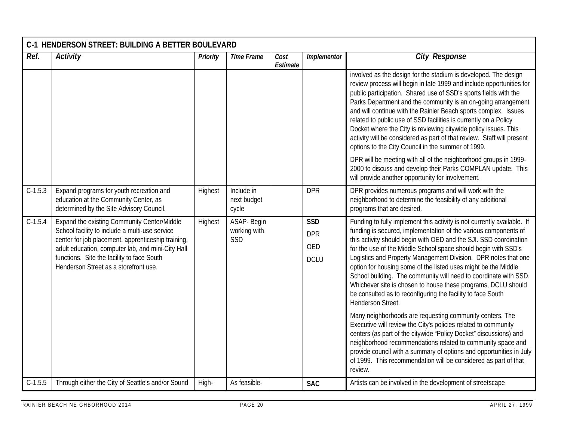|           | C-1 HENDERSON STREET: BUILDING A BETTER BOULEVARD                                                                                                                                                                                                                                               |          |                                    |                  |                                                |                                                                                                                                                                                                                                                                                                                                                                                                                                                                                                                                                                                                                                                |  |  |  |  |  |
|-----------|-------------------------------------------------------------------------------------------------------------------------------------------------------------------------------------------------------------------------------------------------------------------------------------------------|----------|------------------------------------|------------------|------------------------------------------------|------------------------------------------------------------------------------------------------------------------------------------------------------------------------------------------------------------------------------------------------------------------------------------------------------------------------------------------------------------------------------------------------------------------------------------------------------------------------------------------------------------------------------------------------------------------------------------------------------------------------------------------------|--|--|--|--|--|
| Ref.      | <b>Activity</b>                                                                                                                                                                                                                                                                                 | Priority | <b>Time Frame</b>                  | Cost<br>Estimate | Implementor                                    | <b>City Response</b>                                                                                                                                                                                                                                                                                                                                                                                                                                                                                                                                                                                                                           |  |  |  |  |  |
|           |                                                                                                                                                                                                                                                                                                 |          |                                    |                  |                                                | involved as the design for the stadium is developed. The design<br>review process will begin in late 1999 and include opportunities for<br>public participation. Shared use of SSD's sports fields with the<br>Parks Department and the community is an on-going arrangement<br>and will continue with the Rainier Beach sports complex. Issues<br>related to public use of SSD facilities is currently on a Policy<br>Docket where the City is reviewing citywide policy issues. This<br>activity will be considered as part of that review. Staff will present<br>options to the City Council in the summer of 1999.                         |  |  |  |  |  |
|           |                                                                                                                                                                                                                                                                                                 |          |                                    |                  |                                                | DPR will be meeting with all of the neighborhood groups in 1999-<br>2000 to discuss and develop their Parks COMPLAN update. This<br>will provide another opportunity for involvement.                                                                                                                                                                                                                                                                                                                                                                                                                                                          |  |  |  |  |  |
| $C-1.5.3$ | Expand programs for youth recreation and<br>education at the Community Center, as<br>determined by the Site Advisory Council.                                                                                                                                                                   | Highest  | Include in<br>next budget<br>cycle |                  | <b>DPR</b>                                     | DPR provides numerous programs and will work with the<br>neighborhood to determine the feasibility of any additional<br>programs that are desired.                                                                                                                                                                                                                                                                                                                                                                                                                                                                                             |  |  |  |  |  |
| $C-1.5.4$ | Expand the existing Community Center/Middle<br>School facility to include a multi-use service<br>center for job placement, apprenticeship training,<br>adult education, computer lab, and mini-City Hall<br>functions. Site the facility to face South<br>Henderson Street as a storefront use. | Highest  | ASAP- Begin<br>working with<br>SSD |                  | <b>SSD</b><br><b>DPR</b><br>OED<br><b>DCLU</b> | Funding to fully implement this activity is not currently available. If<br>funding is secured, implementation of the various components of<br>this activity should begin with OED and the SJI. SSD coordination<br>for the use of the Middle School space should begin with SSD's<br>Logistics and Property Management Division. DPR notes that one<br>option for housing some of the listed uses might be the Middle<br>School building. The community will need to coordinate with SSD.<br>Whichever site is chosen to house these programs, DCLU should<br>be consulted as to reconfiguring the facility to face South<br>Henderson Street. |  |  |  |  |  |
|           |                                                                                                                                                                                                                                                                                                 |          |                                    |                  |                                                | Many neighborhoods are requesting community centers. The<br>Executive will review the City's policies related to community<br>centers (as part of the citywide "Policy Docket" discussions) and<br>neighborhood recommendations related to community space and<br>provide council with a summary of options and opportunities in July<br>of 1999. This recommendation will be considered as part of that<br>review.                                                                                                                                                                                                                            |  |  |  |  |  |
| $C-1.5.5$ | Through either the City of Seattle's and/or Sound                                                                                                                                                                                                                                               | High-    | As feasible-                       |                  | <b>SAC</b>                                     | Artists can be involved in the development of streetscape                                                                                                                                                                                                                                                                                                                                                                                                                                                                                                                                                                                      |  |  |  |  |  |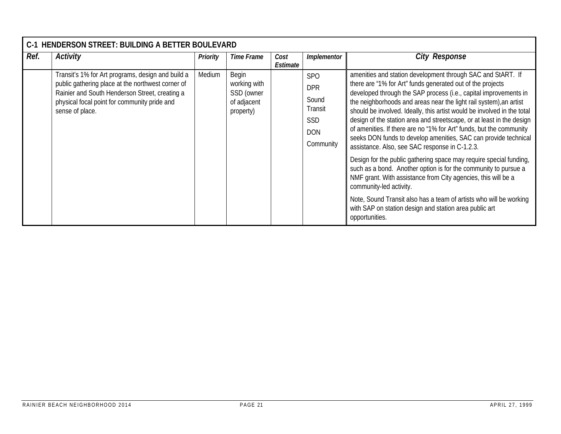| $C-1$ | <b>HENDERSON STREET: BUILDING A BETTER BOULEVARD</b>                                                                                                                                                                        |                 |                                                                 |                  |                                                                                            |                                                                                                                                                                                                                                                                                                                                                                                                                                                                                                                                                                                                                                                                                                                                                                                                                                                                                                                                                                                                            |  |  |  |  |  |
|-------|-----------------------------------------------------------------------------------------------------------------------------------------------------------------------------------------------------------------------------|-----------------|-----------------------------------------------------------------|------------------|--------------------------------------------------------------------------------------------|------------------------------------------------------------------------------------------------------------------------------------------------------------------------------------------------------------------------------------------------------------------------------------------------------------------------------------------------------------------------------------------------------------------------------------------------------------------------------------------------------------------------------------------------------------------------------------------------------------------------------------------------------------------------------------------------------------------------------------------------------------------------------------------------------------------------------------------------------------------------------------------------------------------------------------------------------------------------------------------------------------|--|--|--|--|--|
| Ref.  | <b>Activity</b>                                                                                                                                                                                                             | <b>Priority</b> | <b>Time Frame</b>                                               | Cost<br>Estimate | Implementor                                                                                | <b>City Response</b>                                                                                                                                                                                                                                                                                                                                                                                                                                                                                                                                                                                                                                                                                                                                                                                                                                                                                                                                                                                       |  |  |  |  |  |
|       | Transit's 1% for Art programs, design and build a<br>public gathering place at the northwest corner of<br>Rainier and South Henderson Street, creating a<br>physical focal point for community pride and<br>sense of place. | Medium          | Begin<br>working with<br>SSD (owner<br>of adjacent<br>property) |                  | SP <sub>O</sub><br><b>DPR</b><br>Sound<br>Transit<br><b>SSD</b><br><b>DON</b><br>Community | amenities and station development through SAC and StART. If<br>there are "1% for Art" funds generated out of the projects<br>developed through the SAP process (i.e., capital improvements in<br>the neighborhoods and areas near the light rail system), an artist<br>should be involved. Ideally, this artist would be involved in the total<br>design of the station area and streetscape, or at least in the design<br>of amenities. If there are no "1% for Art" funds, but the community<br>seeks DON funds to develop amenities, SAC can provide technical<br>assistance. Also, see SAC response in C-1.2.3.<br>Design for the public gathering space may require special funding,<br>such as a bond. Another option is for the community to pursue a<br>NMF grant. With assistance from City agencies, this will be a<br>community-led activity.<br>Note, Sound Transit also has a team of artists who will be working<br>with SAP on station design and station area public art<br>opportunities. |  |  |  |  |  |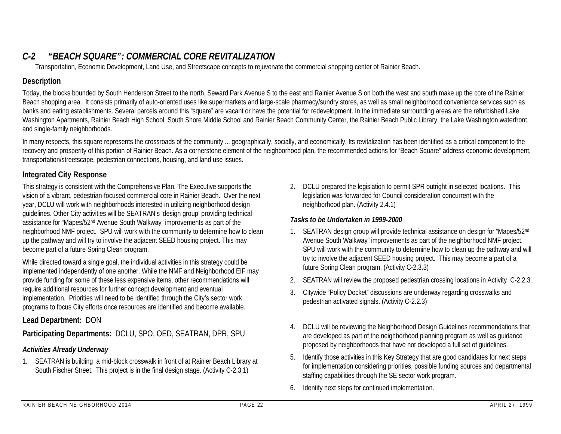# *C-2 "BEACH SQUARE": COMMERCIAL CORE REVITALIZATION*

Transportation, Economic Development, Land Use, and Streetscape concepts to rejuvenate the commercial shopping center of Rainier Beach.

## **Description**

Today, the blocks bounded by South Henderson Street to the north, Seward Park Avenue S to the east and Rainier Avenue S on both the west and south make up the core of the Rainier Beach shopping area. It consists primarily of auto-oriented uses like supermarkets and large-scale pharmacy/sundry stores, as well as small neighborhood convenience services such as banks and eating establishments. Several parcels around this "square" are vacant or have the potential for redevelopment. In the immediate surrounding areas are the refurbished Lake Washington Apartments, Rainier Beach High School, South Shore Middle School and Rainier Beach Community Center, the Rainier Beach Public Library, the Lake Washington waterfront, and single-family neighborhoods.

In many respects, this square represents the crossroads of the community ... geographically, socially, and economically. Its revitalization has been identified as a critical component to the recovery and prosperity of this portion of Rainier Beach. As a cornerstone element of the neighborhood plan, the recommended actions for "Beach Square" address economic development, transportation/streetscape, pedestrian connections, housing, and land use issues.

## **Integrated City Response**

This strategy is consistent with the Comprehensive Plan. The Executive supports the vision of a vibrant, pedestrian-focused commercial core in Rainier Beach. Over the next year, DCLU will work with neighborhoods interested in utilizing neighborhood design guidelines. Other City activities will be SEATRAN's 'design group' providing technical assistance for "Mapes/52nd Avenue South Walkway" improvements as part of the neighborhood NMF project. SPU will work with the community to determine how to clean up the pathway and will try to involve the adjacent SEED housing project. This may become part of a future Spring Clean program.

While directed toward a single goal, the individual activities in this strategy could be implemented independently of one another. While the NMF and Neighborhood EIF may provide funding for some of these less expensive items, other recommendations will require additional resources for further concept development and eventual implementation. Priorities will need to be identified through the City's sector work programs to focus City efforts once resources are identified and become available.

## **Lead Department:** DON

## **Participating Departments:** DCLU, SPO, OED, SEATRAN, DPR, SPU

## *Activities Already Underway*

1. SEATRAN is building a mid-block crosswalk in front of at Rainier Beach Library at South Fischer Street. This project is in the final design stage. (Activity C-2.3.1)

2. DCLU prepared the legislation to permit SPR outright in selected locations. This legislation was forwarded for Council consideration concurrent with the neighborhood plan. (Activity 2.4.1)

## *Tasks to be Undertaken in 1999-2000*

- 1. SEATRAN design group will provide technical assistance on design for "Mapes/52nd Avenue South Walkway" improvements as part of the neighborhood NMF project. SPU will work with the community to determine how to clean up the pathway and will try to involve the adjacent SEED housing project. This may become a part of a future Spring Clean program. (Activity C-2.3.3)
- 2. SEATRAN will review the proposed pedestrian crossing locations in Activity C-2.2.3.
- 3. Citywide "Policy Docket" discussions are underway regarding crosswalks and pedestrian activated signals. (Activity C-2.2.3)
- 4. DCLU will be reviewing the Neighborhood Design Guidelines recommendations that are developed as part of the neighborhood planning program as well as guidance proposed by neighborhoods that have not developed a full set of guidelines.
- 5. Identify those activities in this Key Strategy that are good candidates for next steps for implementation considering priorities, possible funding sources and departmental staffing capabilities through the SE sector work program.
- 6. Identify next steps for continued implementation.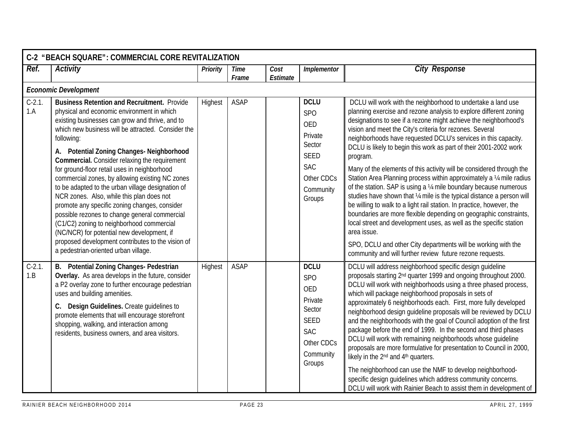|                  | C-2 "BEACH SQUARE": COMMERCIAL CORE REVITALIZATION                                                                                                                                                                                                                                                                                                                                                                                                                                                                                                                                                                                                                                                                                                                                                                          |          |               |                  |                                                                                                                  |                                                                                                                                                                                                                                                                                                                                                                                                                                                                                                                                                                                                                                                                                                                                                                                                                                                                                                                                                                                                                                                                                      |  |  |  |  |  |
|------------------|-----------------------------------------------------------------------------------------------------------------------------------------------------------------------------------------------------------------------------------------------------------------------------------------------------------------------------------------------------------------------------------------------------------------------------------------------------------------------------------------------------------------------------------------------------------------------------------------------------------------------------------------------------------------------------------------------------------------------------------------------------------------------------------------------------------------------------|----------|---------------|------------------|------------------------------------------------------------------------------------------------------------------|--------------------------------------------------------------------------------------------------------------------------------------------------------------------------------------------------------------------------------------------------------------------------------------------------------------------------------------------------------------------------------------------------------------------------------------------------------------------------------------------------------------------------------------------------------------------------------------------------------------------------------------------------------------------------------------------------------------------------------------------------------------------------------------------------------------------------------------------------------------------------------------------------------------------------------------------------------------------------------------------------------------------------------------------------------------------------------------|--|--|--|--|--|
| Ref.             | <b>Activity</b>                                                                                                                                                                                                                                                                                                                                                                                                                                                                                                                                                                                                                                                                                                                                                                                                             | Priority | Time<br>Frame | Cost<br>Estimate | Implementor                                                                                                      | <b>City Response</b>                                                                                                                                                                                                                                                                                                                                                                                                                                                                                                                                                                                                                                                                                                                                                                                                                                                                                                                                                                                                                                                                 |  |  |  |  |  |
|                  | <b>Economic Development</b>                                                                                                                                                                                                                                                                                                                                                                                                                                                                                                                                                                                                                                                                                                                                                                                                 |          |               |                  |                                                                                                                  |                                                                                                                                                                                                                                                                                                                                                                                                                                                                                                                                                                                                                                                                                                                                                                                                                                                                                                                                                                                                                                                                                      |  |  |  |  |  |
| $C-2.1$ .<br>1.A | <b>Business Retention and Recruitment.</b> Provide<br>physical and economic environment in which<br>existing businesses can grow and thrive, and to<br>which new business will be attracted. Consider the<br>following:<br>A. Potential Zoning Changes- Neighborhood<br><b>Commercial.</b> Consider relaxing the requirement<br>for ground-floor retail uses in neighborhood<br>commercial zones, by allowing existing NC zones<br>to be adapted to the urban village designation of<br>NCR zones. Also, while this plan does not<br>promote any specific zoning changes, consider<br>possible rezones to change general commercial<br>(C1/C2) zoning to neighborhood commercial<br>(NC/NCR) for potential new development, if<br>proposed development contributes to the vision of<br>a pedestrian-oriented urban village. | Highest  | ASAP          |                  | <b>DCLU</b><br>SPO<br>OED<br>Private<br>Sector<br><b>SEED</b><br><b>SAC</b><br>Other CDCs<br>Community<br>Groups | DCLU will work with the neighborhood to undertake a land use<br>planning exercise and rezone analysis to explore different zoning<br>designations to see if a rezone might achieve the neighborhood's<br>vision and meet the City's criteria for rezones. Several<br>neighborhoods have requested DCLU's services in this capacity.<br>DCLU is likely to begin this work as part of their 2001-2002 work<br>program.<br>Many of the elements of this activity will be considered through the<br>Station Area Planning process within approximately a 1/4 mile radius<br>of the station. SAP is using a 1/4 mile boundary because numerous<br>studies have shown that 1/4 mile is the typical distance a person will<br>be willing to walk to a light rail station. In practice, however, the<br>boundaries are more flexible depending on geographic constraints,<br>local street and development uses, as well as the specific station<br>area issue.<br>SPO, DCLU and other City departments will be working with the<br>community and will further review future rezone requests. |  |  |  |  |  |
| $C-2.1$ .<br>1.B | B. Potential Zoning Changes- Pedestrian<br>Overlay. As area develops in the future, consider<br>a P2 overlay zone to further encourage pedestrian<br>uses and building amenities.<br>C. Design Guidelines. Create guidelines to<br>promote elements that will encourage storefront<br>shopping, walking, and interaction among<br>residents, business owners, and area visitors.                                                                                                                                                                                                                                                                                                                                                                                                                                            | Highest  | ASAP          |                  | <b>DCLU</b><br><b>SPO</b><br>OED<br>Private<br>Sector<br>SEED<br><b>SAC</b><br>Other CDCs<br>Community<br>Groups | DCLU will address neighborhood specific design guideline<br>proposals starting 2 <sup>nd</sup> quarter 1999 and ongoing throughout 2000.<br>DCLU will work with neighborhoods using a three phased process,<br>which will package neighborhood proposals in sets of<br>approximately 6 neighborhoods each. First, more fully developed<br>neighborhood design guideline proposals will be reviewed by DCLU<br>and the neighborhoods with the goal of Council adoption of the first<br>package before the end of 1999. In the second and third phases<br>DCLU will work with remaining neighborhoods whose guideline<br>proposals are more formulative for presentation to Council in 2000,<br>likely in the 2 <sup>nd</sup> and 4 <sup>th</sup> quarters.<br>The neighborhood can use the NMF to develop neighborhood-<br>specific design quidelines which address community concerns.<br>DCLU will work with Rainier Beach to assist them in development of                                                                                                                         |  |  |  |  |  |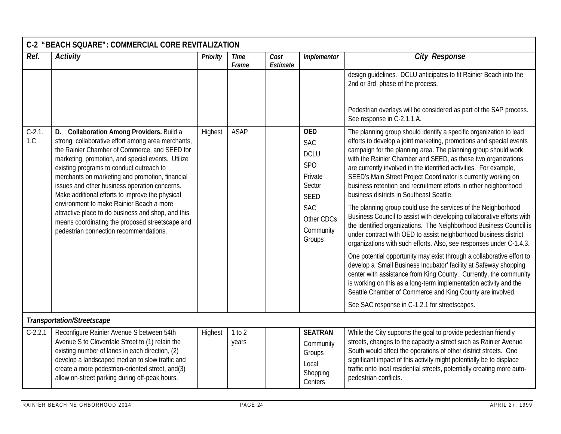|                | C-2 "BEACH SQUARE": COMMERCIAL CORE REVITALIZATION                                                                                                                                                                                                                                                                                                                                                                                                                                                                                                                                                      |          |                      |                  |                                                                                                                                                   |                                                                                                                                                                                                                                                                                                                                                                                                                                                                                                                                                                                                                                                                                                                                                                                                                                                                                                                                                                                                                                                                                                                                                                                                                                                                                                      |  |  |  |  |
|----------------|---------------------------------------------------------------------------------------------------------------------------------------------------------------------------------------------------------------------------------------------------------------------------------------------------------------------------------------------------------------------------------------------------------------------------------------------------------------------------------------------------------------------------------------------------------------------------------------------------------|----------|----------------------|------------------|---------------------------------------------------------------------------------------------------------------------------------------------------|------------------------------------------------------------------------------------------------------------------------------------------------------------------------------------------------------------------------------------------------------------------------------------------------------------------------------------------------------------------------------------------------------------------------------------------------------------------------------------------------------------------------------------------------------------------------------------------------------------------------------------------------------------------------------------------------------------------------------------------------------------------------------------------------------------------------------------------------------------------------------------------------------------------------------------------------------------------------------------------------------------------------------------------------------------------------------------------------------------------------------------------------------------------------------------------------------------------------------------------------------------------------------------------------------|--|--|--|--|
| Ref.           | <b>Activity</b>                                                                                                                                                                                                                                                                                                                                                                                                                                                                                                                                                                                         | Priority | <b>Time</b><br>Frame | Cost<br>Estimate | Implementor                                                                                                                                       | <b>City Response</b>                                                                                                                                                                                                                                                                                                                                                                                                                                                                                                                                                                                                                                                                                                                                                                                                                                                                                                                                                                                                                                                                                                                                                                                                                                                                                 |  |  |  |  |
|                |                                                                                                                                                                                                                                                                                                                                                                                                                                                                                                                                                                                                         |          |                      |                  |                                                                                                                                                   | design guidelines. DCLU anticipates to fit Rainier Beach into the<br>2nd or 3rd phase of the process.<br>Pedestrian overlays will be considered as part of the SAP process.<br>See response in C-2.1.1.A.                                                                                                                                                                                                                                                                                                                                                                                                                                                                                                                                                                                                                                                                                                                                                                                                                                                                                                                                                                                                                                                                                            |  |  |  |  |
| $C-2.1$<br>1.C | D. Collaboration Among Providers. Build a<br>strong, collaborative effort among area merchants,<br>the Rainier Chamber of Commerce, and SEED for<br>marketing, promotion, and special events. Utilize<br>existing programs to conduct outreach to<br>merchants on marketing and promotion, financial<br>issues and other business operation concerns.<br>Make additional efforts to improve the physical<br>environment to make Rainier Beach a more<br>attractive place to do business and shop, and this<br>means coordinating the proposed streetscape and<br>pedestrian connection recommendations. | Highest  | <b>ASAP</b>          |                  | <b>OED</b><br><b>SAC</b><br><b>DCLU</b><br>SP <sub>O</sub><br>Private<br>Sector<br><b>SEED</b><br><b>SAC</b><br>Other CDCs<br>Community<br>Groups | The planning group should identify a specific organization to lead<br>efforts to develop a joint marketing, promotions and special events<br>campaign for the planning area. The planning group should work<br>with the Rainier Chamber and SEED, as these two organizations<br>are currently involved in the identified activities. For example,<br>SEED's Main Street Project Coordinator is currently working on<br>business retention and recruitment efforts in other neighborhood<br>business districts in Southeast Seattle.<br>The planning group could use the services of the Neighborhood<br>Business Council to assist with developing collaborative efforts with<br>the identified organizations. The Neighborhood Business Council is<br>under contract with OED to assist neighborhood business district<br>organizations with such efforts. Also, see responses under C-1.4.3.<br>One potential opportunity may exist through a collaborative effort to<br>develop a 'Small Business Incubator' facility at Safeway shopping<br>center with assistance from King County. Currently, the community<br>is working on this as a long-term implementation activity and the<br>Seattle Chamber of Commerce and King County are involved.<br>See SAC response in C-1.2.1 for streetscapes. |  |  |  |  |
|                | Transportation/Streetscape                                                                                                                                                                                                                                                                                                                                                                                                                                                                                                                                                                              |          |                      |                  |                                                                                                                                                   |                                                                                                                                                                                                                                                                                                                                                                                                                                                                                                                                                                                                                                                                                                                                                                                                                                                                                                                                                                                                                                                                                                                                                                                                                                                                                                      |  |  |  |  |
| $C-2.2.1$      | Reconfigure Rainier Avenue S between 54th<br>Avenue S to Cloverdale Street to (1) retain the<br>existing number of lanes in each direction, (2)<br>develop a landscaped median to slow traffic and<br>create a more pedestrian-oriented street, and(3)<br>allow on-street parking during off-peak hours.                                                                                                                                                                                                                                                                                                | Highest  | 1 to 2<br>years      |                  | <b>SEATRAN</b><br>Community<br>Groups<br>Local<br>Shopping<br>Centers                                                                             | While the City supports the goal to provide pedestrian friendly<br>streets, changes to the capacity a street such as Rainier Avenue<br>South would affect the operations of other district streets. One<br>significant impact of this activity might potentially be to displace<br>traffic onto local residential streets, potentially creating more auto-<br>pedestrian conflicts.                                                                                                                                                                                                                                                                                                                                                                                                                                                                                                                                                                                                                                                                                                                                                                                                                                                                                                                  |  |  |  |  |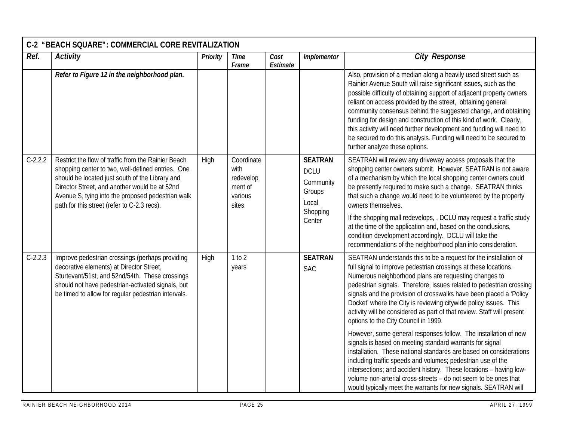|           | C-2 "BEACH SQUARE": COMMERCIAL CORE REVITALIZATION                                                                                                                                                                                                                                                               |          |                                                                |                  |                                                                                     |                                                                                                                                                                                                                                                                                                                                                                                                                                                                                                                                                                                                                                                                                                                                                                                                                                                                                                                                                                                                                  |  |  |  |  |
|-----------|------------------------------------------------------------------------------------------------------------------------------------------------------------------------------------------------------------------------------------------------------------------------------------------------------------------|----------|----------------------------------------------------------------|------------------|-------------------------------------------------------------------------------------|------------------------------------------------------------------------------------------------------------------------------------------------------------------------------------------------------------------------------------------------------------------------------------------------------------------------------------------------------------------------------------------------------------------------------------------------------------------------------------------------------------------------------------------------------------------------------------------------------------------------------------------------------------------------------------------------------------------------------------------------------------------------------------------------------------------------------------------------------------------------------------------------------------------------------------------------------------------------------------------------------------------|--|--|--|--|
| Ref.      | <b>Activity</b>                                                                                                                                                                                                                                                                                                  | Priority | Time<br>Frame                                                  | Cost<br>Estimate | Implementor                                                                         | <b>City Response</b>                                                                                                                                                                                                                                                                                                                                                                                                                                                                                                                                                                                                                                                                                                                                                                                                                                                                                                                                                                                             |  |  |  |  |
|           | Refer to Figure 12 in the neighborhood plan.                                                                                                                                                                                                                                                                     |          |                                                                |                  |                                                                                     | Also, provision of a median along a heavily used street such as<br>Rainier Avenue South will raise significant issues, such as the<br>possible difficulty of obtaining support of adjacent property owners<br>reliant on access provided by the street, obtaining general<br>community consensus behind the suggested change, and obtaining<br>funding for design and construction of this kind of work. Clearly,<br>this activity will need further development and funding will need to<br>be secured to do this analysis. Funding will need to be secured to<br>further analyze these options.                                                                                                                                                                                                                                                                                                                                                                                                                |  |  |  |  |
| $C-2.2.2$ | Restrict the flow of traffic from the Rainier Beach<br>shopping center to two, well-defined entries. One<br>should be located just south of the Library and<br>Director Street, and another would be at 52nd<br>Avenue S, tying into the proposed pedestrian walk<br>path for this street (refer to C-2.3 recs). | High     | Coordinate<br>with<br>redevelop<br>ment of<br>various<br>sites |                  | <b>SEATRAN</b><br><b>DCLU</b><br>Community<br>Groups<br>Local<br>Shopping<br>Center | SEATRAN will review any driveway access proposals that the<br>shopping center owners submit. However, SEATRAN is not aware<br>of a mechanism by which the local shopping center owners could<br>be presently required to make such a change. SEATRAN thinks<br>that such a change would need to be volunteered by the property<br>owners themselves.<br>If the shopping mall redevelops, , DCLU may request a traffic study<br>at the time of the application and, based on the conclusions,<br>condition development accordingly. DCLU will take the<br>recommendations of the neighborhood plan into consideration.                                                                                                                                                                                                                                                                                                                                                                                            |  |  |  |  |
| $C-2.2.3$ | Improve pedestrian crossings (perhaps providing<br>decorative elements) at Director Street,<br>Sturtevant/51st, and 52nd/54th. These crossings<br>should not have pedestrian-activated signals, but<br>be timed to allow for regular pedestrian intervals.                                                       | High     | 1 to 2<br>years                                                |                  | <b>SEATRAN</b><br><b>SAC</b>                                                        | SEATRAN understands this to be a request for the installation of<br>full signal to improve pedestrian crossings at these locations.<br>Numerous neighborhood plans are requesting changes to<br>pedestrian signals. Therefore, issues related to pedestrian crossing<br>signals and the provision of crosswalks have been placed a 'Policy<br>Docket' where the City is reviewing citywide policy issues. This<br>activity will be considered as part of that review. Staff will present<br>options to the City Council in 1999.<br>However, some general responses follow. The installation of new<br>signals is based on meeting standard warrants for signal<br>installation. These national standards are based on considerations<br>including traffic speeds and volumes; pedestrian use of the<br>intersections; and accident history. These locations - having low-<br>volume non-arterial cross-streets - do not seem to be ones that<br>would typically meet the warrants for new signals. SEATRAN will |  |  |  |  |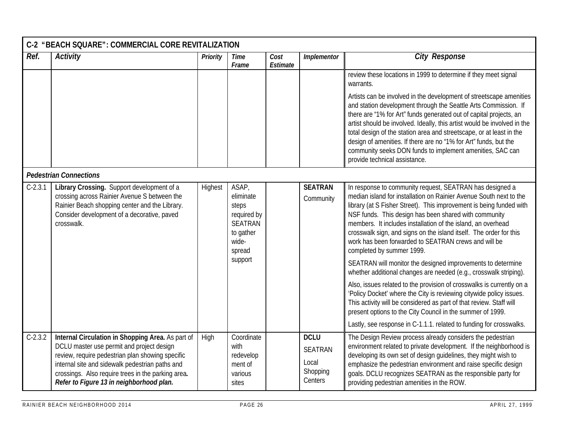|           | C-2 "BEACH SQUARE": COMMERCIAL CORE REVITALIZATION                                                                                                                                                                                                                                                      |                 |                                                                                                         |                  |                                                               |                                                                                                                                                                                                                                                                                                                                                                                                                                                                                                                                                                                                                                                                                                                                                                                                                                                                                                                                                                                           |  |  |  |  |
|-----------|---------------------------------------------------------------------------------------------------------------------------------------------------------------------------------------------------------------------------------------------------------------------------------------------------------|-----------------|---------------------------------------------------------------------------------------------------------|------------------|---------------------------------------------------------------|-------------------------------------------------------------------------------------------------------------------------------------------------------------------------------------------------------------------------------------------------------------------------------------------------------------------------------------------------------------------------------------------------------------------------------------------------------------------------------------------------------------------------------------------------------------------------------------------------------------------------------------------------------------------------------------------------------------------------------------------------------------------------------------------------------------------------------------------------------------------------------------------------------------------------------------------------------------------------------------------|--|--|--|--|
| Ref.      | <b>Activity</b>                                                                                                                                                                                                                                                                                         | <b>Priority</b> | <b>Time</b><br>Frame                                                                                    | Cost<br>Estimate | Implementor                                                   | <b>City Response</b>                                                                                                                                                                                                                                                                                                                                                                                                                                                                                                                                                                                                                                                                                                                                                                                                                                                                                                                                                                      |  |  |  |  |
|           |                                                                                                                                                                                                                                                                                                         |                 |                                                                                                         |                  |                                                               | review these locations in 1999 to determine if they meet signal<br>warrants.                                                                                                                                                                                                                                                                                                                                                                                                                                                                                                                                                                                                                                                                                                                                                                                                                                                                                                              |  |  |  |  |
|           |                                                                                                                                                                                                                                                                                                         |                 |                                                                                                         |                  |                                                               | Artists can be involved in the development of streetscape amenities<br>and station development through the Seattle Arts Commission. If<br>there are "1% for Art" funds generated out of capital projects, an<br>artist should be involved. Ideally, this artist would be involved in the<br>total design of the station area and streetscape, or at least in the<br>design of amenities. If there are no "1% for Art" funds, but the<br>community seeks DON funds to implement amenities, SAC can<br>provide technical assistance.                                                                                                                                                                                                                                                                                                                                                                                                                                                        |  |  |  |  |
|           | <b>Pedestrian Connections</b>                                                                                                                                                                                                                                                                           |                 |                                                                                                         |                  |                                                               |                                                                                                                                                                                                                                                                                                                                                                                                                                                                                                                                                                                                                                                                                                                                                                                                                                                                                                                                                                                           |  |  |  |  |
| $C-2.3.1$ | Library Crossing. Support development of a<br>crossing across Rainier Avenue S between the<br>Rainier Beach shopping center and the Library.<br>Consider development of a decorative, paved<br>crosswalk.                                                                                               | Highest         | ASAP,<br>eliminate<br>steps<br>required by<br><b>SEATRAN</b><br>to gather<br>wide-<br>spread<br>support |                  | <b>SEATRAN</b><br>Community                                   | In response to community request, SEATRAN has designed a<br>median island for installation on Rainier Avenue South next to the<br>library (at S Fisher Street). This improvement is being funded with<br>NSF funds. This design has been shared with community<br>members. It includes installation of the island, an overhead<br>crosswalk sign, and signs on the island itself. The order for this<br>work has been forwarded to SEATRAN crews and will be<br>completed by summer 1999.<br>SEATRAN will monitor the designed improvements to determine<br>whether additional changes are needed (e.g., crosswalk striping).<br>Also, issues related to the provision of crosswalks is currently on a<br>'Policy Docket' where the City is reviewing citywide policy issues.<br>This activity will be considered as part of that review. Staff will<br>present options to the City Council in the summer of 1999.<br>Lastly, see response in C-1.1.1. related to funding for crosswalks. |  |  |  |  |
| $C-2.3.2$ | Internal Circulation in Shopping Area. As part of<br>DCLU master use permit and project design<br>review, require pedestrian plan showing specific<br>internal site and sidewalk pedestrian paths and<br>crossings. Also require trees in the parking area.<br>Refer to Figure 13 in neighborhood plan. | High            | Coordinate<br>with<br>redevelop<br>ment of<br>various<br>sites                                          |                  | <b>DCLU</b><br><b>SEATRAN</b><br>Local<br>Shopping<br>Centers | The Design Review process already considers the pedestrian<br>environment related to private development. If the neighborhood is<br>developing its own set of design guidelines, they might wish to<br>emphasize the pedestrian environment and raise specific design<br>goals. DCLU recognizes SEATRAN as the responsible party for<br>providing pedestrian amenities in the ROW.                                                                                                                                                                                                                                                                                                                                                                                                                                                                                                                                                                                                        |  |  |  |  |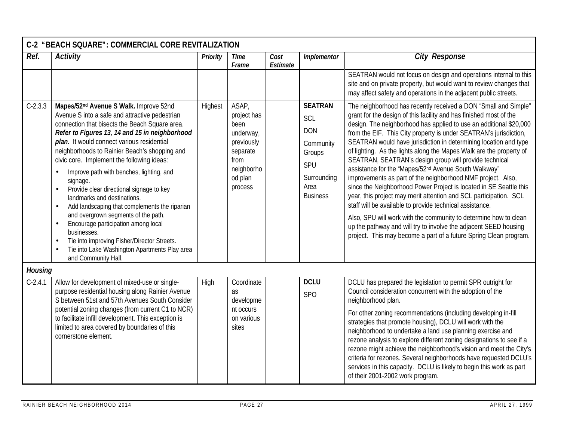|                | C-2 "BEACH SQUARE": COMMERCIAL CORE REVITALIZATION                                                                                                                                                                                                                                                                                                                                                                                                                                                                                                                                                                                                                                                                                                                                      |                 |                                                                                                                 |                  |                                                                                                             |                                                                                                                                                                                                                                                                                                                                                                                                                                                                                                                                                                                                                                                                                                                                                                                                                                                                                                                                                                                                                                              |  |  |  |  |
|----------------|-----------------------------------------------------------------------------------------------------------------------------------------------------------------------------------------------------------------------------------------------------------------------------------------------------------------------------------------------------------------------------------------------------------------------------------------------------------------------------------------------------------------------------------------------------------------------------------------------------------------------------------------------------------------------------------------------------------------------------------------------------------------------------------------|-----------------|-----------------------------------------------------------------------------------------------------------------|------------------|-------------------------------------------------------------------------------------------------------------|----------------------------------------------------------------------------------------------------------------------------------------------------------------------------------------------------------------------------------------------------------------------------------------------------------------------------------------------------------------------------------------------------------------------------------------------------------------------------------------------------------------------------------------------------------------------------------------------------------------------------------------------------------------------------------------------------------------------------------------------------------------------------------------------------------------------------------------------------------------------------------------------------------------------------------------------------------------------------------------------------------------------------------------------|--|--|--|--|
| Ref.           | <b>Activity</b>                                                                                                                                                                                                                                                                                                                                                                                                                                                                                                                                                                                                                                                                                                                                                                         | <b>Priority</b> | <b>Time</b><br>Frame                                                                                            | Cost<br>Estimate | Implementor                                                                                                 | <b>City Response</b>                                                                                                                                                                                                                                                                                                                                                                                                                                                                                                                                                                                                                                                                                                                                                                                                                                                                                                                                                                                                                         |  |  |  |  |
|                |                                                                                                                                                                                                                                                                                                                                                                                                                                                                                                                                                                                                                                                                                                                                                                                         |                 |                                                                                                                 |                  |                                                                                                             | SEATRAN would not focus on design and operations internal to this<br>site and on private property, but would want to review changes that<br>may affect safety and operations in the adjacent public streets.                                                                                                                                                                                                                                                                                                                                                                                                                                                                                                                                                                                                                                                                                                                                                                                                                                 |  |  |  |  |
| $C-2.3.3$      | Mapes/52 <sup>nd</sup> Avenue S Walk. Improve 52nd<br>Avenue S into a safe and attractive pedestrian<br>connection that bisects the Beach Square area.<br>Refer to Figures 13, 14 and 15 in neighborhood<br>plan. It would connect various residential<br>neighborhoods to Rainier Beach's shopping and<br>civic core. Implement the following ideas:<br>Improve path with benches, lighting, and<br>signage.<br>Provide clear directional signage to key<br>landmarks and destinations.<br>Add landscaping that complements the riparian<br>$\bullet$<br>and overgrown segments of the path.<br>Encourage participation among local<br>businesses.<br>Tie into improving Fisher/Director Streets.<br>Tie into Lake Washington Apartments Play area<br>$\bullet$<br>and Community Hall. | Highest         | ASAP,<br>project has<br>been<br>underway,<br>previously<br>separate<br>from<br>neighborho<br>od plan<br>process |                  | <b>SEATRAN</b><br>SCL<br><b>DON</b><br>Community<br>Groups<br>SPU<br>Surrounding<br>Area<br><b>Business</b> | The neighborhood has recently received a DON "Small and Simple"<br>grant for the design of this facility and has finished most of the<br>design. The neighborhood has applied to use an additional \$20,000<br>from the EIF. This City property is under SEATRAN's jurisdiction,<br>SEATRAN would have jurisdiction in determining location and type<br>of lighting. As the lights along the Mapes Walk are the property of<br>SEATRAN, SEATRAN's design group will provide technical<br>assistance for the 'Mapes/52 <sup>nd</sup> Avenue South Walkway"<br>improvements as part of the neighborhood NMF project. Also,<br>since the Neighborhood Power Project is located in SE Seattle this<br>year, this project may merit attention and SCL participation. SCL<br>staff will be available to provide technical assistance.<br>Also, SPU will work with the community to determine how to clean<br>up the pathway and will try to involve the adjacent SEED housing<br>project. This may become a part of a future Spring Clean program. |  |  |  |  |
| <b>Housing</b> |                                                                                                                                                                                                                                                                                                                                                                                                                                                                                                                                                                                                                                                                                                                                                                                         |                 |                                                                                                                 |                  |                                                                                                             |                                                                                                                                                                                                                                                                                                                                                                                                                                                                                                                                                                                                                                                                                                                                                                                                                                                                                                                                                                                                                                              |  |  |  |  |
| $C-2.4.1$      | Allow for development of mixed-use or single-<br>purpose residential housing along Rainier Avenue<br>S between 51st and 57th Avenues South Consider<br>potential zoning changes (from current C1 to NCR)<br>to facilitate infill development. This exception is<br>limited to area covered by boundaries of this<br>cornerstone element.                                                                                                                                                                                                                                                                                                                                                                                                                                                | High            | Coordinate<br>as<br>developme<br>nt occurs<br>on various<br>sites                                               |                  | <b>DCLU</b><br><b>SPO</b>                                                                                   | DCLU has prepared the legislation to permit SPR outright for<br>Council consideration concurrent with the adoption of the<br>neighborhood plan.<br>For other zoning recommendations (including developing in-fill<br>strategies that promote housing), DCLU will work with the<br>neighborhood to undertake a land use planning exercise and<br>rezone analysis to explore different zoning designations to see if a<br>rezone might achieve the neighborhood's vision and meet the City's<br>criteria for rezones. Several neighborhoods have requested DCLU's<br>services in this capacity. DCLU is likely to begin this work as part<br>of their 2001-2002 work program.                                                                                                                                                                                                                                                                                                                                                                  |  |  |  |  |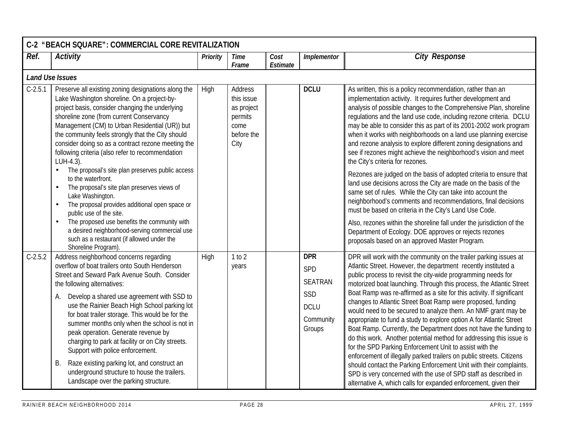|           | C-2 "BEACH SQUARE": COMMERCIAL CORE REVITALIZATION                                                                                                                                                                                                                                                                                                                                                                                                                                                                                                                                                                                                             |          |                                                                              |                  |                                                                                  |                                                                                                                                                                                                                                                                                                                                                                                                                                                                                                                                                                                                                                                                                                                                                                                                                                                                                                                                                                                                                                                         |  |  |  |  |  |
|-----------|----------------------------------------------------------------------------------------------------------------------------------------------------------------------------------------------------------------------------------------------------------------------------------------------------------------------------------------------------------------------------------------------------------------------------------------------------------------------------------------------------------------------------------------------------------------------------------------------------------------------------------------------------------------|----------|------------------------------------------------------------------------------|------------------|----------------------------------------------------------------------------------|---------------------------------------------------------------------------------------------------------------------------------------------------------------------------------------------------------------------------------------------------------------------------------------------------------------------------------------------------------------------------------------------------------------------------------------------------------------------------------------------------------------------------------------------------------------------------------------------------------------------------------------------------------------------------------------------------------------------------------------------------------------------------------------------------------------------------------------------------------------------------------------------------------------------------------------------------------------------------------------------------------------------------------------------------------|--|--|--|--|--|
| Ref.      | <b>Activity</b>                                                                                                                                                                                                                                                                                                                                                                                                                                                                                                                                                                                                                                                | Priority | <b>Time</b><br>Frame                                                         | Cost<br>Estimate | Implementor                                                                      | <b>City Response</b>                                                                                                                                                                                                                                                                                                                                                                                                                                                                                                                                                                                                                                                                                                                                                                                                                                                                                                                                                                                                                                    |  |  |  |  |  |
|           | <b>Land Use Issues</b>                                                                                                                                                                                                                                                                                                                                                                                                                                                                                                                                                                                                                                         |          |                                                                              |                  |                                                                                  |                                                                                                                                                                                                                                                                                                                                                                                                                                                                                                                                                                                                                                                                                                                                                                                                                                                                                                                                                                                                                                                         |  |  |  |  |  |
| $C-2.5.1$ | Preserve all existing zoning designations along the<br>Lake Washington shoreline. On a project-by-<br>project basis, consider changing the underlying<br>shoreline zone (from current Conservancy<br>Management (CM) to Urban Residential (UR)) but<br>the community feels strongly that the City should<br>consider doing so as a contract rezone meeting the<br>following criteria (also refer to recommendation<br>LUH-4.3).                                                                                                                                                                                                                                | High     | Address<br>this issue<br>as project<br>permits<br>come<br>before the<br>City |                  | <b>DCLU</b>                                                                      | As written, this is a policy recommendation, rather than an<br>implementation activity. It requires further development and<br>analysis of possible changes to the Comprehensive Plan, shoreline<br>regulations and the land use code, including rezone criteria. DCLU<br>may be able to consider this as part of its 2001-2002 work program<br>when it works with neighborhoods on a land use planning exercise<br>and rezone analysis to explore different zoning designations and<br>see if rezones might achieve the neighborhood's vision and meet<br>the City's criteria for rezones.                                                                                                                                                                                                                                                                                                                                                                                                                                                             |  |  |  |  |  |
|           | The proposal's site plan preserves public access<br>to the waterfront.<br>The proposal's site plan preserves views of<br>Lake Washington.<br>The proposal provides additional open space or<br>$\bullet$<br>public use of the site.<br>The proposed use benefits the community with<br>$\bullet$<br>a desired neighborhood-serving commercial use<br>such as a restaurant (if allowed under the<br>Shoreline Program).                                                                                                                                                                                                                                         |          |                                                                              |                  |                                                                                  | Rezones are judged on the basis of adopted criteria to ensure that<br>land use decisions across the City are made on the basis of the<br>same set of rules. While the City can take into account the<br>neighborhood's comments and recommendations, final decisions<br>must be based on criteria in the City's Land Use Code.<br>Also, rezones within the shoreline fall under the jurisdiction of the<br>Department of Ecology. DOE approves or rejects rezones<br>proposals based on an approved Master Program.                                                                                                                                                                                                                                                                                                                                                                                                                                                                                                                                     |  |  |  |  |  |
| $C-2.5.2$ | Address neighborhood concerns regarding<br>overflow of boat trailers onto South Henderson<br>Street and Seward Park Avenue South. Consider<br>the following alternatives:<br>Develop a shared use agreement with SSD to<br>А.<br>use the Rainier Beach High School parking lot<br>for boat trailer storage. This would be for the<br>summer months only when the school is not in<br>peak operation. Generate revenue by<br>charging to park at facility or on City streets.<br>Support with police enforcement.<br>Raze existing parking lot, and construct an<br>В.<br>underground structure to house the trailers.<br>Landscape over the parking structure. | High     | 1 to 2<br>years                                                              |                  | <b>DPR</b><br>SPD<br><b>SEATRAN</b><br>SSD<br><b>DCLU</b><br>Community<br>Groups | DPR will work with the community on the trailer parking issues at<br>Atlantic Street. However, the department recently instituted a<br>public process to revisit the city-wide programming needs for<br>motorized boat launching. Through this process, the Atlantic Street<br>Boat Ramp was re-affirmed as a site for this activity. If significant<br>changes to Atlantic Street Boat Ramp were proposed, funding<br>would need to be secured to analyze them. An NMF grant may be<br>appropriate to fund a study to explore option A for Atlantic Street<br>Boat Ramp. Currently, the Department does not have the funding to<br>do this work. Another potential method for addressing this issue is<br>for the SPD Parking Enforcement Unit to assist with the<br>enforcement of illegally parked trailers on public streets. Citizens<br>should contact the Parking Enforcement Unit with their complaints.<br>SPD is very concerned with the use of SPD staff as described in<br>alternative A, which calls for expanded enforcement, given their |  |  |  |  |  |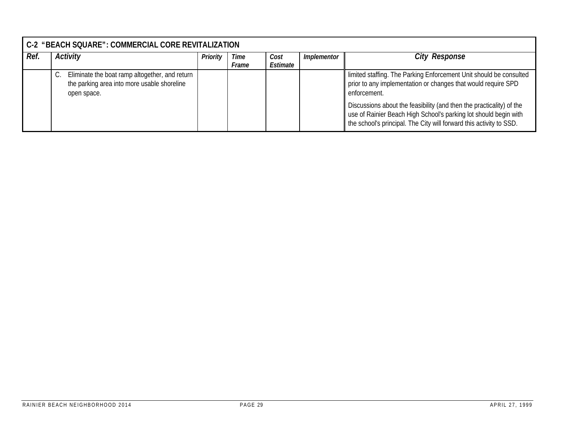|      | C-2 "BEACH SQUARE": COMMERCIAL CORE REVITALIZATION                                                           |          |               |                  |             |                                                                                                                                                                                                                 |  |  |  |
|------|--------------------------------------------------------------------------------------------------------------|----------|---------------|------------------|-------------|-----------------------------------------------------------------------------------------------------------------------------------------------------------------------------------------------------------------|--|--|--|
| Ref. | <b>Activity</b>                                                                                              | Priority | Time<br>Frame | Cost<br>Estimate | Implementor | <b>City Response</b>                                                                                                                                                                                            |  |  |  |
|      | Eliminate the boat ramp altogether, and return<br>the parking area into more usable shoreline<br>open space. |          |               |                  |             | limited staffing. The Parking Enforcement Unit should be consulted<br>prior to any implementation or changes that would require SPD<br>enforcement.                                                             |  |  |  |
|      |                                                                                                              |          |               |                  |             | Discussions about the feasibility (and then the practicality) of the<br>use of Rainier Beach High School's parking lot should begin with<br>the school's principal. The City will forward this activity to SSD. |  |  |  |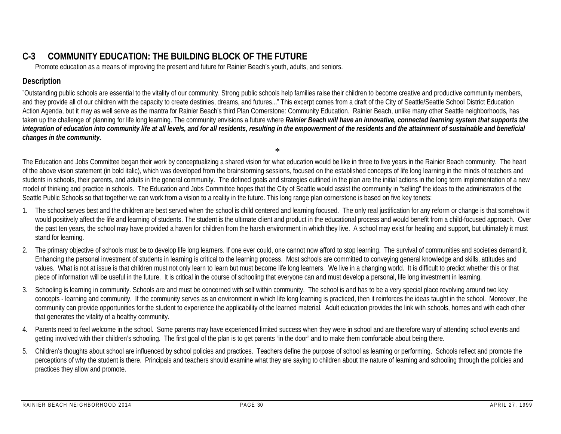# **C-3 COMMUNITY EDUCATION: THE BUILDING BLOCK OF THE FUTURE**

Promote education as a means of improving the present and future for Rainier Beach's youth, adults, and seniors.

## **Description**

"Outstanding public schools are essential to the vitality of our community. Strong public schools help families raise their children to become creative and productive community members, and they provide all of our children with the capacity to create destinies, dreams, and futures..." This excerpt comes from a draft of the City of Seattle/Seattle School District Education Action Agenda, but it may as well serve as the mantra for Rainier Beach's third Plan Cornerstone: Community Education. Rainier Beach, unlike many other Seattle neighborhoods, has taken up the challenge of planning for life long learning. The community envisions a future where **Rainier Beach will have an innovative, connected learning system that supports the** *integration of education into community life at all levels, and for all residents, resulting in the empowerment of the residents and the attainment of sustainable and beneficial changes in the community.*

The Education and Jobs Committee began their work by conceptualizing a shared vision for what education would be like in three to five years in the Rainier Beach community. The heart of the above vision statement (in bold italic), which was developed from the brainstorming sessions, focused on the established concepts of life long learning in the minds of teachers and students in schools, their parents, and adults in the general community. The defined goals and strategies outlined in the plan are the initial actions in the long term implementation of a new model of thinking and practice in schools. The Education and Jobs Committee hopes that the City of Seattle would assist the community in "selling" the ideas to the administrators of the Seattle Public Schools so that together we can work from a vision to a reality in the future. This long range plan cornerstone is based on five key tenets:

\*

- 1. The school serves best and the children are best served when the school is child centered and learning focused. The only real justification for any reform or change is that somehow it would positively affect the life and learning of students. The student is the ultimate client and product in the educational process and would benefit from a child-focused approach. Over the past ten years, the school may have provided a haven for children from the harsh environment in which they live. A school may exist for healing and support, but ultimately it must stand for learning.
- 2. The primary objective of schools must be to develop life long learners. If one ever could, one cannot now afford to stop learning. The survival of communities and societies demand it. Enhancing the personal investment of students in learning is critical to the learning process. Most schools are committed to conveying general knowledge and skills, attitudes and values. What is not at issue is that children must not only learn to learn but must become life long learners. We live in a changing world. It is difficult to predict whether this or that piece of information will be useful in the future. It is critical in the course of schooling that everyone can and must develop a personal, life long investment in learning.
- 3. Schooling is learning in community. Schools are and must be concerned with self within community. The school is and has to be a very special place revolving around two key concepts - learning and community. If the community serves as an environment in which life long learning is practiced, then it reinforces the ideas taught in the school. Moreover, the community can provide opportunities for the student to experience the applicability of the learned material. Adult education provides the link with schools, homes and with each other that generates the vitality of a healthy community.
- 4. Parents need to feel welcome in the school. Some parents may have experienced limited success when they were in school and are therefore wary of attending school events and getting involved with their children's schooling. The first goal of the plan is to get parents "in the door" and to make them comfortable about being there.
- 5. Children's thoughts about school are influenced by school policies and practices. Teachers define the purpose of school as learning or performing. Schools reflect and promote the perceptions of why the student is there. Principals and teachers should examine what they are saying to children about the nature of learning and schooling through the policies and practices they allow and promote.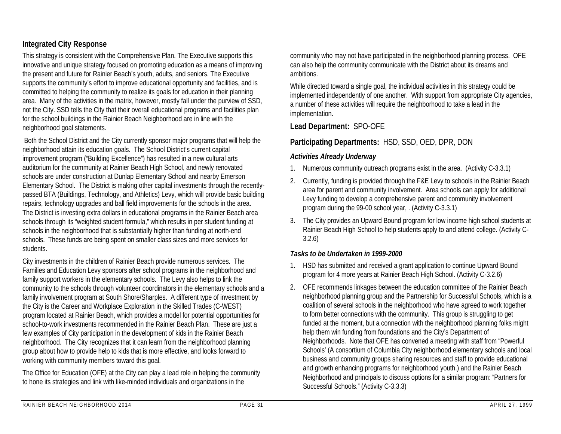## **Integrated City Response**

This strategy is consistent with the Comprehensive Plan. The Executive supports this innovative and unique strategy focused on promoting education as a means of improving the present and future for Rainier Beach's youth, adults, and seniors. The Executive supports the community's effort to improve educational opportunity and facilities, and is committed to helping the community to realize its goals for education in their planning area. Many of the activities in the matrix, however, mostly fall under the purview of SSD, not the City. SSD tells the City that their overall educational programs and facilities plan for the school buildings in the Rainier Beach Neighborhood are in line with the neighborhood goal statements.

 Both the School District and the City currently sponsor major programs that will help the neighborhood attain its education goals. The School District's current capital improvement program ("Building Excellence") has resulted in a new cultural arts auditorium for the community at Rainier Beach High School, and newly renovated schools are under construction at Dunlap Elementary School and nearby Emerson Elementary School. The District is making other capital investments through the recentlypassed BTA (Buildings, Technology, and Athletics) Levy, which will provide basic building repairs, technology upgrades and ball field improvements for the schools in the area. The District is investing extra dollars in educational programs in the Rainier Beach area schools through its "weighted student formula," which results in per student funding at schools in the neighborhood that is substantially higher than funding at north-end schools. These funds are being spent on smaller class sizes and more services for students.

City investments in the children of Rainier Beach provide numerous services. The Families and Education Levy sponsors after school programs in the neighborhood and family support workers in the elementary schools. The Levy also helps to link the community to the schools through volunteer coordinators in the elementary schools and a family involvement program at South Shore/Sharples. A different type of investment by the City is the Career and Workplace Exploration in the Skilled Trades (C-WEST) program located at Rainier Beach, which provides a model for potential opportunities for school-to-work investments recommended in the Rainier Beach Plan. These are just a few examples of City participation in the development of kids in the Rainier Beach neighborhood. The City recognizes that it can learn from the neighborhood planning group about how to provide help to kids that is more effective, and looks forward to working with community members toward this goal.

The Office for Education (OFE) at the City can play a lead role in helping the community to hone its strategies and link with like-minded individuals and organizations in the

community who may not have participated in the neighborhood planning process. OFE can also help the community communicate with the District about its dreams and ambitions.

While directed toward a single goal, the individual activities in this strategy could be implemented independently of one another. With support from appropriate City agencies, a number of these activities will require the neighborhood to take a lead in the implementation.

#### **Lead Department:** SPO-OFE

## **Participating Departments:** HSD, SSD, OED, DPR, DON

#### *Activities Already Underway*

- 1. Numerous community outreach programs exist in the area. (Activity C-3.3.1)
- 2. Currently, funding is provided through the F&E Levy to schools in the Rainier Beach area for parent and community involvement. Area schools can apply for additional Levy funding to develop a comprehensive parent and community involvement program during the 99-00 school year, . (Activity C-3.3.1)
- 3. The City provides an Upward Bound program for low income high school students at Rainier Beach High School to help students apply to and attend college. (Activity C-3.2.6)

## *Tasks to be Undertaken in 1999-2000*

- 1. HSD has submitted and received a grant application to continue Upward Bound program for 4 more years at Rainier Beach High School. (Activity C-3.2.6)
- 2. OFE recommends linkages between the education committee of the Rainier Beach neighborhood planning group and the Partnership for Successful Schools, which is a coalition of several schools in the neighborhood who have agreed to work together to form better connections with the community. This group is struggling to get funded at the moment, but a connection with the neighborhood planning folks might help them win funding from foundations and the City's Department of Neighborhoods. Note that OFE has convened a meeting with staff from "Powerful Schools' (A consortium of Columbia City neighborhood elementary schools and local business and community groups sharing resources and staff to provide educational and growth enhancing programs for neighborhood youth.) and the Rainier Beach Neighborhood and principals to discuss options for a similar program: "Partners for Successful Schools." (Activity C-3.3.3)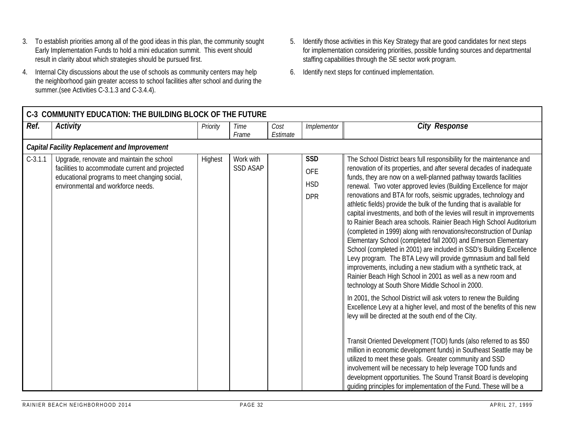- 3. To establish priorities among all of the good ideas in this plan, the community sought Early Implementation Funds to hold a mini education summit. This event should result in clarity about which strategies should be pursued first.
- 4. Internal City discussions about the use of schools as community centers may help the neighborhood gain greater access to school facilities after school and during the summer.(see Activities C-3.1.3 and C-3.4.4).
- 5. Identify those activities in this Key Strategy that are good candidates for next steps for implementation considering priorities, possible funding sources and departmental staffing capabilities through the SE sector work program.
- 6. Identify next steps for continued implementation.

|           | C-3 COMMUNITY EDUCATION: THE BUILDING BLOCK OF THE FUTURE                                                                                                                           |          |                              |          |                                                      |                                                                                                                                                                                                                                                                                                                                                                                                                                                                                                                                                                                                                                                                                                                                                                                                                                                                                                                                                                                                                                                                                                                                                                                                                                                                                                                                                                                                                                                                                   |  |  |  |  |  |
|-----------|-------------------------------------------------------------------------------------------------------------------------------------------------------------------------------------|----------|------------------------------|----------|------------------------------------------------------|-----------------------------------------------------------------------------------------------------------------------------------------------------------------------------------------------------------------------------------------------------------------------------------------------------------------------------------------------------------------------------------------------------------------------------------------------------------------------------------------------------------------------------------------------------------------------------------------------------------------------------------------------------------------------------------------------------------------------------------------------------------------------------------------------------------------------------------------------------------------------------------------------------------------------------------------------------------------------------------------------------------------------------------------------------------------------------------------------------------------------------------------------------------------------------------------------------------------------------------------------------------------------------------------------------------------------------------------------------------------------------------------------------------------------------------------------------------------------------------|--|--|--|--|--|
| Ref.      | Activity                                                                                                                                                                            | Priority | Time                         | Cost     | Implementor                                          | <b>City Response</b>                                                                                                                                                                                                                                                                                                                                                                                                                                                                                                                                                                                                                                                                                                                                                                                                                                                                                                                                                                                                                                                                                                                                                                                                                                                                                                                                                                                                                                                              |  |  |  |  |  |
|           |                                                                                                                                                                                     |          | Frame                        | Estimate |                                                      |                                                                                                                                                                                                                                                                                                                                                                                                                                                                                                                                                                                                                                                                                                                                                                                                                                                                                                                                                                                                                                                                                                                                                                                                                                                                                                                                                                                                                                                                                   |  |  |  |  |  |
|           | <b>Capital Facility Replacement and Improvement</b>                                                                                                                                 |          |                              |          |                                                      |                                                                                                                                                                                                                                                                                                                                                                                                                                                                                                                                                                                                                                                                                                                                                                                                                                                                                                                                                                                                                                                                                                                                                                                                                                                                                                                                                                                                                                                                                   |  |  |  |  |  |
| $C-3.1.1$ | Upgrade, renovate and maintain the school<br>facilities to accommodate current and projected<br>educational programs to meet changing social,<br>environmental and workforce needs. | Highest  | Work with<br><b>SSD ASAP</b> |          | <b>SSD</b><br><b>OFE</b><br><b>HSD</b><br><b>DPR</b> | The School District bears full responsibility for the maintenance and<br>renovation of its properties, and after several decades of inadequate<br>funds, they are now on a well-planned pathway towards facilities<br>renewal. Two voter approved levies (Building Excellence for major<br>renovations and BTA for roofs, seismic upgrades, technology and<br>athletic fields) provide the bulk of the funding that is available for<br>capital investments, and both of the levies will result in improvements<br>to Rainier Beach area schools. Rainier Beach High School Auditorium<br>(completed in 1999) along with renovations/reconstruction of Dunlap<br>Elementary School (completed fall 2000) and Emerson Elementary<br>School (completed in 2001) are included in SSD's Building Excellence<br>Levy program. The BTA Levy will provide gymnasium and ball field<br>improvements, including a new stadium with a synthetic track, at<br>Rainier Beach High School in 2001 as well as a new room and<br>technology at South Shore Middle School in 2000.<br>In 2001, the School District will ask voters to renew the Building<br>Excellence Levy at a higher level, and most of the benefits of this new<br>levy will be directed at the south end of the City.<br>Transit Oriented Development (TOD) funds (also referred to as \$50<br>million in economic development funds) in Southeast Seattle may be<br>utilized to meet these goals. Greater community and SSD |  |  |  |  |  |
|           |                                                                                                                                                                                     |          |                              |          |                                                      | involvement will be necessary to help leverage TOD funds and<br>development opportunities. The Sound Transit Board is developing<br>quiding principles for implementation of the Fund. These will be a                                                                                                                                                                                                                                                                                                                                                                                                                                                                                                                                                                                                                                                                                                                                                                                                                                                                                                                                                                                                                                                                                                                                                                                                                                                                            |  |  |  |  |  |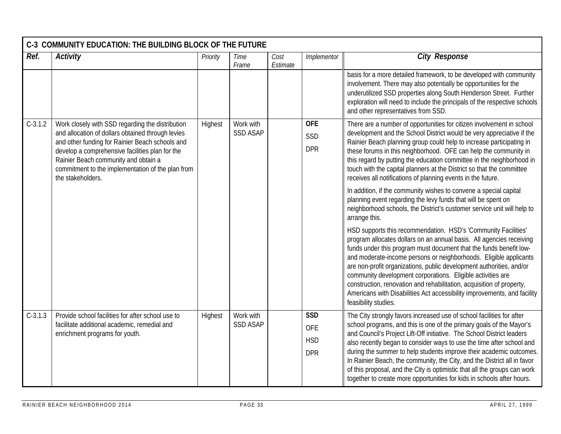|           | C-3 COMMUNITY EDUCATION: THE BUILDING BLOCK OF THE FUTURE                                                                                                                                                                                                                                                                     |          |                              |                  |                                                      |                                                                                                                                                                                                                                                                                                                                                                                                                                                                                                                                                                                                                                                                                                                                                                                                                                                                                                                                                                                                                                                                                                                                                                                                                                                                                                                                                         |  |  |  |  |
|-----------|-------------------------------------------------------------------------------------------------------------------------------------------------------------------------------------------------------------------------------------------------------------------------------------------------------------------------------|----------|------------------------------|------------------|------------------------------------------------------|---------------------------------------------------------------------------------------------------------------------------------------------------------------------------------------------------------------------------------------------------------------------------------------------------------------------------------------------------------------------------------------------------------------------------------------------------------------------------------------------------------------------------------------------------------------------------------------------------------------------------------------------------------------------------------------------------------------------------------------------------------------------------------------------------------------------------------------------------------------------------------------------------------------------------------------------------------------------------------------------------------------------------------------------------------------------------------------------------------------------------------------------------------------------------------------------------------------------------------------------------------------------------------------------------------------------------------------------------------|--|--|--|--|
| Ref.      | <b>Activity</b>                                                                                                                                                                                                                                                                                                               | Priority | Time<br>Frame                | Cost<br>Estimate | Implementor                                          | <b>City Response</b>                                                                                                                                                                                                                                                                                                                                                                                                                                                                                                                                                                                                                                                                                                                                                                                                                                                                                                                                                                                                                                                                                                                                                                                                                                                                                                                                    |  |  |  |  |
|           |                                                                                                                                                                                                                                                                                                                               |          |                              |                  |                                                      | basis for a more detailed framework, to be developed with community<br>involvement. There may also potentially be opportunities for the<br>underutilized SSD properties along South Henderson Street. Further<br>exploration will need to include the principals of the respective schools<br>and other representatives from SSD.                                                                                                                                                                                                                                                                                                                                                                                                                                                                                                                                                                                                                                                                                                                                                                                                                                                                                                                                                                                                                       |  |  |  |  |
| $C-3.1.2$ | Work closely with SSD regarding the distribution<br>and allocation of dollars obtained through levies<br>and other funding for Rainier Beach schools and<br>develop a comprehensive facilities plan for the<br>Rainier Beach community and obtain a<br>commitment to the implementation of the plan from<br>the stakeholders. | Highest  | Work with<br><b>SSD ASAP</b> |                  | <b>OFE</b><br>SSD<br><b>DPR</b>                      | There are a number of opportunities for citizen involvement in school<br>development and the School District would be very appreciative if the<br>Rainier Beach planning group could help to increase participating in<br>these forums in this neighborhood. OFE can help the community in<br>this regard by putting the education committee in the neighborhood in<br>touch with the capital planners at the District so that the committee<br>receives all notifications of planning events in the future.<br>In addition, if the community wishes to convene a special capital<br>planning event regarding the levy funds that will be spent on<br>neighborhood schools, the District's customer service unit will help to<br>arrange this.<br>HSD supports this recommendation. HSD's 'Community Facilities'<br>program allocates dollars on an annual basis. All agencies receiving<br>funds under this program must document that the funds benefit low-<br>and moderate-income persons or neighborhoods. Eligible applicants<br>are non-profit organizations, public development authorities, and/or<br>community development corporations. Eligible activities are<br>construction, renovation and rehabilitation, acquisition of property,<br>Americans with Disabilities Act accessibility improvements, and facility<br>feasibility studies. |  |  |  |  |
| $C-3.1.3$ | Provide school facilities for after school use to<br>facilitate additional academic, remedial and<br>enrichment programs for youth.                                                                                                                                                                                           | Highest  | Work with<br><b>SSD ASAP</b> |                  | <b>SSD</b><br><b>OFE</b><br><b>HSD</b><br><b>DPR</b> | The City strongly favors increased use of school facilities for after<br>school programs, and this is one of the primary goals of the Mayor's<br>and Council's Project Lift-Off initiative. The School District leaders<br>also recently began to consider ways to use the time after school and<br>during the summer to help students improve their academic outcomes.<br>In Rainier Beach, the community, the City, and the District all in favor<br>of this proposal, and the City is optimistic that all the groups can work<br>together to create more opportunities for kids in schools after hours.                                                                                                                                                                                                                                                                                                                                                                                                                                                                                                                                                                                                                                                                                                                                              |  |  |  |  |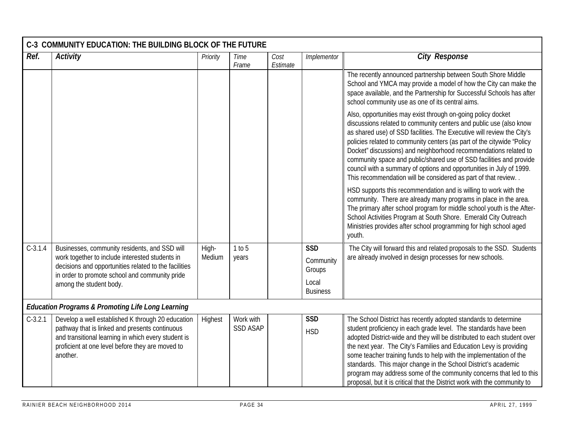|           | C-3 COMMUNITY EDUCATION: THE BUILDING BLOCK OF THE FUTURE                                                                                                                                                                  |                 |                              |                  |                                   |                                                                                                                                                                                                                                                                                                                                                                                                                                                                                                                                                                                  |
|-----------|----------------------------------------------------------------------------------------------------------------------------------------------------------------------------------------------------------------------------|-----------------|------------------------------|------------------|-----------------------------------|----------------------------------------------------------------------------------------------------------------------------------------------------------------------------------------------------------------------------------------------------------------------------------------------------------------------------------------------------------------------------------------------------------------------------------------------------------------------------------------------------------------------------------------------------------------------------------|
| Ref.      | <b>Activity</b>                                                                                                                                                                                                            | Priority        | Time<br>Frame                | Cost<br>Estimate | Implementor                       | <b>City Response</b>                                                                                                                                                                                                                                                                                                                                                                                                                                                                                                                                                             |
|           |                                                                                                                                                                                                                            |                 |                              |                  |                                   | The recently announced partnership between South Shore Middle<br>School and YMCA may provide a model of how the City can make the<br>space available, and the Partnership for Successful Schools has after<br>school community use as one of its central aims.                                                                                                                                                                                                                                                                                                                   |
|           |                                                                                                                                                                                                                            |                 |                              |                  |                                   | Also, opportunities may exist through on-going policy docket<br>discussions related to community centers and public use (also know<br>as shared use) of SSD facilities. The Executive will review the City's<br>policies related to community centers (as part of the citywide "Policy<br>Docket" discussions) and neighborhood recommendations related to<br>community space and public/shared use of SSD facilities and provide<br>council with a summary of options and opportunities in July of 1999.<br>This recommendation will be considered as part of that review       |
|           |                                                                                                                                                                                                                            |                 |                              |                  |                                   | HSD supports this recommendation and is willing to work with the<br>community. There are already many programs in place in the area.<br>The primary after school program for middle school youth is the After-<br>School Activities Program at South Shore. Emerald City Outreach<br>Ministries provides after school programming for high school aged<br>youth.                                                                                                                                                                                                                 |
| $C-3.1.4$ | Businesses, community residents, and SSD will<br>work together to include interested students in<br>decisions and opportunities related to the facilities                                                                  | High-<br>Medium | 1 to 5<br>years              |                  | <b>SSD</b><br>Community<br>Groups | The City will forward this and related proposals to the SSD. Students<br>are already involved in design processes for new schools.                                                                                                                                                                                                                                                                                                                                                                                                                                               |
|           | in order to promote school and community pride<br>among the student body.                                                                                                                                                  |                 |                              |                  | Local<br><b>Business</b>          |                                                                                                                                                                                                                                                                                                                                                                                                                                                                                                                                                                                  |
|           | <b>Education Programs &amp; Promoting Life Long Learning</b>                                                                                                                                                               |                 |                              |                  |                                   |                                                                                                                                                                                                                                                                                                                                                                                                                                                                                                                                                                                  |
| $C-3.2.1$ | Develop a well established K through 20 education<br>pathway that is linked and presents continuous<br>and transitional learning in which every student is<br>proficient at one level before they are moved to<br>another. | Highest         | Work with<br><b>SSD ASAP</b> |                  | <b>SSD</b><br><b>HSD</b>          | The School District has recently adopted standards to determine<br>student proficiency in each grade level. The standards have been<br>adopted District-wide and they will be distributed to each student over<br>the next year. The City's Families and Education Levy is providing<br>some teacher training funds to help with the implementation of the<br>standards. This major change in the School District's academic<br>program may address some of the community concerns that led to this<br>proposal, but it is critical that the District work with the community to |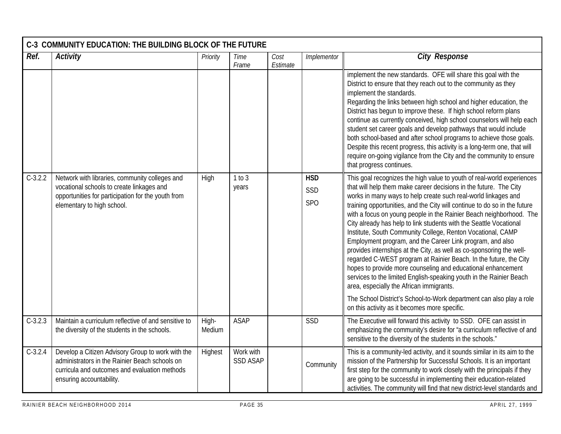|           | C-3 COMMUNITY EDUCATION: THE BUILDING BLOCK OF THE FUTURE<br>Ref.<br><b>Activity</b><br><b>City Response</b><br>Priority<br>Cost<br>Implementor<br>Time                          |                 |                              |          |                          |                                                                                                                                                                                                                                                                                                                                                                                                                                                                                                                                                                                                                                                                                                                                                                                                                                                                                                     |  |  |  |  |  |
|-----------|----------------------------------------------------------------------------------------------------------------------------------------------------------------------------------|-----------------|------------------------------|----------|--------------------------|-----------------------------------------------------------------------------------------------------------------------------------------------------------------------------------------------------------------------------------------------------------------------------------------------------------------------------------------------------------------------------------------------------------------------------------------------------------------------------------------------------------------------------------------------------------------------------------------------------------------------------------------------------------------------------------------------------------------------------------------------------------------------------------------------------------------------------------------------------------------------------------------------------|--|--|--|--|--|
|           |                                                                                                                                                                                  |                 | Frame                        | Estimate |                          |                                                                                                                                                                                                                                                                                                                                                                                                                                                                                                                                                                                                                                                                                                                                                                                                                                                                                                     |  |  |  |  |  |
|           |                                                                                                                                                                                  |                 |                              |          |                          | implement the new standards. OFE will share this goal with the<br>District to ensure that they reach out to the community as they<br>implement the standards.<br>Regarding the links between high school and higher education, the<br>District has begun to improve these. If high school reform plans<br>continue as currently conceived, high school counselors will help each<br>student set career goals and develop pathways that would include<br>both school-based and after school programs to achieve those goals.<br>Despite this recent progress, this activity is a long-term one, that will<br>require on-going vigilance from the City and the community to ensure<br>that progress continues.                                                                                                                                                                                        |  |  |  |  |  |
| $C-3.2.2$ | Network with libraries, community colleges and<br>vocational schools to create linkages and<br>opportunities for participation for the youth from<br>elementary to high school.  | High            | 1 to 3<br>years              |          | <b>HSD</b><br>SSD<br>SPO | This goal recognizes the high value to youth of real-world experiences<br>that will help them make career decisions in the future. The City<br>works in many ways to help create such real-world linkages and<br>training opportunities, and the City will continue to do so in the future<br>with a focus on young people in the Rainier Beach neighborhood. The<br>City already has help to link students with the Seattle Vocational<br>Institute, South Community College, Renton Vocational, CAMP<br>Employment program, and the Career Link program, and also<br>provides internships at the City, as well as co-sponsoring the well-<br>regarded C-WEST program at Rainier Beach. In the future, the City<br>hopes to provide more counseling and educational enhancement<br>services to the limited English-speaking youth in the Rainier Beach<br>area, especially the African immigrants. |  |  |  |  |  |
|           |                                                                                                                                                                                  |                 |                              |          |                          | The School District's School-to-Work department can also play a role<br>on this activity as it becomes more specific.                                                                                                                                                                                                                                                                                                                                                                                                                                                                                                                                                                                                                                                                                                                                                                               |  |  |  |  |  |
| $C-3.2.3$ | Maintain a curriculum reflective of and sensitive to<br>the diversity of the students in the schools.                                                                            | High-<br>Medium | <b>ASAP</b>                  |          | SSD                      | The Executive will forward this activity to SSD. OFE can assist in<br>emphasizing the community's desire for "a curriculum reflective of and<br>sensitive to the diversity of the students in the schools."                                                                                                                                                                                                                                                                                                                                                                                                                                                                                                                                                                                                                                                                                         |  |  |  |  |  |
| $C-3.2.4$ | Develop a Citizen Advisory Group to work with the<br>administrators in the Rainier Beach schools on<br>curricula and outcomes and evaluation methods<br>ensuring accountability. | Highest         | Work with<br><b>SSD ASAP</b> |          | Community                | This is a community-led activity, and it sounds similar in its aim to the<br>mission of the Partnership for Successful Schools. It is an important<br>first step for the community to work closely with the principals if they<br>are going to be successful in implementing their education-related<br>activities. The community will find that new district-level standards and                                                                                                                                                                                                                                                                                                                                                                                                                                                                                                                   |  |  |  |  |  |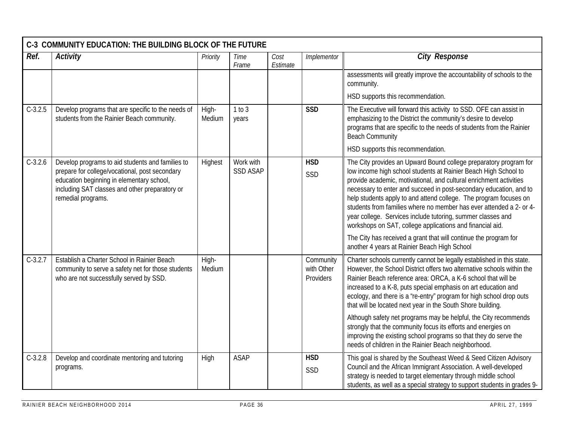|           | C-3 COMMUNITY EDUCATION: THE BUILDING BLOCK OF THE FUTURE                                                                                                                                                               |                 |                              |                  |                                      |                                                                                                                                                                                                                                                                                                                                                                                                                                                                                                                                                          |  |  |  |  |
|-----------|-------------------------------------------------------------------------------------------------------------------------------------------------------------------------------------------------------------------------|-----------------|------------------------------|------------------|--------------------------------------|----------------------------------------------------------------------------------------------------------------------------------------------------------------------------------------------------------------------------------------------------------------------------------------------------------------------------------------------------------------------------------------------------------------------------------------------------------------------------------------------------------------------------------------------------------|--|--|--|--|
| Ref.      | <b>Activity</b>                                                                                                                                                                                                         | Priority        | Time<br>Frame                | Cost<br>Estimate | Implementor                          | <b>City Response</b>                                                                                                                                                                                                                                                                                                                                                                                                                                                                                                                                     |  |  |  |  |
|           |                                                                                                                                                                                                                         |                 |                              |                  |                                      | assessments will greatly improve the accountability of schools to the<br>community.                                                                                                                                                                                                                                                                                                                                                                                                                                                                      |  |  |  |  |
|           |                                                                                                                                                                                                                         |                 |                              |                  |                                      | HSD supports this recommendation.                                                                                                                                                                                                                                                                                                                                                                                                                                                                                                                        |  |  |  |  |
| $C-3.2.5$ | Develop programs that are specific to the needs of<br>students from the Rainier Beach community.                                                                                                                        | High-<br>Medium | 1 to 3<br>years              |                  | <b>SSD</b>                           | The Executive will forward this activity to SSD. OFE can assist in<br>emphasizing to the District the community's desire to develop<br>programs that are specific to the needs of students from the Rainier<br><b>Beach Community</b>                                                                                                                                                                                                                                                                                                                    |  |  |  |  |
|           |                                                                                                                                                                                                                         |                 |                              |                  |                                      | HSD supports this recommendation.                                                                                                                                                                                                                                                                                                                                                                                                                                                                                                                        |  |  |  |  |
| $C-3.2.6$ | Develop programs to aid students and families to<br>prepare for college/vocational, post secondary<br>education beginning in elementary school,<br>including SAT classes and other preparatory or<br>remedial programs. | Highest         | Work with<br><b>SSD ASAP</b> |                  | <b>HSD</b><br>SSD                    | The City provides an Upward Bound college preparatory program for<br>low income high school students at Rainier Beach High School to<br>provide academic, motivational, and cultural enrichment activities<br>necessary to enter and succeed in post-secondary education, and to<br>help students apply to and attend college. The program focuses on<br>students from families where no member has ever attended a 2- or 4-<br>year college. Services include tutoring, summer classes and<br>workshops on SAT, college applications and financial aid. |  |  |  |  |
|           |                                                                                                                                                                                                                         |                 |                              |                  |                                      | The City has received a grant that will continue the program for<br>another 4 years at Rainier Beach High School                                                                                                                                                                                                                                                                                                                                                                                                                                         |  |  |  |  |
| $C-3.2.7$ | Establish a Charter School in Rainier Beach<br>community to serve a safety net for those students<br>who are not successfully served by SSD.                                                                            | High-<br>Medium |                              |                  | Community<br>with Other<br>Providers | Charter schools currently cannot be legally established in this state.<br>However, the School District offers two alternative schools within the<br>Rainier Beach reference area: ORCA, a K-6 school that will be<br>increased to a K-8, puts special emphasis on art education and<br>ecology, and there is a 're-entry" program for high school drop outs<br>that will be located next year in the South Shore building.                                                                                                                               |  |  |  |  |
|           |                                                                                                                                                                                                                         |                 |                              |                  |                                      | Although safety net programs may be helpful, the City recommends<br>strongly that the community focus its efforts and energies on<br>improving the existing school programs so that they do serve the<br>needs of children in the Rainier Beach neighborhood.                                                                                                                                                                                                                                                                                            |  |  |  |  |
| $C-3.2.8$ | Develop and coordinate mentoring and tutoring<br>programs.                                                                                                                                                              | High            | <b>ASAP</b>                  |                  | <b>HSD</b><br>SSD                    | This goal is shared by the Southeast Weed & Seed Citizen Advisory<br>Council and the African Immigrant Association. A well-developed<br>strategy is needed to target elementary through middle school<br>students, as well as a special strategy to support students in grades 9-                                                                                                                                                                                                                                                                        |  |  |  |  |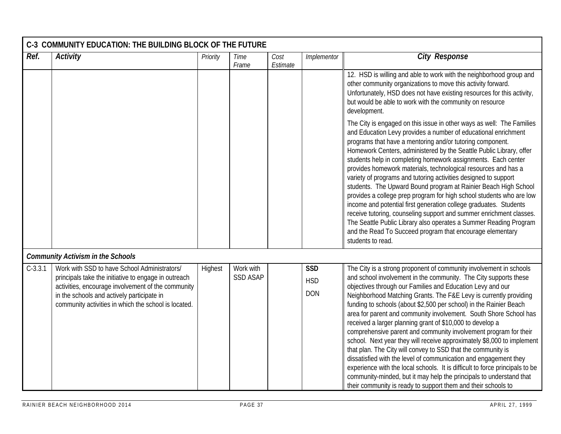| Ref.      | <b>Activity</b>                                                                                                                                          | Priority | Time                         | Cost     | Implementor              | <b>City Response</b>                                                                                                                                                                                                                                                                                                                                                                                                                                                                                                                                                                                                                                                                                                                                                                                                                                                                                                            |
|-----------|----------------------------------------------------------------------------------------------------------------------------------------------------------|----------|------------------------------|----------|--------------------------|---------------------------------------------------------------------------------------------------------------------------------------------------------------------------------------------------------------------------------------------------------------------------------------------------------------------------------------------------------------------------------------------------------------------------------------------------------------------------------------------------------------------------------------------------------------------------------------------------------------------------------------------------------------------------------------------------------------------------------------------------------------------------------------------------------------------------------------------------------------------------------------------------------------------------------|
|           |                                                                                                                                                          |          | Frame                        | Estimate |                          | 12. HSD is willing and able to work with the neighborhood group and<br>other community organizations to move this activity forward.<br>Unfortunately, HSD does not have existing resources for this activity,<br>but would be able to work with the community on resource<br>development.                                                                                                                                                                                                                                                                                                                                                                                                                                                                                                                                                                                                                                       |
|           |                                                                                                                                                          |          |                              |          |                          | The City is engaged on this issue in other ways as well: The Families<br>and Education Levy provides a number of educational enrichment<br>programs that have a mentoring and/or tutoring component.<br>Homework Centers, administered by the Seattle Public Library, offer<br>students help in completing homework assignments. Each center<br>provides homework materials, technological resources and has a<br>variety of programs and tutoring activities designed to support<br>students. The Upward Bound program at Rainier Beach High School<br>provides a college prep program for high school students who are low<br>income and potential first generation college graduates. Students<br>receive tutoring, counseling support and summer enrichment classes.<br>The Seattle Public Library also operates a Summer Reading Program<br>and the Read To Succeed program that encourage elementary<br>students to read. |
|           | <b>Community Activism in the Schools</b>                                                                                                                 |          |                              |          |                          |                                                                                                                                                                                                                                                                                                                                                                                                                                                                                                                                                                                                                                                                                                                                                                                                                                                                                                                                 |
| $C-3.3.1$ | Work with SSD to have School Administrators/<br>principals take the initiative to engage in outreach                                                     | Highest  | Work with<br><b>SSD ASAP</b> |          | <b>SSD</b>               | The City is a strong proponent of community involvement in schools<br>and school involvement in the community. The City supports these                                                                                                                                                                                                                                                                                                                                                                                                                                                                                                                                                                                                                                                                                                                                                                                          |
|           | activities, encourage involvement of the community<br>in the schools and actively participate in<br>community activities in which the school is located. |          |                              |          | <b>HSD</b><br><b>DON</b> | objectives through our Families and Education Levy and our<br>Neighborhood Matching Grants. The F&E Levy is currently providing<br>funding to schools (about \$2,500 per school) in the Rainier Beach<br>area for parent and community involvement. South Shore School has<br>received a larger planning grant of \$10,000 to develop a<br>comprehensive parent and community involvement program for their<br>school. Next year they will receive approximately \$8,000 to implement<br>that plan. The City will convey to SSD that the community is<br>dissatisfied with the level of communication and engagement they<br>experience with the local schools. It is difficult to force principals to be<br>community-minded, but it may help the principals to understand that<br>their community is ready to support them and their schools to                                                                               |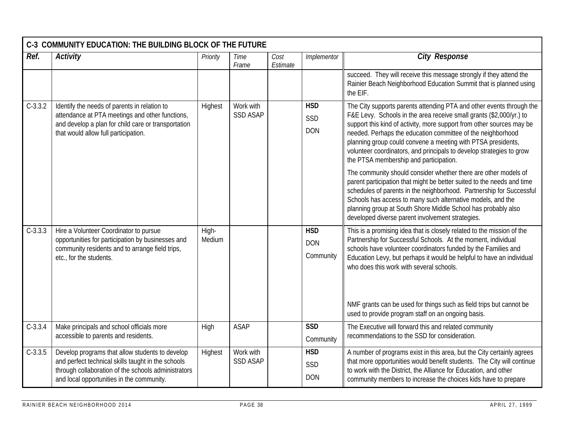| C-3 COMMUNITY EDUCATION: THE BUILDING BLOCK OF THE FUTURE |                                                                                                                                                                                                           |                 |                              |                  |                                       |                                                                                                                                                                                                                                                                                                                                                                                                                                                                       |  |  |  |  |
|-----------------------------------------------------------|-----------------------------------------------------------------------------------------------------------------------------------------------------------------------------------------------------------|-----------------|------------------------------|------------------|---------------------------------------|-----------------------------------------------------------------------------------------------------------------------------------------------------------------------------------------------------------------------------------------------------------------------------------------------------------------------------------------------------------------------------------------------------------------------------------------------------------------------|--|--|--|--|
| Ref.                                                      | <b>Activity</b>                                                                                                                                                                                           | Priority        | Time<br>Frame                | Cost<br>Estimate | Implementor                           | <b>City Response</b>                                                                                                                                                                                                                                                                                                                                                                                                                                                  |  |  |  |  |
|                                                           |                                                                                                                                                                                                           |                 |                              |                  |                                       | succeed. They will receive this message strongly if they attend the<br>Rainier Beach Neighborhood Education Summit that is planned using<br>the EIF.                                                                                                                                                                                                                                                                                                                  |  |  |  |  |
| $C-3.3.2$                                                 | Identify the needs of parents in relation to<br>attendance at PTA meetings and other functions,<br>and develop a plan for child care or transportation<br>that would allow full participation.            | Highest         | Work with<br><b>SSD ASAP</b> |                  | <b>HSD</b><br>SSD<br><b>DON</b>       | The City supports parents attending PTA and other events through the<br>F&E Levy. Schools in the area receive small grants (\$2,000/yr.) to<br>support this kind of activity, more support from other sources may be<br>needed. Perhaps the education committee of the neighborhood<br>planning group could convene a meeting with PTSA presidents,<br>volunteer coordinators, and principals to develop strategies to grow<br>the PTSA membership and participation. |  |  |  |  |
|                                                           |                                                                                                                                                                                                           |                 |                              |                  |                                       | The community should consider whether there are other models of<br>parent participation that might be better suited to the needs and time<br>schedules of parents in the neighborhood. Partnership for Successful<br>Schools has access to many such alternative models, and the<br>planning group at South Shore Middle School has probably also<br>developed diverse parent involvement strategies.                                                                 |  |  |  |  |
| $C-3.3.3$                                                 | Hire a Volunteer Coordinator to pursue<br>opportunities for participation by businesses and<br>community residents and to arrange field trips,<br>etc., for the students.                                 | High-<br>Medium |                              |                  | <b>HSD</b><br><b>DON</b><br>Community | This is a promising idea that is closely related to the mission of the<br>Partnership for Successful Schools. At the moment, individual<br>schools have volunteer coordinators funded by the Families and<br>Education Levy, but perhaps it would be helpful to have an individual<br>who does this work with several schools.<br>NMF grants can be used for things such as field trips but cannot be<br>used to provide program staff on an ongoing basis.           |  |  |  |  |
| $C-3.3.4$                                                 | Make principals and school officials more<br>accessible to parents and residents.                                                                                                                         | High            | <b>ASAP</b>                  |                  | <b>SSD</b><br>Community               | The Executive will forward this and related community<br>recommendations to the SSD for consideration.                                                                                                                                                                                                                                                                                                                                                                |  |  |  |  |
| $C-3.3.5$                                                 | Develop programs that allow students to develop<br>and perfect technical skills taught in the schools<br>through collaboration of the schools administrators<br>and local opportunities in the community. | Highest         | Work with<br><b>SSD ASAP</b> |                  | <b>HSD</b><br>SSD<br><b>DON</b>       | A number of programs exist in this area, but the City certainly agrees<br>that more opportunities would benefit students. The City will continue<br>to work with the District, the Alliance for Education, and other<br>community members to increase the choices kids have to prepare                                                                                                                                                                                |  |  |  |  |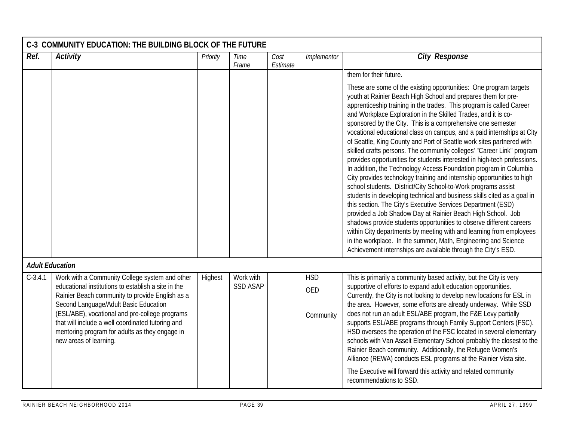|                        | C-3 COMMUNITY EDUCATION: THE BUILDING BLOCK OF THE FUTURE                                                                                                                                                                                                                                                                                                                            |          |                              |                  |                                       |                                                                                                                                                                                                                                                                                                                                                                                                                                                                                                                                                                                                                                                                                                                                                                                                                                                                                                                                                                                                                                                                                                                                                                                                                                                                                                                                                                |  |  |  |
|------------------------|--------------------------------------------------------------------------------------------------------------------------------------------------------------------------------------------------------------------------------------------------------------------------------------------------------------------------------------------------------------------------------------|----------|------------------------------|------------------|---------------------------------------|----------------------------------------------------------------------------------------------------------------------------------------------------------------------------------------------------------------------------------------------------------------------------------------------------------------------------------------------------------------------------------------------------------------------------------------------------------------------------------------------------------------------------------------------------------------------------------------------------------------------------------------------------------------------------------------------------------------------------------------------------------------------------------------------------------------------------------------------------------------------------------------------------------------------------------------------------------------------------------------------------------------------------------------------------------------------------------------------------------------------------------------------------------------------------------------------------------------------------------------------------------------------------------------------------------------------------------------------------------------|--|--|--|
| Ref.                   | <b>Activity</b>                                                                                                                                                                                                                                                                                                                                                                      | Priority | Time<br>Frame                | Cost<br>Estimate | Implementor                           | <b>City Response</b>                                                                                                                                                                                                                                                                                                                                                                                                                                                                                                                                                                                                                                                                                                                                                                                                                                                                                                                                                                                                                                                                                                                                                                                                                                                                                                                                           |  |  |  |
|                        |                                                                                                                                                                                                                                                                                                                                                                                      |          |                              |                  |                                       | them for their future.                                                                                                                                                                                                                                                                                                                                                                                                                                                                                                                                                                                                                                                                                                                                                                                                                                                                                                                                                                                                                                                                                                                                                                                                                                                                                                                                         |  |  |  |
|                        |                                                                                                                                                                                                                                                                                                                                                                                      |          |                              |                  |                                       | These are some of the existing opportunities: One program targets<br>youth at Rainier Beach High School and prepares them for pre-<br>apprenticeship training in the trades. This program is called Career<br>and Workplace Exploration in the Skilled Trades, and it is co-<br>sponsored by the City. This is a comprehensive one semester<br>vocational educational class on campus, and a paid internships at City<br>of Seattle, King County and Port of Seattle work sites partnered with<br>skilled crafts persons. The community colleges' "Career Link" program<br>provides opportunities for students interested in high-tech professions.<br>In addition, the Technology Access Foundation program in Columbia<br>City provides technology training and internship opportunities to high<br>school students. District/City School-to-Work programs assist<br>students in developing technical and business skills cited as a goal in<br>this section. The City's Executive Services Department (ESD)<br>provided a Job Shadow Day at Rainier Beach High School. Job<br>shadows provide students opportunities to observe different careers<br>within City departments by meeting with and learning from employees<br>in the workplace. In the summer, Math, Engineering and Science<br>Achievement internships are available through the City's ESD. |  |  |  |
| <b>Adult Education</b> |                                                                                                                                                                                                                                                                                                                                                                                      |          |                              |                  |                                       |                                                                                                                                                                                                                                                                                                                                                                                                                                                                                                                                                                                                                                                                                                                                                                                                                                                                                                                                                                                                                                                                                                                                                                                                                                                                                                                                                                |  |  |  |
| $C-3.4.1$              | Work with a Community College system and other<br>educational institutions to establish a site in the<br>Rainier Beach community to provide English as a<br>Second Language/Adult Basic Education<br>(ESL/ABE), vocational and pre-college programs<br>that will include a well coordinated tutoring and<br>mentoring program for adults as they engage in<br>new areas of learning. | Highest  | Work with<br><b>SSD ASAP</b> |                  | <b>HSD</b><br><b>OED</b><br>Community | This is primarily a community based activity, but the City is very<br>supportive of efforts to expand adult education opportunities.<br>Currently, the City is not looking to develop new locations for ESL in<br>the area. However, some efforts are already underway. While SSD<br>does not run an adult ESL/ABE program, the F&E Levy partially<br>supports ESL/ABE programs through Family Support Centers (FSC).<br>HSD oversees the operation of the FSC located in several elementary<br>schools with Van Asselt Elementary School probably the closest to the<br>Rainier Beach community. Additionally, the Refugee Women's<br>Alliance (REWA) conducts ESL programs at the Rainier Vista site.                                                                                                                                                                                                                                                                                                                                                                                                                                                                                                                                                                                                                                                        |  |  |  |
|                        |                                                                                                                                                                                                                                                                                                                                                                                      |          |                              |                  |                                       | The Executive will forward this activity and related community<br>recommendations to SSD.                                                                                                                                                                                                                                                                                                                                                                                                                                                                                                                                                                                                                                                                                                                                                                                                                                                                                                                                                                                                                                                                                                                                                                                                                                                                      |  |  |  |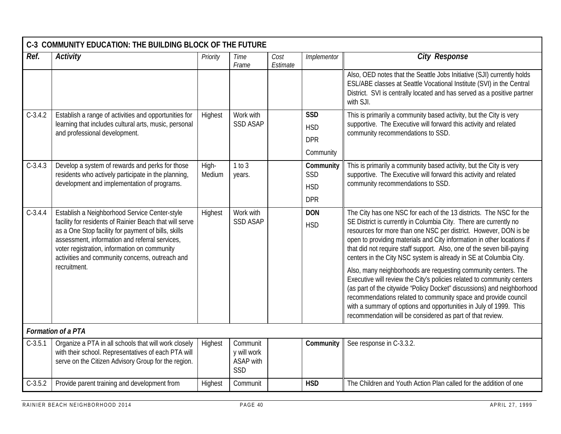|           | C-3 COMMUNITY EDUCATION: THE BUILDING BLOCK OF THE FUTURE                                                                                                                                                                                                                                                            |                 |                                                    |                  |                          |                                                                                                                                                                                                                                                                                                                                                                                                                                      |  |  |  |  |
|-----------|----------------------------------------------------------------------------------------------------------------------------------------------------------------------------------------------------------------------------------------------------------------------------------------------------------------------|-----------------|----------------------------------------------------|------------------|--------------------------|--------------------------------------------------------------------------------------------------------------------------------------------------------------------------------------------------------------------------------------------------------------------------------------------------------------------------------------------------------------------------------------------------------------------------------------|--|--|--|--|
| Ref.      | <b>Activity</b>                                                                                                                                                                                                                                                                                                      | Priority        | Time<br>Frame                                      | Cost<br>Estimate | Implementor              | <b>City Response</b>                                                                                                                                                                                                                                                                                                                                                                                                                 |  |  |  |  |
|           |                                                                                                                                                                                                                                                                                                                      |                 |                                                    |                  |                          | Also, OED notes that the Seattle Jobs Initiative (SJI) currently holds<br>ESL/ABE classes at Seattle Vocational Institute (SVI) in the Central<br>District. SVI is centrally located and has served as a positive partner<br>with SJI.                                                                                                                                                                                               |  |  |  |  |
| $C-3.4.2$ | Establish a range of activities and opportunities for                                                                                                                                                                                                                                                                | Highest         | Work with                                          |                  | <b>SSD</b>               | This is primarily a community based activity, but the City is very                                                                                                                                                                                                                                                                                                                                                                   |  |  |  |  |
|           | learning that includes cultural arts, music, personal<br>and professional development.                                                                                                                                                                                                                               |                 | <b>SSD ASAP</b>                                    |                  | <b>HSD</b>               | supportive. The Executive will forward this activity and related<br>community recommendations to SSD.                                                                                                                                                                                                                                                                                                                                |  |  |  |  |
|           |                                                                                                                                                                                                                                                                                                                      |                 |                                                    |                  | <b>DPR</b>               |                                                                                                                                                                                                                                                                                                                                                                                                                                      |  |  |  |  |
|           |                                                                                                                                                                                                                                                                                                                      |                 |                                                    |                  | Community                |                                                                                                                                                                                                                                                                                                                                                                                                                                      |  |  |  |  |
| $C-3.4.3$ | Develop a system of rewards and perks for those<br>residents who actively participate in the planning,                                                                                                                                                                                                               | High-<br>Medium | 1 to 3<br>years.                                   |                  | Community<br>SSD         | This is primarily a community based activity, but the City is very<br>supportive. The Executive will forward this activity and related                                                                                                                                                                                                                                                                                               |  |  |  |  |
|           | development and implementation of programs.                                                                                                                                                                                                                                                                          |                 |                                                    |                  | <b>HSD</b>               | community recommendations to SSD.                                                                                                                                                                                                                                                                                                                                                                                                    |  |  |  |  |
|           |                                                                                                                                                                                                                                                                                                                      |                 |                                                    |                  | <b>DPR</b>               |                                                                                                                                                                                                                                                                                                                                                                                                                                      |  |  |  |  |
| $C-3.4.4$ | Establish a Neighborhood Service Center-style<br>facility for residents of Rainier Beach that will serve<br>as a One Stop facility for payment of bills, skills<br>assessment, information and referral services,<br>voter registration, information on community<br>activities and community concerns, outreach and | Highest         | Work with<br><b>SSD ASAP</b>                       |                  | <b>DON</b><br><b>HSD</b> | The City has one NSC for each of the 13 districts. The NSC for the<br>SE District is currently in Columbia City. There are currently no<br>resources for more than one NSC per district. However, DON is be<br>open to providing materials and City information in other locations if<br>that did not require staff support. Also, one of the seven bill-paying<br>centers in the City NSC system is already in SE at Columbia City. |  |  |  |  |
|           | recruitment.                                                                                                                                                                                                                                                                                                         |                 |                                                    |                  |                          | Also, many neighborhoods are requesting community centers. The<br>Executive will review the City's policies related to community centers<br>(as part of the citywide "Policy Docket" discussions) and neighborhood<br>recommendations related to community space and provide council<br>with a summary of options and opportunities in July of 1999. This<br>recommendation will be considered as part of that review.               |  |  |  |  |
|           | <b>Formation of a PTA</b>                                                                                                                                                                                                                                                                                            |                 |                                                    |                  |                          |                                                                                                                                                                                                                                                                                                                                                                                                                                      |  |  |  |  |
| $C-3.5.1$ | Organize a PTA in all schools that will work closely<br>with their school. Representatives of each PTA will<br>serve on the Citizen Advisory Group for the region.                                                                                                                                                   | Highest         | Communit<br>y will work<br><b>ASAP</b> with<br>SSD |                  | Community                | See response in C-3.3.2.                                                                                                                                                                                                                                                                                                                                                                                                             |  |  |  |  |
| $C-3.5.2$ | Provide parent training and development from                                                                                                                                                                                                                                                                         | Highest         | Communit                                           |                  | <b>HSD</b>               | The Children and Youth Action Plan called for the addition of one                                                                                                                                                                                                                                                                                                                                                                    |  |  |  |  |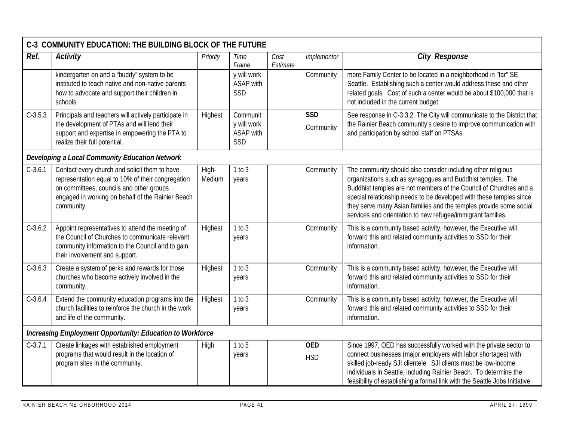| C-3 COMMUNITY EDUCATION: THE BUILDING BLOCK OF THE FUTURE |                                                                                                                                                                                                                   |                 |                                                    |                  |                          |                                                                                                                                                                                                                                                                                                                                                                                                             |  |  |  |
|-----------------------------------------------------------|-------------------------------------------------------------------------------------------------------------------------------------------------------------------------------------------------------------------|-----------------|----------------------------------------------------|------------------|--------------------------|-------------------------------------------------------------------------------------------------------------------------------------------------------------------------------------------------------------------------------------------------------------------------------------------------------------------------------------------------------------------------------------------------------------|--|--|--|
| Ref.                                                      | <b>Activity</b>                                                                                                                                                                                                   | Priority        | Time<br>Frame                                      | Cost<br>Estimate | Implementor              | <b>City Response</b>                                                                                                                                                                                                                                                                                                                                                                                        |  |  |  |
|                                                           | kindergarten on and a 'buddy" system to be<br>instituted to teach native and non-native parents<br>how to advocate and support their children in<br>schools.                                                      |                 | y will work<br>ASAP with<br>SSD                    |                  | Community                | more Family Center to be located in a neighborhood in "far" SE<br>Seattle. Establishing such a center would address these and other<br>related goals. Cost of such a center would be about \$100,000 that is<br>not included in the current budget.                                                                                                                                                         |  |  |  |
| $C-3.5.3$                                                 | Principals and teachers will actively participate in<br>the development of PTAs and will lend their<br>support and expertise in empowering the PTA to<br>realize their full potential.                            | Highest         | Communit<br>y will work<br><b>ASAP</b> with<br>SSD |                  | <b>SSD</b><br>Community  | See response in C-3.3.2. The City will communicate to the District that<br>the Rainier Beach community's desire to improve communication with<br>and participation by school staff on PTSAs.                                                                                                                                                                                                                |  |  |  |
| Developing a Local Community Education Network            |                                                                                                                                                                                                                   |                 |                                                    |                  |                          |                                                                                                                                                                                                                                                                                                                                                                                                             |  |  |  |
| $C-3.6.1$                                                 | Contact every church and solicit them to have<br>representation equal to 10% of their congregation<br>on committees, councils and other groups<br>engaged in working on behalf of the Rainier Beach<br>community. | High-<br>Medium | 1 to 3<br>years                                    |                  | Community                | The community should also consider including other religious<br>organizations such as synagogues and Buddhist temples. The<br>Buddhist temples are not members of the Council of Churches and a<br>special relationship needs to be developed with these temples since<br>they serve many Asian families and the temples provide some social<br>services and orientation to new refugee/immigrant families. |  |  |  |
| $C-3.6.2$                                                 | Appoint representatives to attend the meeting of<br>the Council of Churches to communicate relevant<br>community information to the Council and to gain<br>their involvement and support.                         | Highest         | 1 to 3<br>years                                    |                  | Community                | This is a community based activity, however, the Executive will<br>forward this and related community activities to SSD for their<br>information.                                                                                                                                                                                                                                                           |  |  |  |
| $C-3.6.3$                                                 | Create a system of perks and rewards for those<br>churches who become actively involved in the<br>community.                                                                                                      | Highest         | 1 to 3<br>years                                    |                  | Community                | This is a community based activity, however, the Executive will<br>forward this and related community activities to SSD for their<br>information.                                                                                                                                                                                                                                                           |  |  |  |
| $C-3.6.4$                                                 | Extend the community education programs into the<br>church facilities to reinforce the church in the work<br>and life of the community.                                                                           | Highest         | 1 to 3<br>years                                    |                  | Community                | This is a community based activity, however, the Executive will<br>forward this and related community activities to SSD for their<br>information.                                                                                                                                                                                                                                                           |  |  |  |
|                                                           | <b>Increasing Employment Opportunity: Education to Workforce</b>                                                                                                                                                  |                 |                                                    |                  |                          |                                                                                                                                                                                                                                                                                                                                                                                                             |  |  |  |
| $C-3.7.1$                                                 | Create linkages with established employment<br>programs that would result in the location of<br>program sites in the community.                                                                                   | High            | 1 to 5<br>years                                    |                  | <b>OED</b><br><b>HSD</b> | Since 1997, OED has successfully worked with the private sector to<br>connect businesses (major employers with labor shortages) with<br>skilled job-ready SJI clientele. SJI clients must be low-income<br>individuals in Seattle, including Rainier Beach. To determine the<br>feasibility of establishing a formal link with the Seattle Jobs Initiative                                                  |  |  |  |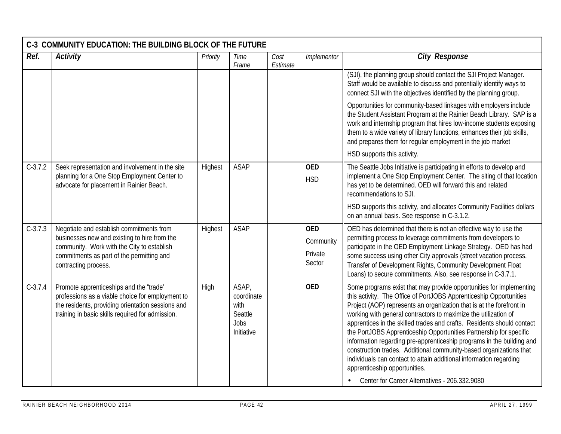| C-3 COMMUNITY EDUCATION: THE BUILDING BLOCK OF THE FUTURE                                                                                                                                                   |          |                                                              |                  |                                              |                                                                                                                                                                                                                                                                                                                                                                                                                                                                                                                                                                                                                                                                                                                                             |  |  |  |  |  |
|-------------------------------------------------------------------------------------------------------------------------------------------------------------------------------------------------------------|----------|--------------------------------------------------------------|------------------|----------------------------------------------|---------------------------------------------------------------------------------------------------------------------------------------------------------------------------------------------------------------------------------------------------------------------------------------------------------------------------------------------------------------------------------------------------------------------------------------------------------------------------------------------------------------------------------------------------------------------------------------------------------------------------------------------------------------------------------------------------------------------------------------------|--|--|--|--|--|
| <b>Activity</b>                                                                                                                                                                                             | Priority | Time<br>Frame                                                | Cost<br>Estimate | Implementor                                  | <b>City Response</b>                                                                                                                                                                                                                                                                                                                                                                                                                                                                                                                                                                                                                                                                                                                        |  |  |  |  |  |
|                                                                                                                                                                                                             |          |                                                              |                  |                                              | (SJI), the planning group should contact the SJI Project Manager.<br>Staff would be available to discuss and potentially identify ways to<br>connect SJI with the objectives identified by the planning group.                                                                                                                                                                                                                                                                                                                                                                                                                                                                                                                              |  |  |  |  |  |
|                                                                                                                                                                                                             |          |                                                              |                  |                                              | Opportunities for community-based linkages with employers include<br>the Student Assistant Program at the Rainier Beach Library. SAP is a<br>work and internship program that hires low-income students exposing<br>them to a wide variety of library functions, enhances their job skills,<br>and prepares them for regular employment in the job market                                                                                                                                                                                                                                                                                                                                                                                   |  |  |  |  |  |
|                                                                                                                                                                                                             |          |                                                              |                  |                                              | HSD supports this activity.                                                                                                                                                                                                                                                                                                                                                                                                                                                                                                                                                                                                                                                                                                                 |  |  |  |  |  |
| Seek representation and involvement in the site<br>planning for a One Stop Employment Center to<br>advocate for placement in Rainier Beach.                                                                 | Highest  | ASAP                                                         |                  | <b>OED</b><br><b>HSD</b>                     | The Seattle Jobs Initiative is participating in efforts to develop and<br>implement a One Stop Employment Center. The siting of that location<br>has yet to be determined. OED will forward this and related<br>recommendations to SJI.                                                                                                                                                                                                                                                                                                                                                                                                                                                                                                     |  |  |  |  |  |
|                                                                                                                                                                                                             |          |                                                              |                  |                                              | HSD supports this activity, and allocates Community Facilities dollars<br>on an annual basis. See response in C-3.1.2.                                                                                                                                                                                                                                                                                                                                                                                                                                                                                                                                                                                                                      |  |  |  |  |  |
| Negotiate and establish commitments from<br>businesses new and existing to hire from the<br>community. Work with the City to establish<br>commitments as part of the permitting and<br>contracting process. | Highest  | <b>ASAP</b>                                                  |                  | <b>OED</b><br>Community<br>Private<br>Sector | OED has determined that there is not an effective way to use the<br>permitting process to leverage commitments from developers to<br>participate in the OED Employment Linkage Strategy. OED has had<br>some success using other City approvals (street vacation process,<br>Transfer of Development Rights, Community Development Float<br>Loans) to secure commitments. Also, see response in C-3.7.1.                                                                                                                                                                                                                                                                                                                                    |  |  |  |  |  |
| Promote apprenticeships and the "trade"<br>professions as a viable choice for employment to<br>the residents, providing orientation sessions and<br>training in basic skills required for admission.        | High     | ASAP,<br>coordinate<br>with<br>Seattle<br>Jobs<br>Initiative |                  | <b>OED</b>                                   | Some programs exist that may provide opportunities for implementing<br>this activity. The Office of PortJOBS Apprenticeship Opportunities<br>Project (AOP) represents an organization that is at the forefront in<br>working with general contractors to maximize the utilization of<br>apprentices in the skilled trades and crafts. Residents should contact<br>the PortJOBS Apprenticeship Opportunities Partnership for specific<br>information regarding pre-apprenticeship programs in the building and<br>construction trades. Additional community-based organizations that<br>individuals can contact to attain additional information regarding<br>apprenticeship opportunities.<br>Center for Career Alternatives - 206.332.9080 |  |  |  |  |  |
|                                                                                                                                                                                                             |          |                                                              |                  |                                              |                                                                                                                                                                                                                                                                                                                                                                                                                                                                                                                                                                                                                                                                                                                                             |  |  |  |  |  |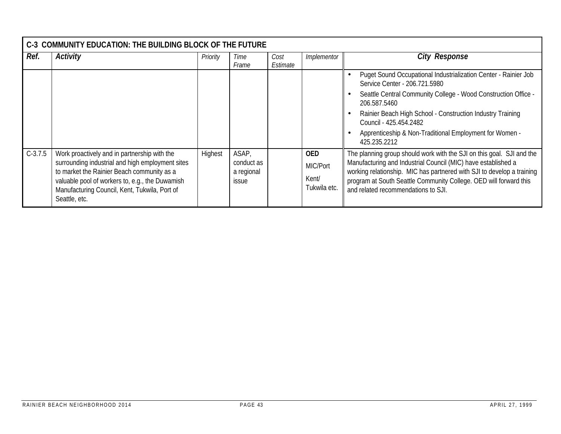|           | C-3 COMMUNITY EDUCATION: THE BUILDING BLOCK OF THE FUTURE                                                                                                                                                                                                           |          |                                                   |                  |                                                 |                                                                                                                                                                                                                                                                                                                                                       |
|-----------|---------------------------------------------------------------------------------------------------------------------------------------------------------------------------------------------------------------------------------------------------------------------|----------|---------------------------------------------------|------------------|-------------------------------------------------|-------------------------------------------------------------------------------------------------------------------------------------------------------------------------------------------------------------------------------------------------------------------------------------------------------------------------------------------------------|
| Ref.      | Activity                                                                                                                                                                                                                                                            | Priority | Time<br>Frame                                     | Cost<br>Estimate | Implementor                                     | <b>City Response</b>                                                                                                                                                                                                                                                                                                                                  |
|           |                                                                                                                                                                                                                                                                     |          |                                                   |                  |                                                 | Puget Sound Occupational Industrialization Center - Rainier Job<br>Service Center - 206.721.5980<br>Seattle Central Community College - Wood Construction Office -<br>206.587.5460<br>Rainier Beach High School - Construction Industry Training<br>Council - 425.454.2482<br>Apprenticeship & Non-Traditional Employment for Women -<br>425.235.2212 |
| $C-3.7.5$ | Work proactively and in partnership with the<br>surrounding industrial and high employment sites<br>to market the Rainier Beach community as a<br>valuable pool of workers to, e.g., the Duwamish<br>Manufacturing Council, Kent, Tukwila, Port of<br>Seattle, etc. | Highest  | ASAP,<br>conduct as<br>a regional<br><i>issue</i> |                  | <b>OED</b><br>MIC/Port<br>Kent/<br>Tukwila etc. | The planning group should work with the SJI on this goal. SJI and the<br>Manufacturing and Industrial Council (MIC) have established a<br>working relationship. MIC has partnered with SJI to develop a training<br>program at South Seattle Community College. OED will forward this<br>and related recommendations to SJI.                          |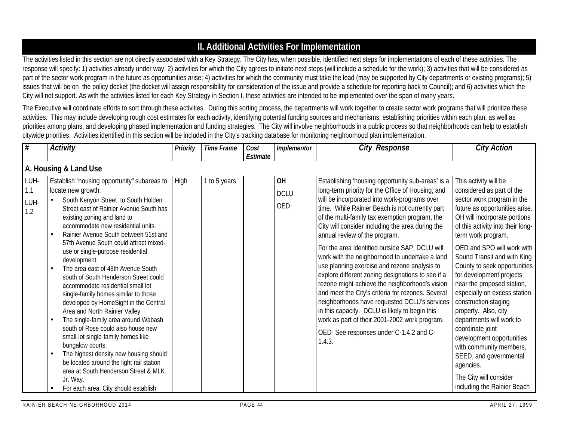## **II. Additional Activities For Implementation**

The activities listed in this section are not directly associated with a Key Strategy. The City has, when possible, identified next steps for implementations of each of these activities. The response will specify: 1) activities already under way; 2) activities for which the City agrees to initiate next steps (will include a schedule for the work); 3) activities that will be considered as part of the sector work program in the future as opportunities arise; 4) activities for which the community must take the lead (may be supported by City departments or existing programs); 5) issues that will be on the policy docket (the docket will assign responsibility for consideration of the issue and provide a schedule for reporting back to Council); and 6) activities which the City will not support. As with the activities listed for each Key Strategy in Section I, these activities are intended to be implemented over the span of many years.

The Executive will coordinate efforts to sort through these activities. During this sorting process, the departments will work together to create sector work programs that will prioritize these activities. This may include developing rough cost estimates for each activity, identifying potential funding sources and mechanisms; establishing priorities within each plan, as well as priorities among plans; and developing phased implementation and funding strategies. The City will involve neighborhoods in a public process so that neighborhoods can help to establish citywide priorities. Activities identified in this section will be included in the City's tracking database for monitoring neighborhood plan implementation.

| #                          | <b>Activity</b>                                                                                                                                                                                                                                                                                                                                                                                                                                                                                                                                                                                                                                                                                                                                                                                                                                                                                                                                | Priority | <b>Time Frame</b> | Cost<br>Estimate | Implementor              | <b>City Response</b>                                                                                                                                                                                                                                                                                                                                                                                                                                                                                                                                                                                                                                                                                                                                                                                                                                                     | <b>City Action</b>                                                                                                                                                                                                                                                                                                                                                                                                                                                                                                                                                                                                                                           |
|----------------------------|------------------------------------------------------------------------------------------------------------------------------------------------------------------------------------------------------------------------------------------------------------------------------------------------------------------------------------------------------------------------------------------------------------------------------------------------------------------------------------------------------------------------------------------------------------------------------------------------------------------------------------------------------------------------------------------------------------------------------------------------------------------------------------------------------------------------------------------------------------------------------------------------------------------------------------------------|----------|-------------------|------------------|--------------------------|--------------------------------------------------------------------------------------------------------------------------------------------------------------------------------------------------------------------------------------------------------------------------------------------------------------------------------------------------------------------------------------------------------------------------------------------------------------------------------------------------------------------------------------------------------------------------------------------------------------------------------------------------------------------------------------------------------------------------------------------------------------------------------------------------------------------------------------------------------------------------|--------------------------------------------------------------------------------------------------------------------------------------------------------------------------------------------------------------------------------------------------------------------------------------------------------------------------------------------------------------------------------------------------------------------------------------------------------------------------------------------------------------------------------------------------------------------------------------------------------------------------------------------------------------|
|                            | A. Housing & Land Use                                                                                                                                                                                                                                                                                                                                                                                                                                                                                                                                                                                                                                                                                                                                                                                                                                                                                                                          |          |                   |                  |                          |                                                                                                                                                                                                                                                                                                                                                                                                                                                                                                                                                                                                                                                                                                                                                                                                                                                                          |                                                                                                                                                                                                                                                                                                                                                                                                                                                                                                                                                                                                                                                              |
| LUH-<br>1.1<br>LUH-<br>1.2 | Establish "housing opportunity" subareas to<br>locate new growth:<br>South Kenyon Street to South Holden<br>$\bullet$<br>Street east of Rainier Avenue South has<br>existing zoning and land to<br>accommodate new residential units.<br>Rainier Avenue South between 51st and<br>57th Avenue South could attract mixed-<br>use or single-purpose residential<br>development.<br>The area east of 48th Avenue South<br>south of South Henderson Street could<br>accommodate residential small lot<br>single-family homes similar to those<br>developed by HomeSight in the Central<br>Area and North Rainier Valley.<br>The single-family area around Wabash<br>south of Rose could also house new<br>small-lot single-family homes like<br>bungalow courts.<br>The highest density new housing should<br>be located around the light rail station<br>area at South Henderson Street & MLK<br>Jr. Way.<br>For each area, City should establish | High     | 1 to 5 years      |                  | OH<br><b>DCLU</b><br>OED | Establishing 'housing opportunity sub-areas' is a<br>long-term priority for the Office of Housing, and<br>will be incorporated into work-programs over<br>time. While Rainier Beach is not currently part<br>of the multi-family tax exemption program, the<br>City will consider including the area during the<br>annual review of the program.<br>For the area identified outside SAP, DCLU will<br>work with the neighborhood to undertake a land<br>use planning exercise and rezone analysis to<br>explore different zoning designations to see if a<br>rezone might achieve the neighborhood's vision<br>and meet the City's criteria for rezones. Several<br>neighborhoods have requested DCLU's services<br>in this capacity. DCLU is likely to begin this<br>work as part of their 2001-2002 work program.<br>OED- See responses under C-1.4.2 and C-<br>1.4.3. | This activity will be<br>considered as part of the<br>sector work program in the<br>future as opportunities arise.<br>OH will incorporate portions<br>of this activity into their long-<br>term work program.<br>OED and SPO will work with<br>Sound Transit and with King<br>County to seek opportunities<br>for development projects<br>near the proposed station,<br>especially on excess station<br>construction staging<br>property. Also, city<br>departments will work to<br>coordinate joint<br>development opportunities<br>with community members,<br>SEED, and governmental<br>agencies.<br>The City will consider<br>including the Rainier Beach |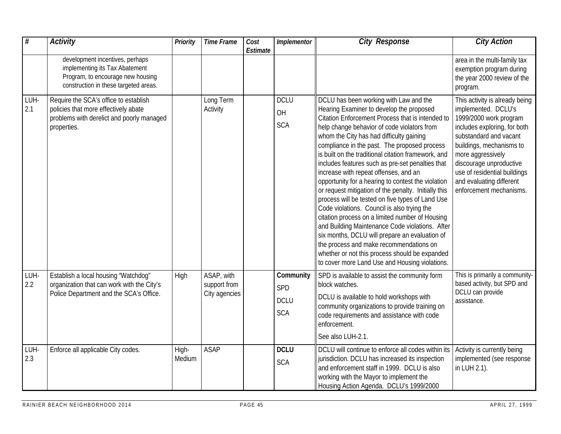| #           | <b>Activity</b>                                                                                                                                 | <b>Priority</b> | <b>Time Frame</b>                           | Cost<br>Estimate | Implementor                                   | <b>City Response</b>                                                                                                                                                                                                                                                                                                                                                                                                                                                                                                                                                                                                                                                                                                                                                                                                                                                                                                                                          | <b>City Action</b>                                                                                                                                                                                                                                                                                           |
|-------------|-------------------------------------------------------------------------------------------------------------------------------------------------|-----------------|---------------------------------------------|------------------|-----------------------------------------------|---------------------------------------------------------------------------------------------------------------------------------------------------------------------------------------------------------------------------------------------------------------------------------------------------------------------------------------------------------------------------------------------------------------------------------------------------------------------------------------------------------------------------------------------------------------------------------------------------------------------------------------------------------------------------------------------------------------------------------------------------------------------------------------------------------------------------------------------------------------------------------------------------------------------------------------------------------------|--------------------------------------------------------------------------------------------------------------------------------------------------------------------------------------------------------------------------------------------------------------------------------------------------------------|
|             | development incentives, perhaps<br>implementing its Tax Abatement<br>Program, to encourage new housing<br>construction in these targeted areas. |                 |                                             |                  |                                               |                                                                                                                                                                                                                                                                                                                                                                                                                                                                                                                                                                                                                                                                                                                                                                                                                                                                                                                                                               | area in the multi-family tax<br>exemption program during<br>the year 2000 review of the<br>program.                                                                                                                                                                                                          |
| LUH-<br>2.1 | Require the SCA's office to establish<br>policies that more effectively abate<br>problems with derelict and poorly managed<br>properties.       |                 | Long Term<br>Activity                       |                  | <b>DCLU</b><br>OH<br><b>SCA</b>               | DCLU has been working with Law and the<br>Hearing Examiner to develop the proposed<br>Citation Enforcement Process that is intended to<br>help change behavior of code violators from<br>whom the City has had difficulty gaining<br>compliance in the past. The proposed process<br>is built on the traditional citation framework, and<br>includes features such as pre-set penalties that<br>increase with repeat offenses, and an<br>opportunity for a hearing to contest the violation<br>or request mitigation of the penalty. Initially this<br>process will be tested on five types of Land Use<br>Code violations. Council is also trying the<br>citation process on a limited number of Housing<br>and Building Maintenance Code violations. After<br>six months, DCLU will prepare an evaluation of<br>the process and make recommendations on<br>whether or not this process should be expanded<br>to cover more Land Use and Housing violations. | This activity is already being<br>implemented. DCLU's<br>1999/2000 work program<br>includes exploring, for both<br>substandard and vacant<br>buildings, mechanisms to<br>more aggressively<br>discourage unproductive<br>use of residential buildings<br>and evaluating different<br>enforcement mechanisms. |
| LUH-<br>2.2 | Establish a local housing "Watchdog"<br>organization that can work with the City's<br>Police Department and the SCA's Office.                   | High            | ASAP, with<br>support from<br>City agencies |                  | Community<br>SPD<br><b>DCLU</b><br><b>SCA</b> | SPD is available to assist the community form<br>block watches.<br>DCLU is available to hold workshops with<br>community organizations to provide training on<br>code requirements and assistance with code<br>enforcement.<br>See also LUH-2.1.                                                                                                                                                                                                                                                                                                                                                                                                                                                                                                                                                                                                                                                                                                              | This is primarily a community-<br>based activity, but SPD and<br>DCLU can provide<br>assistance.                                                                                                                                                                                                             |
| LUH-<br>2.3 | Enforce all applicable City codes.                                                                                                              | High-<br>Medium | <b>ASAP</b>                                 |                  | <b>DCLU</b><br><b>SCA</b>                     | DCLU will continue to enforce all codes within its<br>jurisdiction. DCLU has increased its inspection<br>and enforcement staff in 1999. DCLU is also<br>working with the Mayor to implement the<br>Housing Action Agenda. DCLU's 1999/2000                                                                                                                                                                                                                                                                                                                                                                                                                                                                                                                                                                                                                                                                                                                    | Activity is currently being<br>implemented (see response<br>in LUH 2.1).                                                                                                                                                                                                                                     |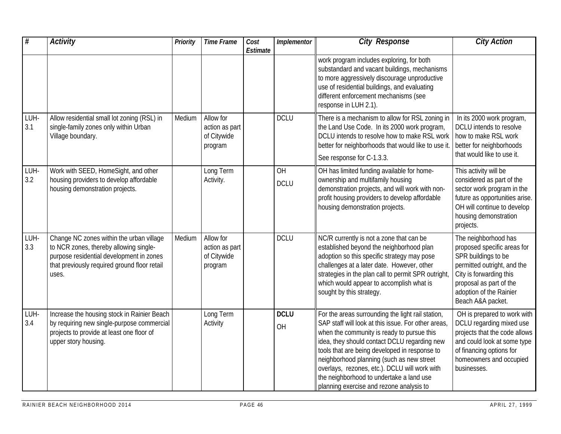| #           | <b>Activity</b>                                                                                                                                                                         | Priority | <b>Time Frame</b>                                     | Cost<br>Estimate | Implementor       | <b>City Response</b>                                                                                                                                                                                                                                                                                                                                                                                                                          | <b>City Action</b>                                                                                                                                                                                              |
|-------------|-----------------------------------------------------------------------------------------------------------------------------------------------------------------------------------------|----------|-------------------------------------------------------|------------------|-------------------|-----------------------------------------------------------------------------------------------------------------------------------------------------------------------------------------------------------------------------------------------------------------------------------------------------------------------------------------------------------------------------------------------------------------------------------------------|-----------------------------------------------------------------------------------------------------------------------------------------------------------------------------------------------------------------|
|             |                                                                                                                                                                                         |          |                                                       |                  |                   | work program includes exploring, for both<br>substandard and vacant buildings, mechanisms<br>to more aggressively discourage unproductive<br>use of residential buildings, and evaluating<br>different enforcement mechanisms (see<br>response in LUH 2.1).                                                                                                                                                                                   |                                                                                                                                                                                                                 |
| LUH-<br>3.1 | Allow residential small lot zoning (RSL) in<br>single-family zones only within Urban<br>Village boundary.                                                                               | Medium   | Allow for<br>action as part<br>of Citywide<br>program |                  | <b>DCLU</b>       | There is a mechanism to allow for RSL zoning in<br>the Land Use Code. In its 2000 work program,<br>DCLU intends to resolve how to make RSL work<br>better for neighborhoods that would like to use it.<br>See response for C-1.3.3.                                                                                                                                                                                                           | In its 2000 work program,<br>DCLU intends to resolve<br>how to make RSL work<br>better for neighborhoods<br>that would like to use it.                                                                          |
| LUH-<br>3.2 | Work with SEED, HomeSight, and other<br>housing providers to develop affordable<br>housing demonstration projects.                                                                      |          | Long Term<br>Activity.                                |                  | OH<br><b>DCLU</b> | OH has limited funding available for home-<br>ownership and multifamily housing<br>demonstration projects, and will work with non-<br>profit housing providers to develop affordable<br>housing demonstration projects.                                                                                                                                                                                                                       | This activity will be<br>considered as part of the<br>sector work program in the<br>future as opportunities arise.<br>OH will continue to develop<br>housing demonstration<br>projects.                         |
| LUH-<br>3.3 | Change NC zones within the urban village<br>to NCR zones, thereby allowing single-<br>purpose residential development in zones<br>that previously required ground floor retail<br>uses. | Medium   | Allow for<br>action as part<br>of Citywide<br>program |                  | <b>DCLU</b>       | NC/R currently is not a zone that can be<br>established beyond the neighborhood plan<br>adoption so this specific strategy may pose<br>challenges at a later date. However, other<br>strategies in the plan call to permit SPR outright<br>which would appear to accomplish what is<br>sought by this strategy.                                                                                                                               | The neighborhood has<br>proposed specific areas for<br>SPR buildings to be<br>permitted outright, and the<br>City is forwarding this<br>proposal as part of the<br>adoption of the Rainier<br>Beach A&A packet. |
| LUH-<br>3.4 | Increase the housing stock in Rainier Beach<br>by requiring new single-purpose commercial<br>projects to provide at least one floor of<br>upper story housing.                          |          | Long Term<br>Activity                                 |                  | <b>DCLU</b><br>OH | For the areas surrounding the light rail station,<br>SAP staff will look at this issue. For other areas,<br>when the community is ready to pursue this<br>idea, they should contact DCLU regarding new<br>tools that are being developed in response to<br>neighborhood planning (such as new street<br>overlays, rezones, etc.). DCLU will work with<br>the neighborhood to undertake a land use<br>planning exercise and rezone analysis to | OH is prepared to work with<br>DCLU regarding mixed use<br>projects that the code allows<br>and could look at some type<br>of financing options for<br>homeowners and occupied<br>businesses.                   |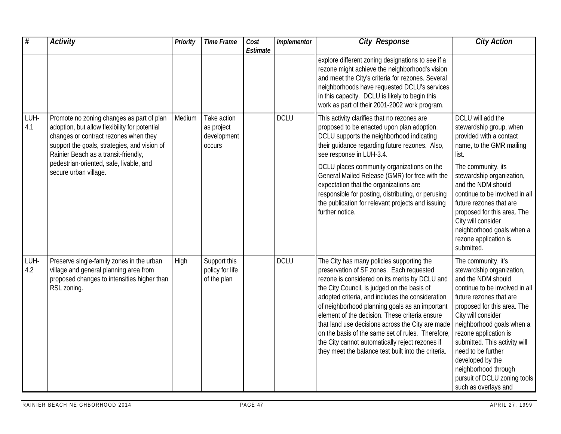| #           | <b>Activity</b>                                                                                                                                                                                                                                                                                 | Priority | <b>Time Frame</b>                                         | Cost<br>Estimate | Implementor | <b>City Response</b>                                                                                                                                                                                                                                                                                                                                                                                                                                                                                                                                              | <b>City Action</b>                                                                                                                                                                                                                                                                                                                                                                                        |
|-------------|-------------------------------------------------------------------------------------------------------------------------------------------------------------------------------------------------------------------------------------------------------------------------------------------------|----------|-----------------------------------------------------------|------------------|-------------|-------------------------------------------------------------------------------------------------------------------------------------------------------------------------------------------------------------------------------------------------------------------------------------------------------------------------------------------------------------------------------------------------------------------------------------------------------------------------------------------------------------------------------------------------------------------|-----------------------------------------------------------------------------------------------------------------------------------------------------------------------------------------------------------------------------------------------------------------------------------------------------------------------------------------------------------------------------------------------------------|
|             |                                                                                                                                                                                                                                                                                                 |          |                                                           |                  |             | explore different zoning designations to see if a<br>rezone might achieve the neighborhood's vision<br>and meet the City's criteria for rezones. Several<br>neighborhoods have requested DCLU's services<br>in this capacity. DCLU is likely to begin this<br>work as part of their 2001-2002 work program.                                                                                                                                                                                                                                                       |                                                                                                                                                                                                                                                                                                                                                                                                           |
| LUH-<br>4.1 | Promote no zoning changes as part of plan<br>adoption, but allow flexibility for potential<br>changes or contract rezones when they<br>support the goals, strategies, and vision of<br>Rainier Beach as a transit-friendly,<br>pedestrian-oriented, safe, livable, and<br>secure urban village. | Medium   | Take action<br>as project<br>development<br><b>OCCUIS</b> |                  | <b>DCLU</b> | This activity clarifies that no rezones are<br>proposed to be enacted upon plan adoption.<br>DCLU supports the neighborhood indicating<br>their guidance regarding future rezones. Also,<br>see response in LUH-3.4.<br>DCLU places community organizations on the<br>General Mailed Release (GMR) for free with the<br>expectation that the organizations are<br>responsible for posting, distributing, or perusing                                                                                                                                              | DCLU will add the<br>stewardship group, when<br>provided with a contact<br>name, to the GMR mailing<br>list.<br>The community, its<br>stewardship organization,<br>and the NDM should<br>continue to be involved in all                                                                                                                                                                                   |
|             |                                                                                                                                                                                                                                                                                                 |          |                                                           |                  |             | the publication for relevant projects and issuing<br>further notice.                                                                                                                                                                                                                                                                                                                                                                                                                                                                                              | future rezones that are<br>proposed for this area. The<br>City will consider<br>neighborhood goals when a<br>rezone application is<br>submitted.                                                                                                                                                                                                                                                          |
| LUH-<br>4.2 | Preserve single-family zones in the urban<br>village and general planning area from<br>proposed changes to intensities higher than<br>RSL zoning.                                                                                                                                               | High     | Support this<br>policy for life<br>of the plan            |                  | <b>DCLU</b> | The City has many policies supporting the<br>preservation of SF zones. Each requested<br>rezone is considered on its merits by DCLU and<br>the City Council, is judged on the basis of<br>adopted criteria, and includes the consideration<br>of neighborhood planning goals as an important<br>element of the decision. These criteria ensure<br>that land use decisions across the City are made<br>on the basis of the same set of rules. Therefore,<br>the City cannot automatically reject rezones if<br>they meet the balance test built into the criteria. | The community, it's<br>stewardship organization,<br>and the NDM should<br>continue to be involved in all<br>future rezones that are<br>proposed for this area. The<br>City will consider<br>neighborhood goals when a<br>rezone application is<br>submitted. This activity will<br>need to be further<br>developed by the<br>neighborhood through<br>pursuit of DCLU zoning tools<br>such as overlays and |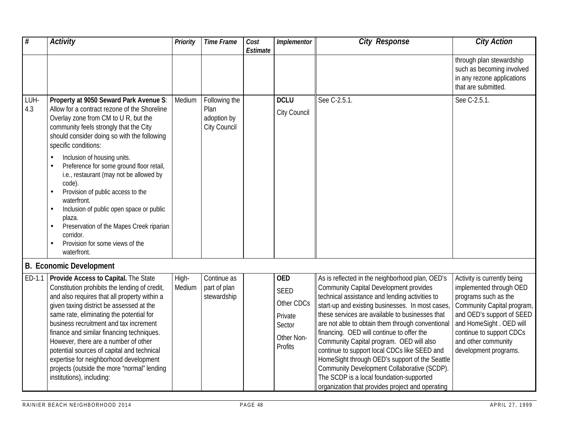| #           | <b>Activity</b>                                                                                                                                                                                                                                                                                                                                                                                                                                                                                                                                                                                                                | <b>Priority</b> | <b>Time Frame</b>                                    | Cost<br>Estimate | Implementor                                                                    | <b>City Response</b>                                                                                                                                                                                                                                                                                                                                                                                                                                                                                                                                                                                                                                   | <b>City Action</b>                                                                                                                                                                                                                                |
|-------------|--------------------------------------------------------------------------------------------------------------------------------------------------------------------------------------------------------------------------------------------------------------------------------------------------------------------------------------------------------------------------------------------------------------------------------------------------------------------------------------------------------------------------------------------------------------------------------------------------------------------------------|-----------------|------------------------------------------------------|------------------|--------------------------------------------------------------------------------|--------------------------------------------------------------------------------------------------------------------------------------------------------------------------------------------------------------------------------------------------------------------------------------------------------------------------------------------------------------------------------------------------------------------------------------------------------------------------------------------------------------------------------------------------------------------------------------------------------------------------------------------------------|---------------------------------------------------------------------------------------------------------------------------------------------------------------------------------------------------------------------------------------------------|
|             |                                                                                                                                                                                                                                                                                                                                                                                                                                                                                                                                                                                                                                |                 |                                                      |                  |                                                                                |                                                                                                                                                                                                                                                                                                                                                                                                                                                                                                                                                                                                                                                        | through plan stewardship<br>such as becoming involved<br>in any rezone applications<br>that are submitted.                                                                                                                                        |
| LUH-<br>4.3 | Property at 9050 Seward Park Avenue S:<br>Allow for a contract rezone of the Shoreline<br>Overlay zone from CM to U R, but the<br>community feels strongly that the City<br>should consider doing so with the following<br>specific conditions:<br>Inclusion of housing units.<br>Preference for some ground floor retail,<br>$\bullet$<br>i.e., restaurant (may not be allowed by<br>code).<br>Provision of public access to the<br>waterfront.<br>Inclusion of public open space or public<br>$\bullet$<br>plaza.<br>Preservation of the Mapes Creek riparian<br>corridor.<br>Provision for some views of the<br>waterfront. | Medium          | Following the<br>Plan<br>adoption by<br>City Council |                  | <b>DCLU</b><br>City Council                                                    | See C-2.5.1.                                                                                                                                                                                                                                                                                                                                                                                                                                                                                                                                                                                                                                           | See C-2.5.1.                                                                                                                                                                                                                                      |
|             | <b>B. Economic Development</b>                                                                                                                                                                                                                                                                                                                                                                                                                                                                                                                                                                                                 |                 |                                                      |                  |                                                                                |                                                                                                                                                                                                                                                                                                                                                                                                                                                                                                                                                                                                                                                        |                                                                                                                                                                                                                                                   |
| ED-1.1      | <b>Provide Access to Capital.</b> The State<br>Constitution prohibits the lending of credit,<br>and also requires that all property within a<br>given taxing district be assessed at the<br>same rate, eliminating the potential for<br>business recruitment and tax increment<br>finance and similar financing techniques.<br>However, there are a number of other<br>potential sources of capital and technical<br>expertise for neighborhood development<br>projects (outside the more "normal" lending<br>institutions), including:                                                                                        | High-<br>Medium | Continue as<br>part of plan<br>stewardship           |                  | <b>OED</b><br>SEED<br>Other CDCs<br>Private<br>Sector<br>Other Non-<br>Profits | As is reflected in the neighborhood plan, OED's<br><b>Community Capital Development provides</b><br>technical assistance and lending activities to<br>start-up and existing businesses. In most cases<br>these services are available to businesses that<br>are not able to obtain them through conventional<br>financing. OED will continue to offer the<br>Community Capital program. OED will also<br>continue to support local CDCs like SEED and<br>HomeSight through OED's support of the Seattle<br>Community Development Collaborative (SCDP).<br>The SCDP is a local foundation-supported<br>organization that provides project and operating | Activity is currently being<br>implemented through OED<br>programs such as the<br>Community Capital program,<br>and OED's support of SEED<br>and HomeSight . OED will<br>continue to support CDCs<br>and other community<br>development programs. |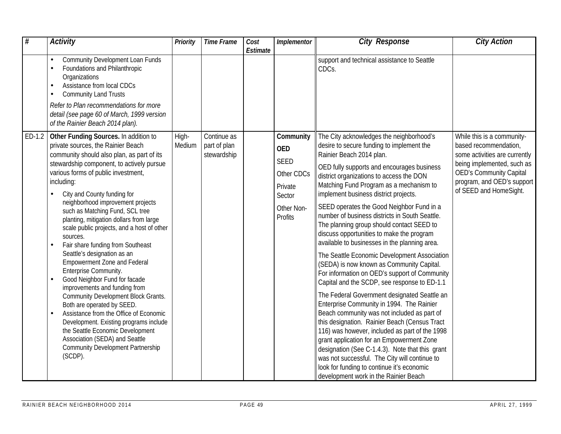| #      | <b>Activity</b>                                                                                                                                                                                                                                                                                                                                                                                                                                                                                                                                                                                                                                                                                                                                                                                                                                                                                                                                  | Priority        | <b>Time Frame</b>                          | Cost<br>Estimate | Implementor                                                                                        | <b>City Response</b>                                                                                                                                                                                                                                                                                                                                                                                                                                                                                                                                                                                                                                                                                                                                                                                                                                                                                                                                                                                                                                                                                                                                                                                                           | <b>City Action</b>                                                                                                                                                                                           |
|--------|--------------------------------------------------------------------------------------------------------------------------------------------------------------------------------------------------------------------------------------------------------------------------------------------------------------------------------------------------------------------------------------------------------------------------------------------------------------------------------------------------------------------------------------------------------------------------------------------------------------------------------------------------------------------------------------------------------------------------------------------------------------------------------------------------------------------------------------------------------------------------------------------------------------------------------------------------|-----------------|--------------------------------------------|------------------|----------------------------------------------------------------------------------------------------|--------------------------------------------------------------------------------------------------------------------------------------------------------------------------------------------------------------------------------------------------------------------------------------------------------------------------------------------------------------------------------------------------------------------------------------------------------------------------------------------------------------------------------------------------------------------------------------------------------------------------------------------------------------------------------------------------------------------------------------------------------------------------------------------------------------------------------------------------------------------------------------------------------------------------------------------------------------------------------------------------------------------------------------------------------------------------------------------------------------------------------------------------------------------------------------------------------------------------------|--------------------------------------------------------------------------------------------------------------------------------------------------------------------------------------------------------------|
|        | Community Development Loan Funds<br>$\bullet$<br>Foundations and Philanthropic<br>Organizations<br>Assistance from local CDCs<br><b>Community Land Trusts</b><br>Refer to Plan recommendations for more<br>detail (see page 60 of March, 1999 version<br>of the Rainier Beach 2014 plan).                                                                                                                                                                                                                                                                                                                                                                                                                                                                                                                                                                                                                                                        |                 |                                            |                  |                                                                                                    | support and technical assistance to Seattle<br>CDCs.                                                                                                                                                                                                                                                                                                                                                                                                                                                                                                                                                                                                                                                                                                                                                                                                                                                                                                                                                                                                                                                                                                                                                                           |                                                                                                                                                                                                              |
| ED-1.2 | Other Funding Sources. In addition to<br>private sources, the Rainier Beach<br>community should also plan, as part of its<br>stewardship component, to actively pursue<br>various forms of public investment,<br>including:<br>City and County funding for<br>neighborhood improvement projects<br>such as Matching Fund, SCL tree<br>planting, mitigation dollars from large<br>scale public projects, and a host of other<br>sources.<br>Fair share funding from Southeast<br>Seattle's designation as an<br><b>Empowerment Zone and Federal</b><br>Enterprise Community.<br>Good Neighbor Fund for facade<br>$\bullet$<br>improvements and funding from<br>Community Development Block Grants.<br>Both are operated by SEED.<br>Assistance from the Office of Economic<br>Development. Existing programs include<br>the Seattle Economic Development<br>Association (SEDA) and Seattle<br><b>Community Development Partnership</b><br>(SCDP). | High-<br>Medium | Continue as<br>part of plan<br>stewardship |                  | Community<br><b>OED</b><br><b>SEED</b><br>Other CDCs<br>Private<br>Sector<br>Other Non-<br>Profits | The City acknowledges the neighborhood's<br>desire to secure funding to implement the<br>Rainier Beach 2014 plan.<br>OED fully supports and encourages business<br>district organizations to access the DON<br>Matching Fund Program as a mechanism to<br>implement business district projects.<br>SEED operates the Good Neighbor Fund in a<br>number of business districts in South Seattle.<br>The planning group should contact SEED to<br>discuss opportunities to make the program<br>available to businesses in the planning area.<br>The Seattle Economic Development Association<br>(SEDA) is now known as Community Capital.<br>For information on OED's support of Community<br>Capital and the SCDP, see response to ED-1.1<br>The Federal Government designated Seattle an<br>Enterprise Community in 1994. The Rainier<br>Beach community was not included as part of<br>this designation. Rainier Beach (Census Tract<br>116) was however, included as part of the 1998<br>grant application for an Empowerment Zone<br>designation (See C-1.4.3). Note that this grant<br>was not successful. The City will continue to<br>look for funding to continue it's economic<br>development work in the Rainier Beach | While this is a community-<br>based recommendation,<br>some activities are currently<br>being implemented, such as<br><b>OED's Community Capital</b><br>program, and OED's support<br>of SEED and HomeSight. |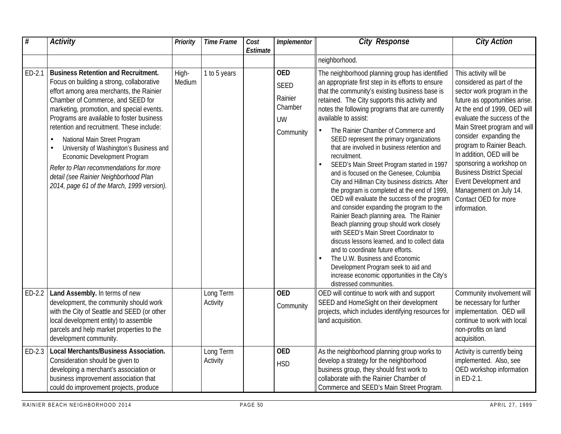| #        | <b>Activity</b>                                                                                                                                                                                                                                                                                                                                                                                                                                                                                                                                             | Priority        | <b>Time Frame</b>     | Cost<br>Estimate | Implementor                                                               | <b>City Response</b>                                                                                                                                                                                                                                                                                                                                                                                                                                                                                                                                                                                                                                                                                                                                                                                                                                                                                                                                                                                                                                                                                      | <b>City Action</b>                                                                                                                                                                                                                                                                                                                                                                                                                                              |
|----------|-------------------------------------------------------------------------------------------------------------------------------------------------------------------------------------------------------------------------------------------------------------------------------------------------------------------------------------------------------------------------------------------------------------------------------------------------------------------------------------------------------------------------------------------------------------|-----------------|-----------------------|------------------|---------------------------------------------------------------------------|-----------------------------------------------------------------------------------------------------------------------------------------------------------------------------------------------------------------------------------------------------------------------------------------------------------------------------------------------------------------------------------------------------------------------------------------------------------------------------------------------------------------------------------------------------------------------------------------------------------------------------------------------------------------------------------------------------------------------------------------------------------------------------------------------------------------------------------------------------------------------------------------------------------------------------------------------------------------------------------------------------------------------------------------------------------------------------------------------------------|-----------------------------------------------------------------------------------------------------------------------------------------------------------------------------------------------------------------------------------------------------------------------------------------------------------------------------------------------------------------------------------------------------------------------------------------------------------------|
|          |                                                                                                                                                                                                                                                                                                                                                                                                                                                                                                                                                             |                 |                       |                  |                                                                           | neighborhood.                                                                                                                                                                                                                                                                                                                                                                                                                                                                                                                                                                                                                                                                                                                                                                                                                                                                                                                                                                                                                                                                                             |                                                                                                                                                                                                                                                                                                                                                                                                                                                                 |
| ED-2.1   | <b>Business Retention and Recruitment.</b><br>Focus on building a strong, collaborative<br>effort among area merchants, the Rainier<br>Chamber of Commerce, and SEED for<br>marketing, promotion, and special events.<br>Programs are available to foster business<br>retention and recruitment. These include:<br>National Main Street Program<br>University of Washington's Business and<br>Economic Development Program<br>Refer to Plan recommendations for more<br>detail (see Rainier Neighborhood Plan<br>2014, page 61 of the March, 1999 version). | High-<br>Medium | 1 to 5 years          |                  | <b>OED</b><br><b>SEED</b><br>Rainier<br>Chamber<br><b>UW</b><br>Community | The neighborhood planning group has identified<br>an appropriate first step in its efforts to ensure<br>that the community's existing business base is<br>retained. The City supports this activity and<br>notes the following programs that are currently<br>available to assist:<br>The Rainier Chamber of Commerce and<br>SEED represent the primary organizations<br>that are involved in business retention and<br>recruitment.<br>SEED's Main Street Program started in 1997<br>and is focused on the Genesee, Columbia<br>City and Hillman City business districts. After<br>the program is completed at the end of 1999,<br>OED will evaluate the success of the program<br>and consider expanding the program to the<br>Rainier Beach planning area. The Rainier<br>Beach planning group should work closely<br>with SEED's Main Street Coordinator to<br>discuss lessons learned, and to collect data<br>and to coordinate future efforts.<br>The U.W. Business and Economic<br>Development Program seek to aid and<br>increase economic opportunities in the City's<br>distressed communities. | This activity will be<br>considered as part of the<br>sector work program in the<br>future as opportunities arise.<br>At the end of 1999, OED will<br>evaluate the success of the<br>Main Street program and will<br>consider expanding the<br>program to Rainier Beach.<br>In addition, OED will be<br>sponsoring a workshop on<br><b>Business District Special</b><br>Event Development and<br>Management on July 14.<br>Contact OED for more<br>information. |
|          | ED-2.2   Land Assembly. In terms of new<br>development, the community should work<br>with the City of Seattle and SEED (or other<br>local development entity) to assemble<br>parcels and help market properties to the<br>development community.                                                                                                                                                                                                                                                                                                            |                 | Long Term<br>Activity |                  | <b>OED</b><br>Community                                                   | OED will continue to work with and support<br>SEED and HomeSight on their development<br>projects, which includes identifying resources for<br>land acquisition.                                                                                                                                                                                                                                                                                                                                                                                                                                                                                                                                                                                                                                                                                                                                                                                                                                                                                                                                          | Community involvement will<br>be necessary for further<br>implementation. OED will<br>continue to work with local<br>non-profits on land<br>acquisition.                                                                                                                                                                                                                                                                                                        |
| $ED-2.3$ | Local Merchants/Business Association.<br>Consideration should be given to<br>developing a merchant's association or<br>business improvement association that<br>could do improvement projects, produce                                                                                                                                                                                                                                                                                                                                                      |                 | Long Term<br>Activity |                  | <b>OED</b><br><b>HSD</b>                                                  | As the neighborhood planning group works to<br>develop a strategy for the neighborhood<br>business group, they should first work to<br>collaborate with the Rainier Chamber of<br>Commerce and SEED's Main Street Program.                                                                                                                                                                                                                                                                                                                                                                                                                                                                                                                                                                                                                                                                                                                                                                                                                                                                                | Activity is currently being<br>implemented. Also, see<br>OED workshop information<br>in ED-2.1.                                                                                                                                                                                                                                                                                                                                                                 |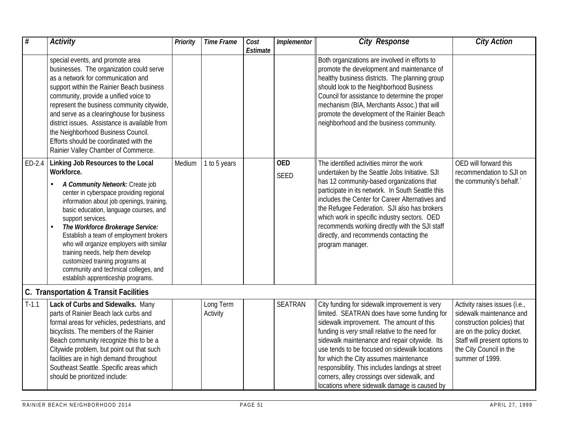| #        | <b>Activity</b>                                                                                                                                                                                                                                                                                                                                                                                                                                                                      | Priority | <b>Time Frame</b>     | Cost<br>Estimate | Implementor    | <b>City Response</b>                                                                                                                                                                                                                                                                                                                                                                                                                                                                      | <b>City Action</b>                                                                                                                                                                                   |
|----------|--------------------------------------------------------------------------------------------------------------------------------------------------------------------------------------------------------------------------------------------------------------------------------------------------------------------------------------------------------------------------------------------------------------------------------------------------------------------------------------|----------|-----------------------|------------------|----------------|-------------------------------------------------------------------------------------------------------------------------------------------------------------------------------------------------------------------------------------------------------------------------------------------------------------------------------------------------------------------------------------------------------------------------------------------------------------------------------------------|------------------------------------------------------------------------------------------------------------------------------------------------------------------------------------------------------|
|          | special events, and promote area<br>businesses. The organization could serve<br>as a network for communication and<br>support within the Rainier Beach business<br>community, provide a unified voice to<br>represent the business community citywide,<br>and serve as a clearinghouse for business<br>district issues. Assistance is available from<br>the Neighborhood Business Council.<br>Efforts should be coordinated with the<br>Rainier Valley Chamber of Commerce.          |          |                       |                  |                | Both organizations are involved in efforts to<br>promote the development and maintenance of<br>healthy business districts. The planning group<br>should look to the Neighborhood Business<br>Council for assistance to determine the proper<br>mechanism (BIA, Merchants Assoc.) that will<br>promote the development of the Rainier Beach<br>neighborhood and the business community.                                                                                                    |                                                                                                                                                                                                      |
| $ED-2.4$ | Linking Job Resources to the Local<br>Workforce.                                                                                                                                                                                                                                                                                                                                                                                                                                     | Medium   | 1 to 5 years          |                  | <b>OED</b>     | The identified activities mirror the work<br>undertaken by the Seattle Jobs Initiative. SJI                                                                                                                                                                                                                                                                                                                                                                                               | OED will forward this<br>recommendation to SJI on                                                                                                                                                    |
|          | A Community Network: Create job<br>center in cyberspace providing regional<br>information about job openings, training,<br>basic education, language courses, and<br>support services.<br>The Workforce Brokerage Service:<br>$\bullet$<br>Establish a team of employment brokers<br>who will organize employers with similar<br>training needs, help them develop<br>customized training programs at<br>community and technical colleges, and<br>establish apprenticeship programs. |          |                       |                  | <b>SEED</b>    | has 12 community-based organizations that<br>participate in its network. In South Seattle this<br>includes the Center for Career Alternatives and<br>the Refugee Federation. SJI also has brokers<br>which work in specific industry sectors. OED<br>recommends working directly with the SJI staff<br>directly, and recommends contacting the<br>program manager.                                                                                                                        | the community's behalf.                                                                                                                                                                              |
|          | C. Transportation & Transit Facilities                                                                                                                                                                                                                                                                                                                                                                                                                                               |          |                       |                  |                |                                                                                                                                                                                                                                                                                                                                                                                                                                                                                           |                                                                                                                                                                                                      |
| $T-1.1$  | Lack of Curbs and Sidewalks. Many<br>parts of Rainier Beach lack curbs and<br>formal areas for vehicles, pedestrians, and<br>bicyclists. The members of the Rainier<br>Beach community recognize this to be a<br>Citywide problem, but point out that such<br>facilities are in high demand throughout<br>Southeast Seattle. Specific areas which<br>should be prioritized include:                                                                                                  |          | Long Term<br>Activity |                  | <b>SEATRAN</b> | City funding for sidewalk improvement is very<br>limited. SEATRAN does have some funding for<br>sidewalk improvement. The amount of this<br>funding is very small relative to the need for<br>sidewalk maintenance and repair citywide. Its<br>use tends to be focused on sidewalk locations<br>for which the City assumes maintenance<br>responsibility. This includes landings at street<br>corners, alley crossings over sidewalk, and<br>locations where sidewalk damage is caused by | Activity raises issues (i.e.,<br>sidewalk maintenance and<br>construction policies) that<br>are on the policy docket.<br>Staff will present options to<br>the City Council in the<br>summer of 1999. |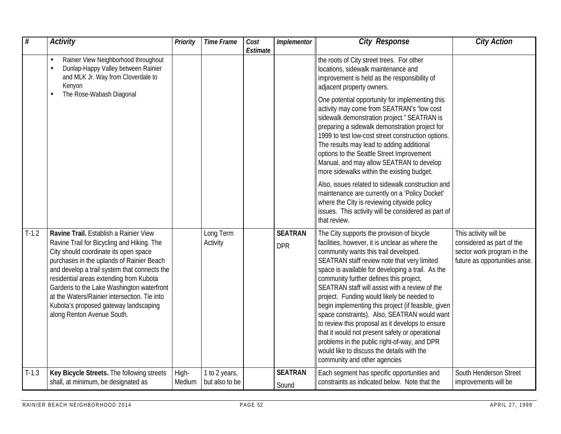| #       | <b>Activity</b>                                                                                                                                                                                                                                                                                                                                                                                                                           | <b>Priority</b> | <b>Time Frame</b>               | Cost<br>Estimate | Implementor                  | <b>City Response</b>                                                                                                                                                                                                                                                                                                                                                                                                                                                                                                                                                                                                                                                                                                              | <b>City Action</b>                                                                                                 |
|---------|-------------------------------------------------------------------------------------------------------------------------------------------------------------------------------------------------------------------------------------------------------------------------------------------------------------------------------------------------------------------------------------------------------------------------------------------|-----------------|---------------------------------|------------------|------------------------------|-----------------------------------------------------------------------------------------------------------------------------------------------------------------------------------------------------------------------------------------------------------------------------------------------------------------------------------------------------------------------------------------------------------------------------------------------------------------------------------------------------------------------------------------------------------------------------------------------------------------------------------------------------------------------------------------------------------------------------------|--------------------------------------------------------------------------------------------------------------------|
|         | Rainier View Neighborhood throughout<br>Dunlap-Happy Valley between Rainier<br>and MLK Jr. Way from Cloverdale to<br>Kenyon                                                                                                                                                                                                                                                                                                               |                 |                                 |                  |                              | the roots of City street trees. For other<br>locations, sidewalk maintenance and<br>improvement is held as the responsibility of<br>adjacent property owners.                                                                                                                                                                                                                                                                                                                                                                                                                                                                                                                                                                     |                                                                                                                    |
|         | The Rose-Wabash Diagonal                                                                                                                                                                                                                                                                                                                                                                                                                  |                 |                                 |                  |                              | One potential opportunity for implementing this<br>activity may come from SEATRAN's 'low cost<br>sidewalk demonstration project." SEATRAN is<br>preparing a sidewalk demonstration project for<br>1999 to test low-cost street construction options.<br>The results may lead to adding additional<br>options to the Seattle Street Improvement<br>Manual, and may allow SEATRAN to develop<br>more sidewalks within the existing budget.                                                                                                                                                                                                                                                                                          |                                                                                                                    |
|         |                                                                                                                                                                                                                                                                                                                                                                                                                                           |                 |                                 |                  |                              | Also, issues related to sidewalk construction and<br>maintenance are currently on a 'Policy Docket'<br>where the City is reviewing citywide policy<br>issues. This activity will be considered as part of<br>that review.                                                                                                                                                                                                                                                                                                                                                                                                                                                                                                         |                                                                                                                    |
| $T-1.2$ | Ravine Trail. Establish a Rainier View<br>Ravine Trail for Bicycling and Hiking. The<br>City should coordinate its open space<br>purchases in the uplands of Rainier Beach<br>and develop a trail system that connects the<br>residential areas extending from Kubota<br>Gardens to the Lake Washington waterfront<br>at the Waters/Rainier intersection. Tie into<br>Kubota's proposed gateway landscaping<br>along Renton Avenue South. |                 | Long Term<br>Activity           |                  | <b>SEATRAN</b><br><b>DPR</b> | The City supports the provision of bicycle<br>facilities, however, it is unclear as where the<br>community wants this trail developed.<br>SEATRAN staff review note that very limited<br>space is available for developing a trail. As the<br>community further defines this project,<br>SEATRAN staff will assist with a review of the<br>project. Funding would likely be needed to<br>begin implementing this project (if feasible, given<br>space constraints). Also, SEATRAN would want<br>to review this proposal as it develops to ensure<br>that it would not present safety or operational<br>problems in the public right-of-way, and DPR<br>would like to discuss the details with the<br>community and other agencies | This activity will be<br>considered as part of the<br>sector work program in the<br>future as opportunities arise. |
| $T-1.3$ | Key Bicycle Streets. The following streets<br>shall, at minimum, be designated as                                                                                                                                                                                                                                                                                                                                                         | High-<br>Medium | 1 to 2 years,<br>but also to be |                  | <b>SEATRAN</b><br>Sound      | Each segment has specific opportunities and<br>constraints as indicated below. Note that the                                                                                                                                                                                                                                                                                                                                                                                                                                                                                                                                                                                                                                      | South Henderson Street<br>improvements will be                                                                     |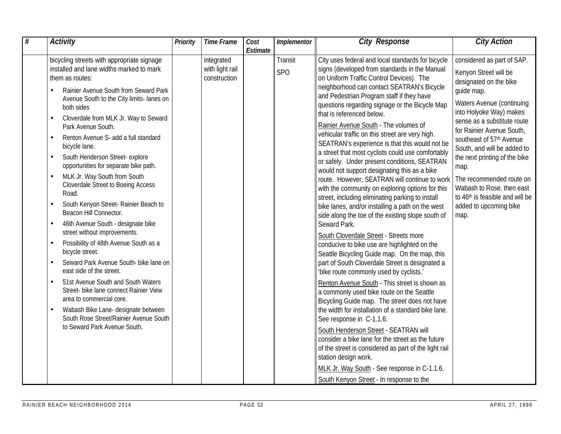| # | <b>Activity</b>                                                                                                                                                                                                                                                                                                                                                                                                                                                                                                                                                                                                                                                                                                                                                                     | Priority | <b>Time Frame</b>                             | Cost     | Implementor           | <b>City Response</b>                                                                                                                                                                                                                                                                                                                                                                                                                                                                                                                                                                                                                                                                                                                                                                                                                                                                                                                                                                                                                                     | <b>City Action</b>                                                                                                                                                                                                                                                                                                                                                                                                                                |
|---|-------------------------------------------------------------------------------------------------------------------------------------------------------------------------------------------------------------------------------------------------------------------------------------------------------------------------------------------------------------------------------------------------------------------------------------------------------------------------------------------------------------------------------------------------------------------------------------------------------------------------------------------------------------------------------------------------------------------------------------------------------------------------------------|----------|-----------------------------------------------|----------|-----------------------|----------------------------------------------------------------------------------------------------------------------------------------------------------------------------------------------------------------------------------------------------------------------------------------------------------------------------------------------------------------------------------------------------------------------------------------------------------------------------------------------------------------------------------------------------------------------------------------------------------------------------------------------------------------------------------------------------------------------------------------------------------------------------------------------------------------------------------------------------------------------------------------------------------------------------------------------------------------------------------------------------------------------------------------------------------|---------------------------------------------------------------------------------------------------------------------------------------------------------------------------------------------------------------------------------------------------------------------------------------------------------------------------------------------------------------------------------------------------------------------------------------------------|
|   | bicycling streets with appropriate signage<br>installed and lane widths marked to mark<br>them as routes:<br>Rainier Avenue South from Seward Park<br>Avenue South to the City limits- lanes on<br>both sides<br>Cloverdale from MLK Jr. Way to Seward<br>$\bullet$<br>Park Avenue South.<br>Renton Avenue S- add a full standard<br>$\bullet$<br>bicycle lane.<br>South Henderson Street- explore<br>opportunities for separate bike path.<br>MLK Jr. Way South from South<br>$\bullet$<br>Cloverdale Street to Boeing Access<br>Road.<br>South Kenyon Street- Rainier Beach to<br>$\bullet$<br>Beacon Hill Connector.<br>46th Avenue South - designate bike<br>$\bullet$<br>street without improvements.<br>Possibility of 48th Avenue South as a<br>$\bullet$<br>bicycle street. |          | integrated<br>with light rail<br>construction | Estimate | Transit<br><b>SPO</b> | City uses federal and local standards for bicycle<br>signs (developed from standards in the Manual<br>on Uniform Traffic Control Devices). The<br>neighborhood can contact SEATRAN's Bicycle<br>and Pedestrian Program staff if they have<br>questions regarding signage or the Bicycle Map<br>that is referenced below.<br>Rainier Avenue South - The volumes of<br>vehicular traffic on this street are very high.<br>SEATRAN's experience is that this would not be<br>a street that most cyclists could use comfortably<br>or safely. Under present conditions, SEATRAN<br>would not support designating this as a bike<br>route. However, SEATRAN will continue to work<br>with the community on exploring options for this<br>street, including eliminating parking to install<br>bike lanes, and/or installing a path on the west<br>side along the toe of the existing slope south of<br>Seward Park.<br>South Cloverdale Street - Streets more<br>conducive to bike use are highlighted on the<br>Seattle Bicycling Guide map. On the map, this | considered as part of SAP.<br>Kenyon Street will be<br>designated on the bike<br>guide map.<br>Waters Avenue (continuing<br>into Holyoke Way) makes<br>sense as a substitute route<br>for Rainier Avenue South,<br>southeast of 57th Avenue<br>South, and will be added to<br>the next printing of the bike<br>map.<br>The recommended route on<br>Wabash to Rose, then east<br>to 46th is feasible and will be<br>added to upcoming bike<br>map. |
|   | Seward Park Avenue South- bike lane on<br>$\bullet$<br>east side of the street.<br>51st Avenue South and South Waters<br>$\bullet$<br>Street- bike lane connect Rainier View<br>area to commercial core.<br>Wabash Bike Lane- designate between<br>$\bullet$<br>South Rose Street/Rainier Avenue South<br>to Seward Park Avenue South.                                                                                                                                                                                                                                                                                                                                                                                                                                              |          |                                               |          |                       | part of South Cloverdale Street is designated a<br>'bike route commonly used by cyclists.'<br>Renton Avenue South - This street is shown as<br>a commonly used bike route on the Seattle<br>Bicycling Guide map. The street does not have<br>the width for installation of a standard bike lane.<br>See response in C-1.1.6.<br>South Henderson Street - SEATRAN will<br>consider a bike lane for the street as the future<br>of the street is considered as part of the light rail<br>station design work.<br>MLK Jr. Way South - See response in C-1.1.6.<br>South Kenyon Street - In response to the                                                                                                                                                                                                                                                                                                                                                                                                                                                  |                                                                                                                                                                                                                                                                                                                                                                                                                                                   |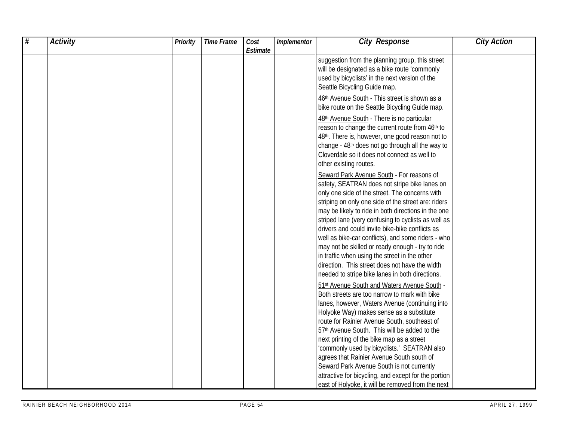| # | <b>Activity</b> | Priority | <b>Time Frame</b> | Cost     | Implementor | <b>City Response</b>                                                                                                                                                                                                                                                                                              | <b>City Action</b> |
|---|-----------------|----------|-------------------|----------|-------------|-------------------------------------------------------------------------------------------------------------------------------------------------------------------------------------------------------------------------------------------------------------------------------------------------------------------|--------------------|
|   |                 |          |                   | Estimate |             | suggestion from the planning group, this street<br>will be designated as a bike route 'commonly                                                                                                                                                                                                                   |                    |
|   |                 |          |                   |          |             | used by bicyclists' in the next version of the<br>Seattle Bicycling Guide map.                                                                                                                                                                                                                                    |                    |
|   |                 |          |                   |          |             | 46th Avenue South - This street is shown as a<br>bike route on the Seattle Bicycling Guide map.                                                                                                                                                                                                                   |                    |
|   |                 |          |                   |          |             | 48th Avenue South - There is no particular<br>reason to change the current route from 46th to<br>48th. There is, however, one good reason not to<br>change - 48 <sup>th</sup> does not go through all the way to<br>Cloverdale so it does not connect as well to<br>other existing routes.                        |                    |
|   |                 |          |                   |          |             | Seward Park Avenue South - For reasons of<br>safety, SEATRAN does not stripe bike lanes on<br>only one side of the street. The concerns with<br>striping on only one side of the street are: riders<br>may be likely to ride in both directions in the one<br>striped lane (very confusing to cyclists as well as |                    |
|   |                 |          |                   |          |             | drivers and could invite bike-bike conflicts as<br>well as bike-car conflicts), and some riders - who<br>may not be skilled or ready enough - try to ride<br>in traffic when using the street in the other<br>direction. This street does not have the width                                                      |                    |
|   |                 |          |                   |          |             | needed to stripe bike lanes in both directions.<br>51st Avenue South and Waters Avenue South -<br>Both streets are too narrow to mark with bike<br>lanes, however, Waters Avenue (continuing into                                                                                                                 |                    |
|   |                 |          |                   |          |             | Holyoke Way) makes sense as a substitute<br>route for Rainier Avenue South, southeast of<br>57th Avenue South. This will be added to the                                                                                                                                                                          |                    |
|   |                 |          |                   |          |             | next printing of the bike map as a street<br>'commonly used by bicyclists.' SEATRAN also<br>agrees that Rainier Avenue South south of<br>Seward Park Avenue South is not currently                                                                                                                                |                    |
|   |                 |          |                   |          |             | attractive for bicycling, and except for the portion<br>east of Holyoke, it will be removed from the next                                                                                                                                                                                                         |                    |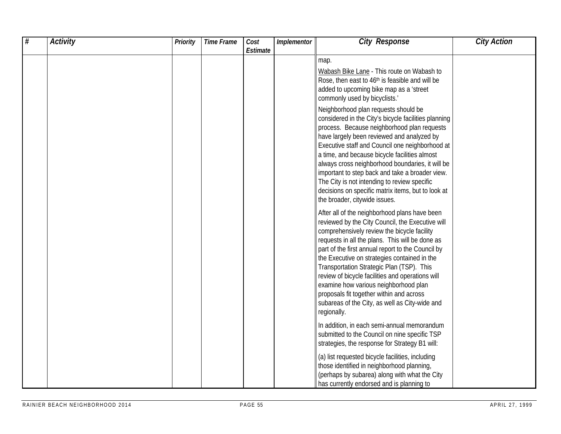| # | <b>Activity</b> | <b>Priority</b> | <b>Time Frame</b> | Cost<br>Estimate | Implementor | <b>City Response</b>                                                                                                                                                                                                                                                                                                                                                                                                                                                                                                                                                                                                                                                                                                             | <b>City Action</b> |
|---|-----------------|-----------------|-------------------|------------------|-------------|----------------------------------------------------------------------------------------------------------------------------------------------------------------------------------------------------------------------------------------------------------------------------------------------------------------------------------------------------------------------------------------------------------------------------------------------------------------------------------------------------------------------------------------------------------------------------------------------------------------------------------------------------------------------------------------------------------------------------------|--------------------|
|   |                 |                 |                   |                  |             | map.<br>Wabash Bike Lane - This route on Wabash to<br>Rose, then east to 46th is feasible and will be<br>added to upcoming bike map as a 'street<br>commonly used by bicyclists.'<br>Neighborhood plan requests should be<br>considered in the City's bicycle facilities planning<br>process. Because neighborhood plan requests<br>have largely been reviewed and analyzed by<br>Executive staff and Council one neighborhood at<br>a time, and because bicycle facilities almost<br>always cross neighborhood boundaries, it will be<br>important to step back and take a broader view.<br>The City is not intending to review specific<br>decisions on specific matrix items, but to look at<br>the broader, citywide issues. |                    |
|   |                 |                 |                   |                  |             | After all of the neighborhood plans have been<br>reviewed by the City Council, the Executive will<br>comprehensively review the bicycle facility<br>requests in all the plans. This will be done as<br>part of the first annual report to the Council by<br>the Executive on strategies contained in the<br>Transportation Strategic Plan (TSP). This<br>review of bicycle facilities and operations will<br>examine how various neighborhood plan<br>proposals fit together within and across<br>subareas of the City, as well as City-wide and<br>regionally.                                                                                                                                                                  |                    |
|   |                 |                 |                   |                  |             | In addition, in each semi-annual memorandum<br>submitted to the Council on nine specific TSP<br>strategies, the response for Strategy B1 will:                                                                                                                                                                                                                                                                                                                                                                                                                                                                                                                                                                                   |                    |
|   |                 |                 |                   |                  |             | (a) list requested bicycle facilities, including<br>those identified in neighborhood planning,<br>(perhaps by subarea) along with what the City<br>has currently endorsed and is planning to                                                                                                                                                                                                                                                                                                                                                                                                                                                                                                                                     |                    |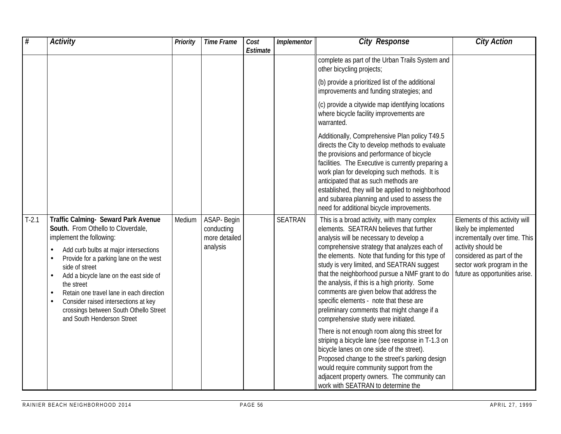| #       | <b>Activity</b>                                                                                                                                                                                                                                                                                                                                                                                                                             | <b>Priority</b> | <b>Time Frame</b>                                      | Cost<br>Estimate | Implementor    | <b>City Response</b>                                                                                                                                                                                                                                                                                                                                                                                                                                                                                                                                                  | <b>City Action</b>                                                                                                                                                                                          |
|---------|---------------------------------------------------------------------------------------------------------------------------------------------------------------------------------------------------------------------------------------------------------------------------------------------------------------------------------------------------------------------------------------------------------------------------------------------|-----------------|--------------------------------------------------------|------------------|----------------|-----------------------------------------------------------------------------------------------------------------------------------------------------------------------------------------------------------------------------------------------------------------------------------------------------------------------------------------------------------------------------------------------------------------------------------------------------------------------------------------------------------------------------------------------------------------------|-------------------------------------------------------------------------------------------------------------------------------------------------------------------------------------------------------------|
|         |                                                                                                                                                                                                                                                                                                                                                                                                                                             |                 |                                                        |                  |                | complete as part of the Urban Trails System and<br>other bicycling projects;                                                                                                                                                                                                                                                                                                                                                                                                                                                                                          |                                                                                                                                                                                                             |
|         |                                                                                                                                                                                                                                                                                                                                                                                                                                             |                 |                                                        |                  |                | (b) provide a prioritized list of the additional<br>improvements and funding strategies; and                                                                                                                                                                                                                                                                                                                                                                                                                                                                          |                                                                                                                                                                                                             |
|         |                                                                                                                                                                                                                                                                                                                                                                                                                                             |                 |                                                        |                  |                | (c) provide a citywide map identifying locations<br>where bicycle facility improvements are<br>warranted.                                                                                                                                                                                                                                                                                                                                                                                                                                                             |                                                                                                                                                                                                             |
|         |                                                                                                                                                                                                                                                                                                                                                                                                                                             |                 |                                                        |                  |                | Additionally, Comprehensive Plan policy T49.5<br>directs the City to develop methods to evaluate<br>the provisions and performance of bicycle<br>facilities. The Executive is currently preparing a<br>work plan for developing such methods. It is<br>anticipated that as such methods are<br>established, they will be applied to neighborhood<br>and subarea planning and used to assess the<br>need for additional bicycle improvements.                                                                                                                          |                                                                                                                                                                                                             |
| $T-2.1$ | Traffic Calming- Seward Park Avenue<br>South. From Othello to Cloverdale,<br>implement the following:<br>Add curb bulbs at major intersections<br>Provide for a parking lane on the west<br>side of street<br>Add a bicycle lane on the east side of<br>the street<br>Retain one travel lane in each direction<br>$\bullet$<br>Consider raised intersections at key<br>crossings between South Othello Street<br>and South Henderson Street | Medium          | ASAP- Begin<br>conducting<br>more detailed<br>analysis |                  | <b>SEATRAN</b> | This is a broad activity, with many complex<br>elements. SEATRAN believes that further<br>analysis will be necessary to develop a<br>comprehensive strategy that analyzes each of<br>the elements. Note that funding for this type of<br>study is very limited, and SEATRAN suggest<br>that the neighborhood pursue a NMF grant to do<br>the analysis, if this is a high priority. Some<br>comments are given below that address the<br>specific elements - note that these are<br>preliminary comments that might change if a<br>comprehensive study were initiated. | Elements of this activity will<br>likely be implemented<br>incrementally over time. This<br>activity should be<br>considered as part of the<br>sector work program in the<br>future as opportunities arise. |
|         |                                                                                                                                                                                                                                                                                                                                                                                                                                             |                 |                                                        |                  |                | There is not enough room along this street for<br>striping a bicycle lane (see response in T-1.3 on<br>bicycle lanes on one side of the street).<br>Proposed change to the street's parking design<br>would require community support from the<br>adjacent property owners. The community can<br>work with SEATRAN to determine the                                                                                                                                                                                                                                   |                                                                                                                                                                                                             |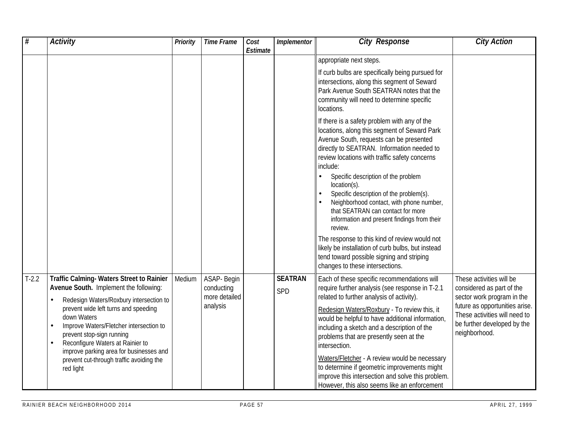| #       | <b>Activity</b>                                                                                                                                                                                                                      | Priority | <b>Time Frame</b>                          | Cost<br>Estimate | Implementor           | <b>City Response</b>                                                                                                                                                                                                                               | <b>City Action</b>                                                                                              |
|---------|--------------------------------------------------------------------------------------------------------------------------------------------------------------------------------------------------------------------------------------|----------|--------------------------------------------|------------------|-----------------------|----------------------------------------------------------------------------------------------------------------------------------------------------------------------------------------------------------------------------------------------------|-----------------------------------------------------------------------------------------------------------------|
|         |                                                                                                                                                                                                                                      |          |                                            |                  |                       | appropriate next steps.                                                                                                                                                                                                                            |                                                                                                                 |
|         |                                                                                                                                                                                                                                      |          |                                            |                  |                       | If curb bulbs are specifically being pursued for<br>intersections, along this segment of Seward<br>Park Avenue South SEATRAN notes that the<br>community will need to determine specific<br>locations.                                             |                                                                                                                 |
|         |                                                                                                                                                                                                                                      |          |                                            |                  |                       | If there is a safety problem with any of the<br>locations, along this segment of Seward Park<br>Avenue South, requests can be presented<br>directly to SEATRAN. Information needed to<br>review locations with traffic safety concerns<br>include: |                                                                                                                 |
|         |                                                                                                                                                                                                                                      |          |                                            |                  |                       | Specific description of the problem<br>location(s).<br>Specific description of the problem(s).<br>Neighborhood contact, with phone number,<br>that SEATRAN can contact for more<br>information and present findings from their<br>review.          |                                                                                                                 |
|         |                                                                                                                                                                                                                                      |          |                                            |                  |                       | The response to this kind of review would not<br>likely be installation of curb bulbs, but instead<br>tend toward possible signing and striping<br>changes to these intersections.                                                                 |                                                                                                                 |
| $T-2.2$ | <b>Traffic Calming- Waters Street to Rainier</b><br>Avenue South. Implement the following:<br>Redesign Waters/Roxbury intersection to                                                                                                | Medium   | ASAP- Begin<br>conducting<br>more detailed |                  | <b>SEATRAN</b><br>SPD | Each of these specific recommendations will<br>require further analysis (see response in T-2.1<br>related to further analysis of activity).                                                                                                        | These activities will be<br>considered as part of the<br>sector work program in the                             |
|         | prevent wide left turns and speeding<br>down Waters<br>Improve Waters/Fletcher intersection to<br>$\bullet$<br>prevent stop-sign running<br>Reconfigure Waters at Rainier to<br>$\bullet$<br>improve parking area for businesses and |          | analysis                                   |                  |                       | Redesign Waters/Roxbury - To review this, it<br>would be helpful to have additional information,<br>including a sketch and a description of the<br>problems that are presently seen at the<br>intersection.                                        | future as opportunities arise.<br>These activities will need to<br>be further developed by the<br>neighborhood. |
|         | prevent cut-through traffic avoiding the<br>red light                                                                                                                                                                                |          |                                            |                  |                       | Waters/Fletcher - A review would be necessary<br>to determine if geometric improvements might<br>improve this intersection and solve this problem.<br>However, this also seems like an enforcement                                                 |                                                                                                                 |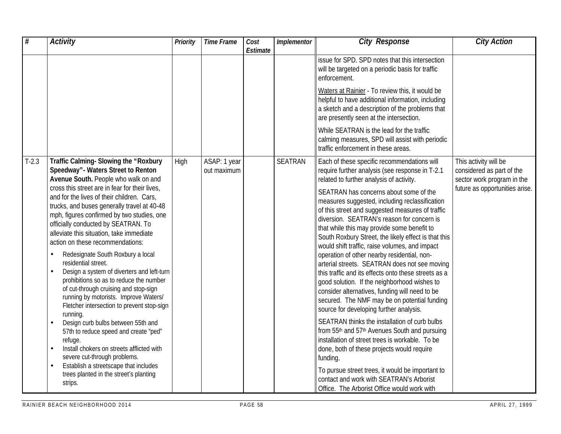| $\overline{\#}$ | <b>Activity</b>                                                                                                                                                                                                                                                                                                                                                                                                                                                                                                                                                                                                                                                                                                                                                                                                                                                                                                                                                                                                                                       | <b>Priority</b> | <b>Time Frame</b>           | Cost<br>Estimate | Implementor    | <b>City Response</b>                                                                                                                                                                                                                                                                                                                                                                                                                                                                                                                                                                                                                                                                                                                                                                                                                                                                                                                                                                                                                                                                                                                                                                                                 | <b>City Action</b>                                                                                                 |
|-----------------|-------------------------------------------------------------------------------------------------------------------------------------------------------------------------------------------------------------------------------------------------------------------------------------------------------------------------------------------------------------------------------------------------------------------------------------------------------------------------------------------------------------------------------------------------------------------------------------------------------------------------------------------------------------------------------------------------------------------------------------------------------------------------------------------------------------------------------------------------------------------------------------------------------------------------------------------------------------------------------------------------------------------------------------------------------|-----------------|-----------------------------|------------------|----------------|----------------------------------------------------------------------------------------------------------------------------------------------------------------------------------------------------------------------------------------------------------------------------------------------------------------------------------------------------------------------------------------------------------------------------------------------------------------------------------------------------------------------------------------------------------------------------------------------------------------------------------------------------------------------------------------------------------------------------------------------------------------------------------------------------------------------------------------------------------------------------------------------------------------------------------------------------------------------------------------------------------------------------------------------------------------------------------------------------------------------------------------------------------------------------------------------------------------------|--------------------------------------------------------------------------------------------------------------------|
|                 |                                                                                                                                                                                                                                                                                                                                                                                                                                                                                                                                                                                                                                                                                                                                                                                                                                                                                                                                                                                                                                                       |                 |                             |                  |                | issue for SPD. SPD notes that this intersection<br>will be targeted on a periodic basis for traffic<br>enforcement.                                                                                                                                                                                                                                                                                                                                                                                                                                                                                                                                                                                                                                                                                                                                                                                                                                                                                                                                                                                                                                                                                                  |                                                                                                                    |
|                 |                                                                                                                                                                                                                                                                                                                                                                                                                                                                                                                                                                                                                                                                                                                                                                                                                                                                                                                                                                                                                                                       |                 |                             |                  |                | Waters at Rainier - To review this, it would be<br>helpful to have additional information, including<br>a sketch and a description of the problems that<br>are presently seen at the intersection.                                                                                                                                                                                                                                                                                                                                                                                                                                                                                                                                                                                                                                                                                                                                                                                                                                                                                                                                                                                                                   |                                                                                                                    |
|                 |                                                                                                                                                                                                                                                                                                                                                                                                                                                                                                                                                                                                                                                                                                                                                                                                                                                                                                                                                                                                                                                       |                 |                             |                  |                | While SEATRAN is the lead for the traffic<br>calming measures, SPD will assist with periodic<br>traffic enforcement in these areas.                                                                                                                                                                                                                                                                                                                                                                                                                                                                                                                                                                                                                                                                                                                                                                                                                                                                                                                                                                                                                                                                                  |                                                                                                                    |
| $T-2.3$         | Traffic Calming- Slowing the "Roxbury<br>Speedway" - Waters Street to Renton<br>Avenue South. People who walk on and<br>cross this street are in fear for their lives,<br>and for the lives of their children. Cars,<br>trucks, and buses generally travel at 40-48<br>mph, figures confirmed by two studies, one<br>officially conducted by SEATRAN. To<br>alleviate this situation, take immediate<br>action on these recommendations:<br>Redesignate South Roxbury a local<br>residential street.<br>Design a system of diverters and left-turn<br>$\bullet$<br>prohibitions so as to reduce the number<br>of cut-through cruising and stop-sign<br>running by motorists. Improve Waters/<br>Fletcher intersection to prevent stop-sign<br>running.<br>Design curb bulbs between 55th and<br>57th to reduce speed and create "ped"<br>refuge.<br>Install chokers on streets afflicted with<br>$\bullet$<br>severe cut-through problems.<br>Establish a streetscape that includes<br>$\bullet$<br>trees planted in the street's planting<br>strips. | High            | ASAP: 1 year<br>out maximum |                  | <b>SEATRAN</b> | Each of these specific recommendations will<br>require further analysis (see response in T-2.1<br>related to further analysis of activity.<br>SEATRAN has concerns about some of the<br>measures suggested, including reclassification<br>of this street and suggested measures of traffic<br>diversion. SEATRAN's reason for concern is<br>that while this may provide some benefit to<br>South Roxbury Street, the likely effect is that this<br>would shift traffic, raise volumes, and impact<br>operation of other nearby residential, non-<br>arterial streets. SEATRAN does not see moving<br>this traffic and its effects onto these streets as a<br>good solution. If the neighborhood wishes to<br>consider alternatives, funding will need to be<br>secured. The NMF may be on potential funding<br>source for developing further analysis.<br>SEATRAN thinks the installation of curb bulbs<br>from 55th and 57th Avenues South and pursuing<br>installation of street trees is workable. To be<br>done, both of these projects would require<br>funding.<br>To pursue street trees, it would be important to<br>contact and work with SEATRAN's Arborist<br>Office. The Arborist Office would work with | This activity will be<br>considered as part of the<br>sector work program in the<br>future as opportunities arise. |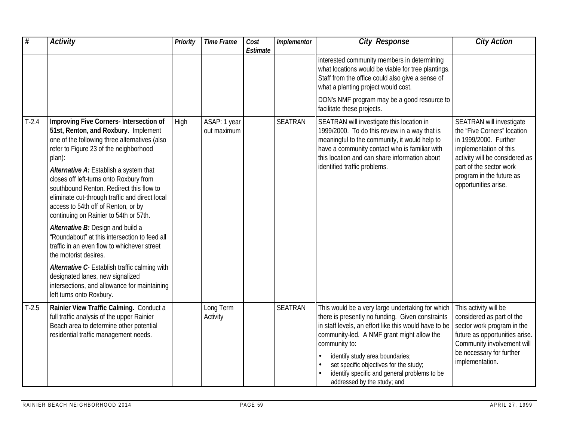| $\overline{\#}$ | <b>Activity</b>                                                                                                                                                                                                                                                                                                                                                                                                                                                                                                                                                                               | Priority | <b>Time Frame</b>           | Cost<br>Estimate | Implementor    | <b>City Response</b>                                                                                                                                                                                                                                                                                                                                                                     | <b>City Action</b>                                                                                                                                                                                                          |
|-----------------|-----------------------------------------------------------------------------------------------------------------------------------------------------------------------------------------------------------------------------------------------------------------------------------------------------------------------------------------------------------------------------------------------------------------------------------------------------------------------------------------------------------------------------------------------------------------------------------------------|----------|-----------------------------|------------------|----------------|------------------------------------------------------------------------------------------------------------------------------------------------------------------------------------------------------------------------------------------------------------------------------------------------------------------------------------------------------------------------------------------|-----------------------------------------------------------------------------------------------------------------------------------------------------------------------------------------------------------------------------|
|                 |                                                                                                                                                                                                                                                                                                                                                                                                                                                                                                                                                                                               |          |                             |                  |                | interested community members in determining<br>what locations would be viable for tree plantings.<br>Staff from the office could also give a sense of<br>what a planting project would cost.<br>DON's NMF program may be a good resource to                                                                                                                                              |                                                                                                                                                                                                                             |
|                 |                                                                                                                                                                                                                                                                                                                                                                                                                                                                                                                                                                                               |          |                             |                  |                | facilitate these projects.                                                                                                                                                                                                                                                                                                                                                               |                                                                                                                                                                                                                             |
| $T-2.4$         | Improving Five Corners- Intersection of<br>51st, Renton, and Roxbury. Implement<br>one of the following three alternatives (also<br>refer to Figure 23 of the neighborhood<br>plan):<br>Alternative A: Establish a system that<br>closes off left-turns onto Roxbury from<br>southbound Renton. Redirect this flow to<br>eliminate cut-through traffic and direct local<br>access to 54th off of Renton, or by<br>continuing on Rainier to 54th or 57th.<br>Alternative B: Design and build a<br>"Roundabout" at this intersection to feed all<br>traffic in an even flow to whichever street | High     | ASAP: 1 year<br>out maximum |                  | <b>SEATRAN</b> | SEATRAN will investigate this location in<br>1999/2000. To do this review in a way that is<br>meaningful to the community, it would help to<br>have a community contact who is familiar with<br>this location and can share information about<br>identified traffic problems.                                                                                                            | SEATRAN will investigate<br>the "Five Corners" location<br>in 1999/2000. Further<br>implementation of this<br>activity will be considered as<br>part of the sector work<br>program in the future as<br>opportunities arise. |
|                 | the motorist desires.<br>Alternative C- Establish traffic calming with<br>designated lanes, new signalized<br>intersections, and allowance for maintaining<br>left turns onto Roxbury.                                                                                                                                                                                                                                                                                                                                                                                                        |          |                             |                  |                |                                                                                                                                                                                                                                                                                                                                                                                          |                                                                                                                                                                                                                             |
| $T-2.5$         | Rainier View Traffic Calming. Conduct a<br>full traffic analysis of the upper Rainier<br>Beach area to determine other potential<br>residential traffic management needs.                                                                                                                                                                                                                                                                                                                                                                                                                     |          | Long Term<br>Activity       |                  | <b>SEATRAN</b> | This would be a very large undertaking for which<br>there is presently no funding. Given constraints<br>in staff levels, an effort like this would have to be<br>community-led. A NMF grant might allow the<br>community to:<br>identify study area boundaries;<br>set specific objectives for the study;<br>identify specific and general problems to be<br>addressed by the study; and | This activity will be<br>considered as part of the<br>sector work program in the<br>future as opportunities arise.<br>Community involvement will<br>be necessary for further<br>implementation.                             |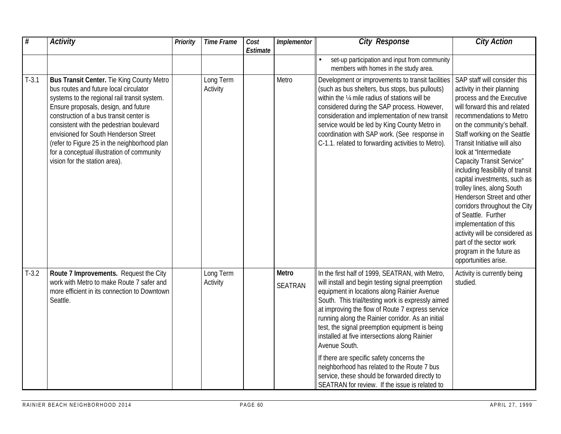| $\overline{\mathcal{H}}$ | <b>Activity</b>                                                                                                                                                                                                                                                                                                                                                                                                                                   | Priority | <b>Time Frame</b>     | Cost<br>Estimate | Implementor                    | <b>City Response</b>                                                                                                                                                                                                                                                                                                                                                                                                                                                                                                                                                                                                                 | <b>City Action</b>                                                                                                                                                                                                                                                                                                                                                                                                                                                                                                                                                                                                                           |
|--------------------------|---------------------------------------------------------------------------------------------------------------------------------------------------------------------------------------------------------------------------------------------------------------------------------------------------------------------------------------------------------------------------------------------------------------------------------------------------|----------|-----------------------|------------------|--------------------------------|--------------------------------------------------------------------------------------------------------------------------------------------------------------------------------------------------------------------------------------------------------------------------------------------------------------------------------------------------------------------------------------------------------------------------------------------------------------------------------------------------------------------------------------------------------------------------------------------------------------------------------------|----------------------------------------------------------------------------------------------------------------------------------------------------------------------------------------------------------------------------------------------------------------------------------------------------------------------------------------------------------------------------------------------------------------------------------------------------------------------------------------------------------------------------------------------------------------------------------------------------------------------------------------------|
|                          |                                                                                                                                                                                                                                                                                                                                                                                                                                                   |          |                       |                  |                                | set-up participation and input from community<br>members with homes in the study area.                                                                                                                                                                                                                                                                                                                                                                                                                                                                                                                                               |                                                                                                                                                                                                                                                                                                                                                                                                                                                                                                                                                                                                                                              |
| $T-3.1$                  | <b>Bus Transit Center.</b> Tie King County Metro<br>bus routes and future local circulator<br>systems to the regional rail transit system.<br>Ensure proposals, design, and future<br>construction of a bus transit center is<br>consistent with the pedestrian boulevard<br>envisioned for South Henderson Street<br>(refer to Figure 25 in the neighborhood plan<br>for a conceptual illustration of community<br>vision for the station area). |          | Long Term<br>Activity |                  | Metro                          | Development or improvements to transit facilities<br>(such as bus shelters, bus stops, bus pullouts)<br>within the 1/4 mile radius of stations will be<br>considered during the SAP process. However,<br>consideration and implementation of new transit<br>service would be led by King County Metro in<br>coordination with SAP work. (See response in<br>C-1.1. related to forwarding activities to Metro).                                                                                                                                                                                                                       | SAP staff will consider this<br>activity in their planning<br>process and the Executive<br>will forward this and related<br>recommendations to Metro<br>on the community's behalf.<br>Staff working on the Seattle<br>Transit Initiative will also<br>look at "Intermediate"<br>Capacity Transit Service"<br>including feasibility of transit<br>capital investments, such as<br>trolley lines, along South<br>Henderson Street and other<br>corridors throughout the City<br>of Seattle. Further<br>implementation of this<br>activity will be considered as<br>part of the sector work<br>program in the future as<br>opportunities arise. |
| $T-3.2$                  | Route 7 Improvements. Request the City<br>work with Metro to make Route 7 safer and<br>more efficient in its connection to Downtown<br>Seattle.                                                                                                                                                                                                                                                                                                   |          | Long Term<br>Activity |                  | <b>Metro</b><br><b>SEATRAN</b> | In the first half of 1999, SEATRAN, with Metro,<br>will install and begin testing signal preemption<br>equipment in locations along Rainier Avenue<br>South. This trial/testing work is expressly aimed<br>at improving the flow of Route 7 express service<br>running along the Rainier corridor. As an initial<br>test, the signal preemption equipment is being<br>installed at five intersections along Rainier<br>Avenue South.<br>If there are specific safety concerns the<br>neighborhood has related to the Route 7 bus<br>service, these should be forwarded directly to<br>SEATRAN for review. If the issue is related to | Activity is currently being<br>studied.                                                                                                                                                                                                                                                                                                                                                                                                                                                                                                                                                                                                      |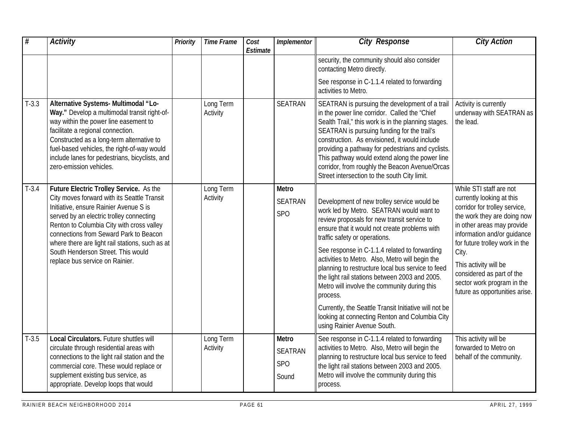| #       | <b>Activity</b>                                                                                                                                                                                                                                                                                                                                                                                 | <b>Priority</b> | <b>Time Frame</b>     | Cost<br>Estimate | Implementor                                    | <b>City Response</b>                                                                                                                                                                                                                                                                                                                                                                                                                                                                                                                                                                                                                      | <b>City Action</b>                                                                                                                                                                                                                                                                                                                                 |
|---------|-------------------------------------------------------------------------------------------------------------------------------------------------------------------------------------------------------------------------------------------------------------------------------------------------------------------------------------------------------------------------------------------------|-----------------|-----------------------|------------------|------------------------------------------------|-------------------------------------------------------------------------------------------------------------------------------------------------------------------------------------------------------------------------------------------------------------------------------------------------------------------------------------------------------------------------------------------------------------------------------------------------------------------------------------------------------------------------------------------------------------------------------------------------------------------------------------------|----------------------------------------------------------------------------------------------------------------------------------------------------------------------------------------------------------------------------------------------------------------------------------------------------------------------------------------------------|
|         |                                                                                                                                                                                                                                                                                                                                                                                                 |                 |                       |                  |                                                | security, the community should also consider<br>contacting Metro directly.                                                                                                                                                                                                                                                                                                                                                                                                                                                                                                                                                                |                                                                                                                                                                                                                                                                                                                                                    |
|         |                                                                                                                                                                                                                                                                                                                                                                                                 |                 |                       |                  |                                                | See response in C-1.1.4 related to forwarding<br>activities to Metro.                                                                                                                                                                                                                                                                                                                                                                                                                                                                                                                                                                     |                                                                                                                                                                                                                                                                                                                                                    |
| $T-3.3$ | Alternative Systems- Multimodal "Lo-<br>Way." Develop a multimodal transit right-of-<br>way within the power line easement to<br>facilitate a regional connection.<br>Constructed as a long-term alternative to<br>fuel-based vehicles, the right-of-way would<br>include lanes for pedestrians, bicyclists, and<br>zero-emission vehicles.                                                     |                 | Long Term<br>Activity |                  | <b>SEATRAN</b>                                 | SEATRAN is pursuing the development of a trail<br>in the power line corridor. Called the "Chief<br>Sealth Trail," this work is in the planning stages.<br>SEATRAN is pursuing funding for the trail's<br>construction. As envisioned, it would include<br>providing a pathway for pedestrians and cyclists.<br>This pathway would extend along the power line<br>corridor, from roughly the Beacon Avenue/Orcas<br>Street intersection to the south City limit.                                                                                                                                                                           | Activity is currently<br>underway with SEATRAN as<br>the lead.                                                                                                                                                                                                                                                                                     |
| $T-3.4$ | Future Electric Trolley Service. As the<br>City moves forward with its Seattle Transit<br>Initiative, ensure Rainier Avenue S is<br>served by an electric trolley connecting<br>Renton to Columbia City with cross valley<br>connections from Seward Park to Beacon<br>where there are light rail stations, such as at<br>South Henderson Street. This would<br>replace bus service on Rainier. |                 | Long Term<br>Activity |                  | Metro<br><b>SEATRAN</b><br><b>SPO</b>          | Development of new trolley service would be<br>work led by Metro. SEATRAN would want to<br>review proposals for new transit service to<br>ensure that it would not create problems with<br>traffic safety or operations.<br>See response in C-1.1.4 related to forwarding<br>activities to Metro. Also, Metro will begin the<br>planning to restructure local bus service to feed<br>the light rail stations between 2003 and 2005.<br>Metro will involve the community during this<br>process.<br>Currently, the Seattle Transit Initiative will not be<br>looking at connecting Renton and Columbia City<br>using Rainier Avenue South. | While STI staff are not<br>currently looking at this<br>corridor for trolley service,<br>the work they are doing now<br>in other areas may provide<br>information and/or guidance<br>for future trolley work in the<br>City.<br>This activity will be<br>considered as part of the<br>sector work program in the<br>future as opportunities arise. |
| $T-3.5$ | <b>Local Circulators.</b> Future shuttles will<br>circulate through residential areas with<br>connections to the light rail station and the<br>commercial core. These would replace or<br>supplement existing bus service, as<br>appropriate. Develop loops that would                                                                                                                          |                 | Long Term<br>Activity |                  | Metro<br><b>SEATRAN</b><br><b>SPO</b><br>Sound | See response in C-1.1.4 related to forwarding<br>activities to Metro. Also, Metro will begin the<br>planning to restructure local bus service to feed<br>the light rail stations between 2003 and 2005.<br>Metro will involve the community during this<br>process.                                                                                                                                                                                                                                                                                                                                                                       | This activity will be<br>forwarded to Metro on<br>behalf of the community.                                                                                                                                                                                                                                                                         |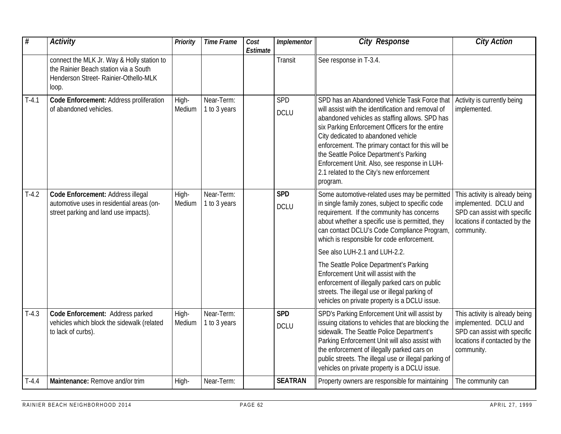| #       | <b>Activity</b>                                                                                                                       | <b>Priority</b> | <b>Time Frame</b>          | Cost<br>Estimate | Implementor               | <b>City Response</b>                                                                                                                                                                                                                                                                                                                                                                                                                                    | <b>City Action</b>                                                                                                                     |
|---------|---------------------------------------------------------------------------------------------------------------------------------------|-----------------|----------------------------|------------------|---------------------------|---------------------------------------------------------------------------------------------------------------------------------------------------------------------------------------------------------------------------------------------------------------------------------------------------------------------------------------------------------------------------------------------------------------------------------------------------------|----------------------------------------------------------------------------------------------------------------------------------------|
|         | connect the MLK Jr. Way & Holly station to<br>the Rainier Beach station via a South<br>Henderson Street- Rainier-Othello-MLK<br>loop. |                 |                            |                  | Transit                   | See response in T-3.4.                                                                                                                                                                                                                                                                                                                                                                                                                                  |                                                                                                                                        |
| $T-4.1$ | Code Enforcement: Address proliferation<br>of abandoned vehicles.                                                                     | High-<br>Medium | Near-Term:<br>1 to 3 years |                  | SPD<br><b>DCLU</b>        | SPD has an Abandoned Vehicle Task Force that<br>will assist with the identification and removal of<br>abandoned vehicles as staffing allows. SPD has<br>six Parking Enforcement Officers for the entire<br>City dedicated to abandoned vehicle<br>enforcement. The primary contact for this will be<br>the Seattle Police Department's Parking<br>Enforcement Unit. Also, see response in LUH-<br>2.1 related to the City's new enforcement<br>program. | Activity is currently being<br>implemented.                                                                                            |
| $T-4.2$ | Code Enforcement: Address illegal<br>automotive uses in residential areas (on-<br>street parking and land use impacts).               | High-<br>Medium | Near-Term:<br>1 to 3 years |                  | <b>SPD</b><br><b>DCLU</b> | Some automotive-related uses may be permitted<br>in single family zones, subject to specific code<br>requirement. If the community has concerns<br>about whether a specific use is permitted, they<br>can contact DCLU's Code Compliance Program<br>which is responsible for code enforcement.                                                                                                                                                          | This activity is already being<br>implemented. DCLU and<br>SPD can assist with specific<br>locations if contacted by the<br>community. |
|         |                                                                                                                                       |                 |                            |                  |                           | See also LUH-2.1 and LUH-2.2.<br>The Seattle Police Department's Parking<br>Enforcement Unit will assist with the<br>enforcement of illegally parked cars on public<br>streets. The illegal use or illegal parking of<br>vehicles on private property is a DCLU issue.                                                                                                                                                                                  |                                                                                                                                        |
| $T-4.3$ | Code Enforcement: Address parked<br>vehicles which block the sidewalk (related<br>to lack of curbs).                                  | High-<br>Medium | Near-Term:<br>1 to 3 years |                  | <b>SPD</b><br><b>DCLU</b> | SPD's Parking Enforcement Unit will assist by<br>issuing citations to vehicles that are blocking the<br>sidewalk. The Seattle Police Department's<br>Parking Enforcement Unit will also assist with<br>the enforcement of illegally parked cars on<br>public streets. The illegal use or illegal parking of<br>vehicles on private property is a DCLU issue.                                                                                            | This activity is already being<br>implemented. DCLU and<br>SPD can assist with specific<br>locations if contacted by the<br>community. |
| $T-4.4$ | Maintenance: Remove and/or trim                                                                                                       | High-           | Near-Term:                 |                  | <b>SEATRAN</b>            | Property owners are responsible for maintaining                                                                                                                                                                                                                                                                                                                                                                                                         | The community can                                                                                                                      |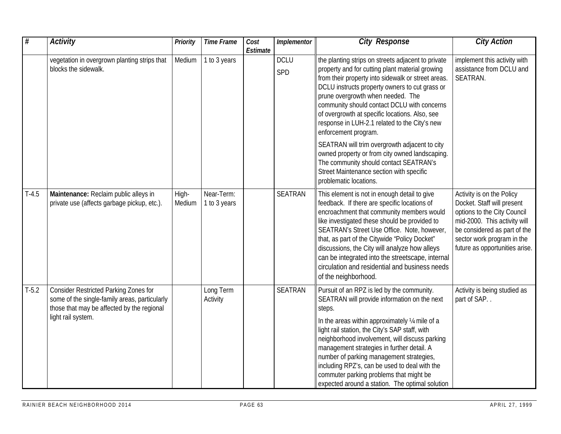| $\overline{\#}$ | <b>Activity</b>                                                                                                                                                   | <b>Priority</b> | <b>Time Frame</b>          | Cost<br>Estimate | Implementor        | <b>City Response</b>                                                                                                                                                                                                                                                                                                                                                                                                                                                                                 | <b>City Action</b>                                                                                                                                                                                                     |
|-----------------|-------------------------------------------------------------------------------------------------------------------------------------------------------------------|-----------------|----------------------------|------------------|--------------------|------------------------------------------------------------------------------------------------------------------------------------------------------------------------------------------------------------------------------------------------------------------------------------------------------------------------------------------------------------------------------------------------------------------------------------------------------------------------------------------------------|------------------------------------------------------------------------------------------------------------------------------------------------------------------------------------------------------------------------|
|                 | vegetation in overgrown planting strips that<br>blocks the sidewalk.                                                                                              | Medium          | 1 to 3 years               |                  | <b>DCLU</b><br>SPD | the planting strips on streets adjacent to private<br>property and for cutting plant material growing<br>from their property into sidewalk or street areas.<br>DCLU instructs property owners to cut grass or<br>prune overgrowth when needed. The<br>community should contact DCLU with concerns<br>of overgrowth at specific locations. Also, see<br>response in LUH-2.1 related to the City's new<br>enforcement program.                                                                         | implement this activity with<br>assistance from DCLU and<br>SEATRAN.                                                                                                                                                   |
|                 |                                                                                                                                                                   |                 |                            |                  |                    | SEATRAN will trim overgrowth adjacent to city<br>owned property or from city owned landscaping.<br>The community should contact SEATRAN's<br>Street Maintenance section with specific<br>problematic locations.                                                                                                                                                                                                                                                                                      |                                                                                                                                                                                                                        |
| $T-4.5$         | Maintenance: Reclaim public alleys in<br>private use (affects garbage pickup, etc.).                                                                              | High-<br>Medium | Near-Term:<br>1 to 3 years |                  | <b>SEATRAN</b>     | This element is not in enough detail to give<br>feedback. If there are specific locations of<br>encroachment that community members would<br>like investigated these should be provided to<br>SEATRAN's Street Use Office. Note, however,<br>that, as part of the Citywide "Policy Docket"<br>discussions, the City will analyze how alleys<br>can be integrated into the streetscape, internal<br>circulation and residential and business needs<br>of the neighborhood.                            | Activity is on the Policy<br>Docket. Staff will present<br>options to the City Council<br>mid-2000. This activity will<br>be considered as part of the<br>sector work program in the<br>future as opportunities arise. |
| $T-5.2$         | <b>Consider Restricted Parking Zones for</b><br>some of the single-family areas, particularly<br>those that may be affected by the regional<br>light rail system. |                 | Long Term<br>Activity      |                  | SEATRAN            | Pursuit of an RPZ is led by the community.<br>SEATRAN will provide information on the next<br>steps.<br>In the areas within approximately 1/4 mile of a<br>light rail station, the City's SAP staff, with<br>neighborhood involvement, will discuss parking<br>management strategies in further detail. A<br>number of parking management strategies,<br>including RPZ's, can be used to deal with the<br>commuter parking problems that might be<br>expected around a station. The optimal solution | Activity is being studied as<br>part of SAP                                                                                                                                                                            |